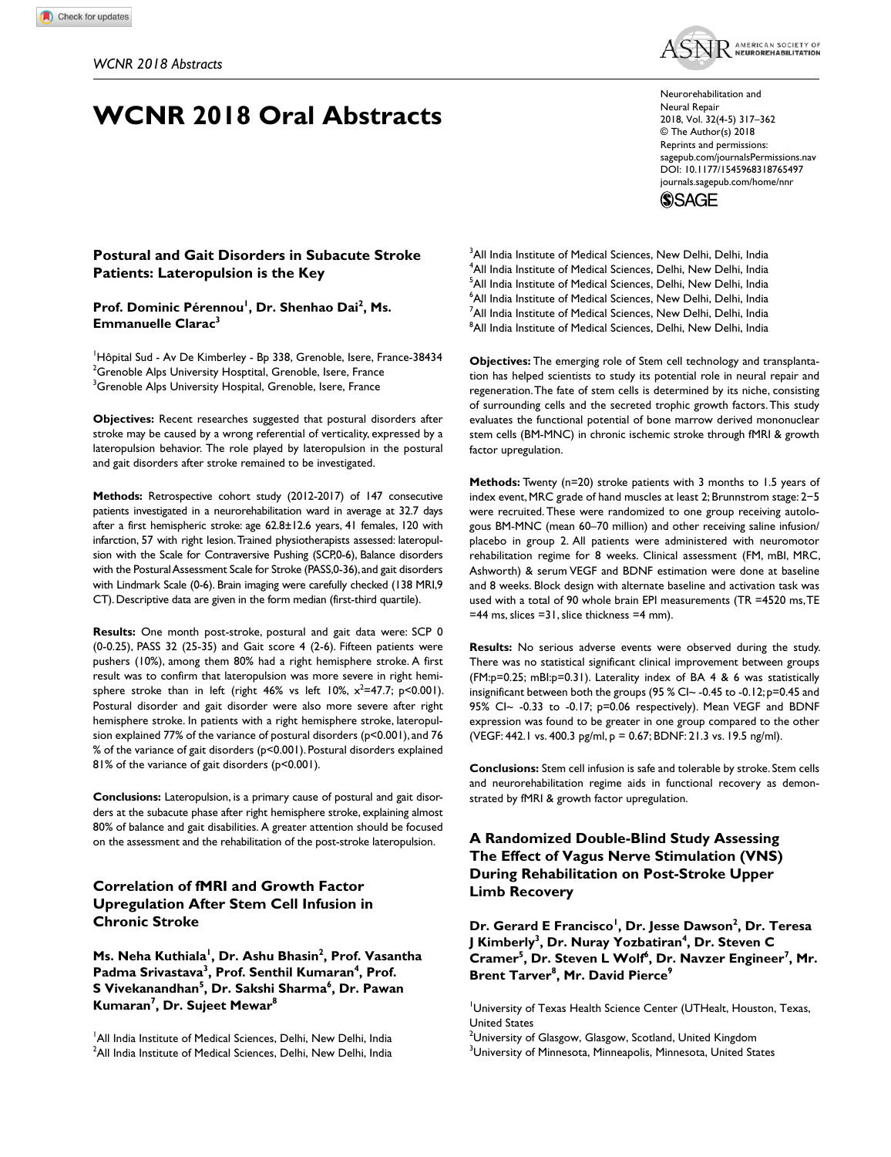# **WCNR 2018 Oral Abstracts**



https://doi.org/10.1177/1545968318765497 DOI: 10.1177/1545968318765497 Neurorehabilitation and Neural Repair 2018, Vol. 32(4-5) 317–362 © The Author(s) 2018 Reprints and permissions: [sagepub.com/journalsPermissions.nav](https://us.sagepub.com/en-us/journals-permissions) [journals.sagepub.com/home/nnr](https://journals.sagepub.com/home/nnr)

**SSAGE** 

# **Postural and Gait Disorders in Subacute Stroke Patients: Lateropulsion is the Key**

Prof. Dominic Pérennou<sup>1</sup>, Dr. Shenhao Dai<sup>2</sup>, Ms. **Emmanuelle Clarac3**

<sup>1</sup>Hôpital Sud - Av De Kimberley - Bp 338, Grenoble, Isere, France-38434  $^2$ Grenoble Alps University Hosptital, Grenoble, Isere, France  $^3$ Grenoble Alps University Hospital, Grenoble, Isere, France

**Objectives:** Recent researches suggested that postural disorders after stroke may be caused by a wrong referential of verticality, expressed by a lateropulsion behavior. The role played by lateropulsion in the postural and gait disorders after stroke remained to be investigated.

**Methods:** Retrospective cohort study (2012-2017) of 147 consecutive patients investigated in a neurorehabilitation ward in average at 32.7 days after a first hemispheric stroke: age 62.8±12.6 years, 41 females, 120 with infarction, 57 with right lesion. Trained physiotherapists assessed: lateropulsion with the Scale for Contraversive Pushing (SCP,0-6), Balance disorders with the Postural Assessment Scale for Stroke (PASS,0-36), and gait disorders with Lindmark Scale (0-6). Brain imaging were carefully checked (138 MRI,9 CT). Descriptive data are given in the form median (first-third quartile).

**Results:** One month post-stroke, postural and gait data were: SCP 0 (0-0.25), PASS 32 (25-35) and Gait score 4 (2-6). Fifteen patients were pushers (10%), among them 80% had a right hemisphere stroke. A first result was to confirm that lateropulsion was more severe in right hemisphere stroke than in left (right  $46\%$  vs left  $10\%$ ,  $x^2=47.7$ ;  $p<0.001$ ). Postural disorder and gait disorder were also more severe after right hemisphere stroke. In patients with a right hemisphere stroke, lateropulsion explained 77% of the variance of postural disorders (p<0.001), and 76 % of the variance of gait disorders (p<0.001). Postural disorders explained 81% of the variance of gait disorders (p<0.001).

**Conclusions:** Lateropulsion, is a primary cause of postural and gait disorders at the subacute phase after right hemisphere stroke, explaining almost 80% of balance and gait disabilities. A greater attention should be focused on the assessment and the rehabilitation of the post-stroke lateropulsion.

# **Correlation of fMRI and Growth Factor Upregulation After Stem Cell Infusion in Chronic Stroke**

**Ms. Neha Kuthiala<sup>1</sup>, Dr. Ashu Bhasin<sup>2</sup>, Prof. Vasantha** Padma Srivastava<sup>3</sup>, Prof. Senthil Kumaran<sup>4</sup>, Prof. **S Vivekanandhan5 , Dr. Sakshi Sharma6 , Dr. Pawan Kumaran7 , Dr. Sujeet Mewar8**

<sup>1</sup> All India Institute of Medical Sciences, Delhi, New Delhi, India  $^2$ All India Institute of Medical Sciences, Delhi, New Delhi, India  $3$ All India Institute of Medical Sciences, New Delhi, Delhi, India 4 All India Institute of Medical Sciences, Delhi, New Delhi, India 5 All India Institute of Medical Sciences, Delhi, New Delhi, India  $^6$ All India Institute of Medical Sciences, New Delhi, Delhi, India <sup>7</sup>All India Institute of Medical Sciences, New Delhi, Delhi, India  $^8$ All India Institute of Medical Sciences, Delhi, New Delhi, India

**Objectives:** The emerging role of Stem cell technology and transplantation has helped scientists to study its potential role in neural repair and regeneration. The fate of stem cells is determined by its niche, consisting of surrounding cells and the secreted trophic growth factors. This study evaluates the functional potential of bone marrow derived mononuclear stem cells (BM-MNC) in chronic ischemic stroke through fMRI & growth factor upregulation.

**Methods:** Twenty (n=20) stroke patients with 3 months to 1.5 years of index event, MRC grade of hand muscles at least 2; Brunnstrom stage: 2−5 were recruited. These were randomized to one group receiving autologous BM-MNC (mean 60–70 million) and other receiving saline infusion/ placebo in group 2. All patients were administered with neuromotor rehabilitation regime for 8 weeks. Clinical assessment (FM, mBI, MRC, Ashworth) & serum VEGF and BDNF estimation were done at baseline and 8 weeks. Block design with alternate baseline and activation task was used with a total of 90 whole brain EPI measurements (TR =4520 ms, TE =44 ms, slices =31, slice thickness =4 mm).

**Results:** No serious adverse events were observed during the study. There was no statistical significant clinical improvement between groups (FM:p=0.25; mBI:p=0.31). Laterality index of BA 4 & 6 was statistically insignificant between both the groups (95 % CI~ -0.45 to -0.12; p=0.45 and 95% CI~ -0.33 to -0.17; p=0.06 respectively). Mean VEGF and BDNF expression was found to be greater in one group compared to the other (VEGF: 442.1 vs. 400.3 pg/ml, p = 0.67; BDNF: 21.3 vs. 19.5 ng/ml).

**Conclusions:** Stem cell infusion is safe and tolerable by stroke. Stem cells and neurorehabilitation regime aids in functional recovery as demonstrated by fMRI & growth factor upregulation.

**A Randomized Double-Blind Study Assessing The Effect of Vagus Nerve Stimulation (VNS) During Rehabilitation on Post-Stroke Upper Limb Recovery**

Dr. Gerard E Francisco<sup>1</sup>, Dr. Jesse Dawson<sup>2</sup>, Dr. Teresa **J** Kimberly<sup>3</sup>, Dr. Nuray Yozbatiran<sup>4</sup>, Dr. Steven C Cramer<sup>5</sup>, Dr. Steven L Wolf<sup>6</sup>, Dr. Navzer Engineer<sup>7</sup>, Mr. **Brent Tarver8 , Mr. David Pierce9**

University of Texas Health Science Center (UTHealt, Houston, Texas, United States

 $^{\rm 2}$ University of Glasgow, Glasgow, Scotland, United Kingdom  $^3$ University of Minnesota, Minneapolis, Minnesota, United States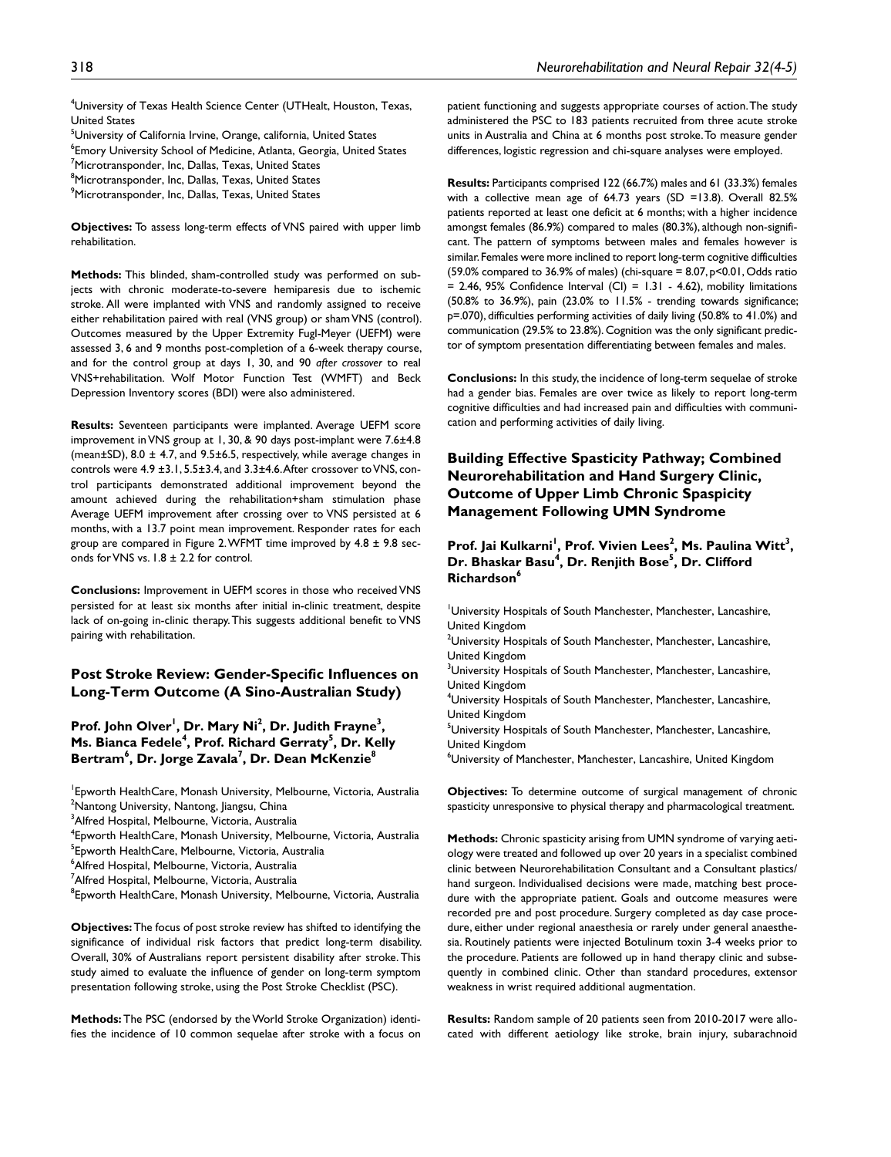4 University of Texas Health Science Center (UTHealt, Houston, Texas, United States

<sup>5</sup>University of California Irvine, Orange, california, United States  $^6$ Emory University School of Medicine, Atlanta, Georgia, United States <sup>7</sup>Microtransponder, Inc, Dallas, Texas, United States <sup>8</sup>Microtransponder, Inc, Dallas, Texas, United States  $^9$ Microtransponder, Inc, Dallas, Texas, United States

**Objectives:** To assess long-term effects of VNS paired with upper limb rehabilitation.

**Methods:** This blinded, sham-controlled study was performed on subjects with chronic moderate-to-severe hemiparesis due to ischemic stroke. All were implanted with VNS and randomly assigned to receive either rehabilitation paired with real (VNS group) or sham VNS (control). Outcomes measured by the Upper Extremity Fugl-Meyer (UEFM) were assessed 3, 6 and 9 months post-completion of a 6-week therapy course, and for the control group at days 1, 30, and 90 *after crossover* to real VNS+rehabilitation. Wolf Motor Function Test (WMFT) and Beck Depression Inventory scores (BDI) were also administered.

**Results:** Seventeen participants were implanted. Average UEFM score improvement in VNS group at 1, 30, & 90 days post-implant were 7.6±4.8 (mean $\pm$ SD), 8.0  $\pm$  4.7, and 9.5 $\pm$ 6.5, respectively, while average changes in controls were 4.9 ±3.1, 5.5±3.4, and 3.3±4.6. After crossover to VNS, control participants demonstrated additional improvement beyond the amount achieved during the rehabilitation+sham stimulation phase Average UEFM improvement after crossing over to VNS persisted at 6 months, with a 13.7 point mean improvement. Responder rates for each group are compared in Figure 2. WFMT time improved by  $4.8 \pm 9.8$  seconds for VNS vs. 1.8 ± 2.2 for control.

**Conclusions:** Improvement in UEFM scores in those who received VNS persisted for at least six months after initial in-clinic treatment, despite lack of on-going in-clinic therapy. This suggests additional benefit to VNS pairing with rehabilitation.

# **Post Stroke Review: Gender-Specific Influences on Long-Term Outcome (A Sino-Australian Study)**

Prof. John Olver<sup>1</sup>, Dr. Mary Ni<sup>2</sup>, Dr. Judith Frayne<sup>3</sup>, **Ms. Bianca Fedele<sup>4</sup>, Prof. Richard Gerraty<sup>5</sup>, Dr. Kelly Bertram6 , Dr. Jorge Zavala7 , Dr. Dean McKenzie8**

1 Epworth HealthCare, Monash University, Melbourne, Victoria, Australia <sup>2</sup>Nantong University, Nantong, Jiangsu, China

<sup>3</sup>Alfred Hospital, Melbourne, Victoria, Australia

4 Epworth HealthCare, Monash University, Melbourne, Victoria, Australia

5 Epworth HealthCare, Melbourne, Victoria, Australia

6 Alfred Hospital, Melbourne, Victoria, Australia

<sup>7</sup>Alfred Hospital, Melbourne, Victoria, Australia

 $^8$ Epworth HealthCare, Monash University, Melbourne, Victoria, Australia

**Objectives:** The focus of post stroke review has shifted to identifying the significance of individual risk factors that predict long-term disability. Overall, 30% of Australians report persistent disability after stroke. This study aimed to evaluate the influence of gender on long-term symptom presentation following stroke, using the Post Stroke Checklist (PSC).

**Methods:** The PSC (endorsed by the World Stroke Organization) identifies the incidence of 10 common sequelae after stroke with a focus on patient functioning and suggests appropriate courses of action. The study administered the PSC to 183 patients recruited from three acute stroke units in Australia and China at 6 months post stroke. To measure gender differences, logistic regression and chi-square analyses were employed.

**Results:** Participants comprised 122 (66.7%) males and 61 (33.3%) females with a collective mean age of 64.73 years (SD =13.8). Overall 82.5% patients reported at least one deficit at 6 months; with a higher incidence amongst females (86.9%) compared to males (80.3%), although non-significant. The pattern of symptoms between males and females however is similar. Females were more inclined to report long-term cognitive difficulties (59.0% compared to 36.9% of males) (chi-square = 8.07, p<0.01, Odds ratio  $= 2.46$ , 95% Confidence Interval (CI)  $= 1.31 - 4.62$ ), mobility limitations (50.8% to 36.9%), pain (23.0% to 11.5% - trending towards significance; p=.070), difficulties performing activities of daily living (50.8% to 41.0%) and communication (29.5% to 23.8%). Cognition was the only significant predictor of symptom presentation differentiating between females and males.

**Conclusions:** In this study, the incidence of long-term sequelae of stroke had a gender bias. Females are over twice as likely to report long-term cognitive difficulties and had increased pain and difficulties with communication and performing activities of daily living.

# **Building Effective Spasticity Pathway; Combined Neurorehabilitation and Hand Surgery Clinic, Outcome of Upper Limb Chronic Spaspicity Management Following UMN Syndrome**

Prof. Jai Kulkarni<sup>!</sup>, Prof. Vivien Lees<sup>2</sup>, Ms. Paulina Witt<sup>3</sup>, **Dr. Bhaskar Basu4 , Dr. Renjith Bose5 , Dr. Clifford Richardson6**

1 University Hospitals of South Manchester, Manchester, Lancashire, United Kingdom

 $^{2}$ University Hospitals of South Manchester, Manchester, Lancashire, United Kingdom

<sup>3</sup>University Hospitals of South Manchester, Manchester, Lancashire, United Kingdom

4 University Hospitals of South Manchester, Manchester, Lancashire, United Kingdom

<sup>5</sup>University Hospitals of South Manchester, Manchester, Lancashire, United Kingdom

6 University of Manchester, Manchester, Lancashire, United Kingdom

**Objectives:** To determine outcome of surgical management of chronic spasticity unresponsive to physical therapy and pharmacological treatment.

**Methods:** Chronic spasticity arising from UMN syndrome of varying aetiology were treated and followed up over 20 years in a specialist combined clinic between Neurorehabilitation Consultant and a Consultant plastics/ hand surgeon. Individualised decisions were made, matching best procedure with the appropriate patient. Goals and outcome measures were recorded pre and post procedure. Surgery completed as day case procedure, either under regional anaesthesia or rarely under general anaesthesia. Routinely patients were injected Botulinum toxin 3-4 weeks prior to the procedure. Patients are followed up in hand therapy clinic and subsequently in combined clinic. Other than standard procedures, extensor weakness in wrist required additional augmentation.

**Results:** Random sample of 20 patients seen from 2010-2017 were allocated with different aetiology like stroke, brain injury, subarachnoid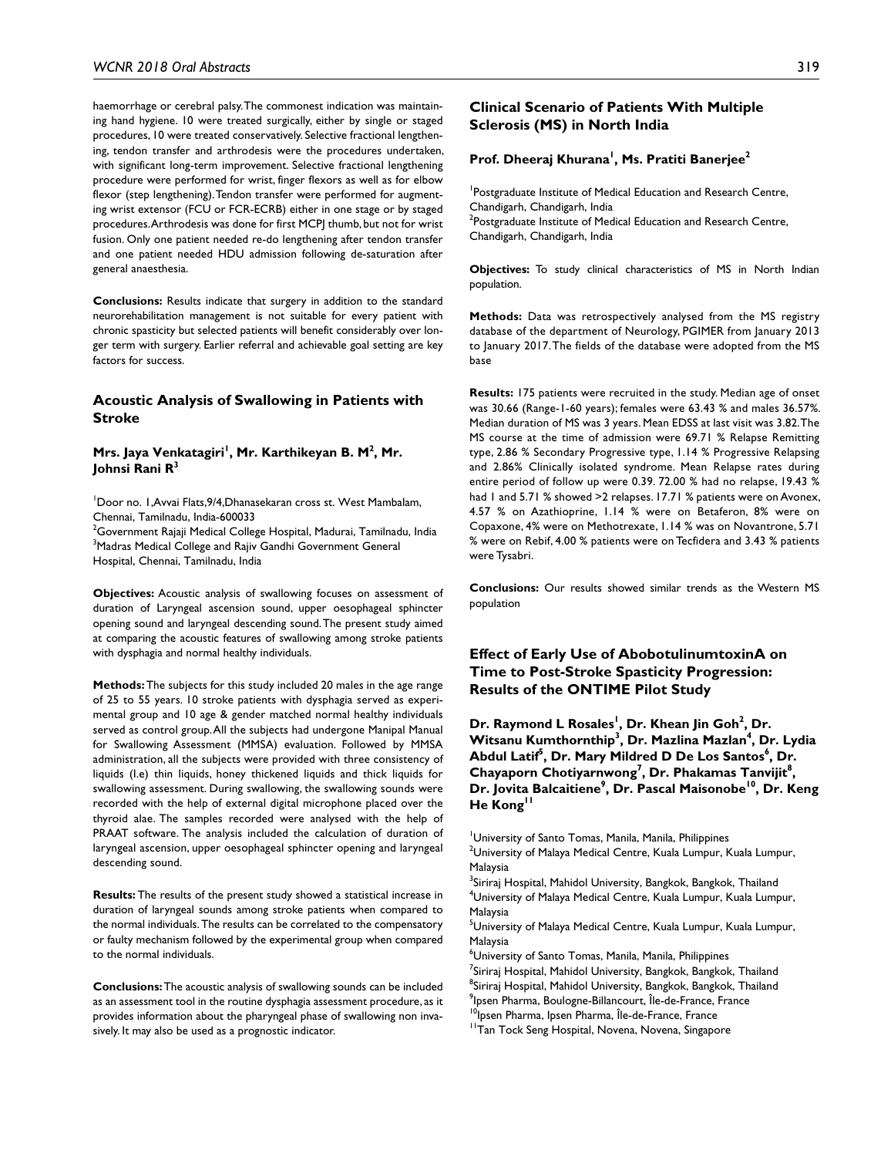haemorrhage or cerebral palsy. The commonest indication was maintaining hand hygiene. 10 were treated surgically, either by single or staged procedures, 10 were treated conservatively. Selective fractional lengthening, tendon transfer and arthrodesis were the procedures undertaken, with significant long-term improvement. Selective fractional lengthening procedure were performed for wrist, finger flexors as well as for elbow flexor (step lengthening). Tendon transfer were performed for augmenting wrist extensor (FCU or FCR-ECRB) either in one stage or by staged procedures. Arthrodesis was done for first MCPJ thumb, but not for wrist fusion. Only one patient needed re-do lengthening after tendon transfer and one patient needed HDU admission following de-saturation after general anaesthesia.

**Conclusions:** Results indicate that surgery in addition to the standard neurorehabilitation management is not suitable for every patient with chronic spasticity but selected patients will benefit considerably over longer term with surgery. Earlier referral and achievable goal setting are key factors for success.

### **Acoustic Analysis of Swallowing in Patients with Stroke**

### **Mrs. Jaya Venkatagiri<sup>'</sup>, Mr. Karthikeyan B. M<sup>2</sup>, Mr. Johnsi Rani R3**

1 Door no. 1,Avvai Flats,9/4,Dhanasekaran cross st. West Mambalam, Chennai, Tamilnadu, India-600033

 $^{\rm 2}$ Government Rajaji Medical College Hospital, Madurai, Tamilnadu, India <sup>3</sup>Madras Medical College and Rajiv Gandhi Government General Hospital, Chennai, Tamilnadu, India

**Objectives:** Acoustic analysis of swallowing focuses on assessment of duration of Laryngeal ascension sound, upper oesophageal sphincter opening sound and laryngeal descending sound. The present study aimed at comparing the acoustic features of swallowing among stroke patients with dysphagia and normal healthy individuals.

**Methods:** The subjects for this study included 20 males in the age range of 25 to 55 years. 10 stroke patients with dysphagia served as experimental group and 10 age & gender matched normal healthy individuals served as control group. All the subjects had undergone Manipal Manual for Swallowing Assessment (MMSA) evaluation. Followed by MMSA administration, all the subjects were provided with three consistency of liquids (I.e) thin liquids, honey thickened liquids and thick liquids for swallowing assessment. During swallowing, the swallowing sounds were recorded with the help of external digital microphone placed over the thyroid alae. The samples recorded were analysed with the help of PRAAT software. The analysis included the calculation of duration of laryngeal ascension, upper oesophageal sphincter opening and laryngeal descending sound.

**Results:** The results of the present study showed a statistical increase in duration of laryngeal sounds among stroke patients when compared to the normal individuals. The results can be correlated to the compensatory or faulty mechanism followed by the experimental group when compared to the normal individuals.

**Conclusions:** The acoustic analysis of swallowing sounds can be included as an assessment tool in the routine dysphagia assessment procedure, as it provides information about the pharyngeal phase of swallowing non invasively. It may also be used as a prognostic indicator.

#### **Clinical Scenario of Patients With Multiple Sclerosis (MS) in North India**

### Prof. Dheeraj Khurana<sup>1</sup>, Ms. Pratiti Banerjee<sup>2</sup>

<sup>1</sup>Postgraduate Institute of Medical Education and Research Centre, Chandigarh, Chandigarh, India  $^{2}$ Postgraduate Institute of Medical Education and Research Centre, Chandigarh, Chandigarh, India

**Objectives:** To study clinical characteristics of MS in North Indian population.

**Methods:** Data was retrospectively analysed from the MS registry database of the department of Neurology, PGIMER from January 2013 to January 2017. The fields of the database were adopted from the MS base

**Results:** 175 patients were recruited in the study. Median age of onset was 30.66 (Range-1-60 years); females were 63.43 % and males 36.57%. Median duration of MS was 3 years. Mean EDSS at last visit was 3.82. The MS course at the time of admission were 69.71 % Relapse Remitting type, 2.86 % Secondary Progressive type, 1.14 % Progressive Relapsing and 2.86% Clinically isolated syndrome. Mean Relapse rates during entire period of follow up were 0.39. 72.00 % had no relapse, 19.43 % had 1 and 5.71 % showed >2 relapses. 17.71 % patients were on Avonex, 4.57 % on Azathioprine, 1.14 % were on Betaferon, 8% were on Copaxone, 4% were on Methotrexate, 1.14 % was on Novantrone, 5.71 % were on Rebif, 4.00 % patients were on Tecfidera and 3.43 % patients were Tysabri.

**Conclusions:** Our results showed similar trends as the Western MS population

# **Effect of Early Use of AbobotulinumtoxinA on Time to Post-Stroke Spasticity Progression: Results of the ONTIME Pilot Study**

Dr. Raymond L Rosales<sup>!</sup>, Dr. Khean Jin Goh<sup>2</sup>, Dr. **Witsanu Kumthornthip3 , Dr. Mazlina Mazlan4 , Dr. Lydia**  Abdul Latif<sup>5</sup>, Dr. Mary Mildred D De Los Santos<sup>6</sup>, Dr. Chayaporn Chotiyarnwong<sup>7</sup>, Dr. Phakamas Tanvijit<sup>8</sup>, Dr. Jovita Balcaitiene<sup>9</sup>, Dr. Pascal Maisonobe<sup>10</sup>, Dr. Keng He Kong<sup>11</sup>

<sup>1</sup>University of Santo Tomas, Manila, Manila, Philippines

<sup>2</sup>University of Malaya Medical Centre, Kuala Lumpur, Kuala Lumpur, Malaysia

<sup>3</sup>Siriraj Hospital, Mahidol University, Bangkok, Bangkok, Thailand 4 University of Malaya Medical Centre, Kuala Lumpur, Kuala Lumpur, Malaysia

5 University of Malaya Medical Centre, Kuala Lumpur, Kuala Lumpur, Malaysia

 $^6$ University of Santo Tomas, Manila, Manila, Philippines

 $^7$ Siriraj Hospital, Mahidol University, Bangkok, Bangkok, Thailand <sup>8</sup>Siriraj Hospital, Mahidol University, Bangkok, Bangkok, Thailand  $^9$ lpsen Pharma, Boulogne-Billancourt, Île-de-France, France <sup>10</sup> Ipsen Pharma, Ipsen Pharma, Île-de-France, France

<sup>11</sup>Tan Tock Seng Hospital, Novena, Novena, Singapore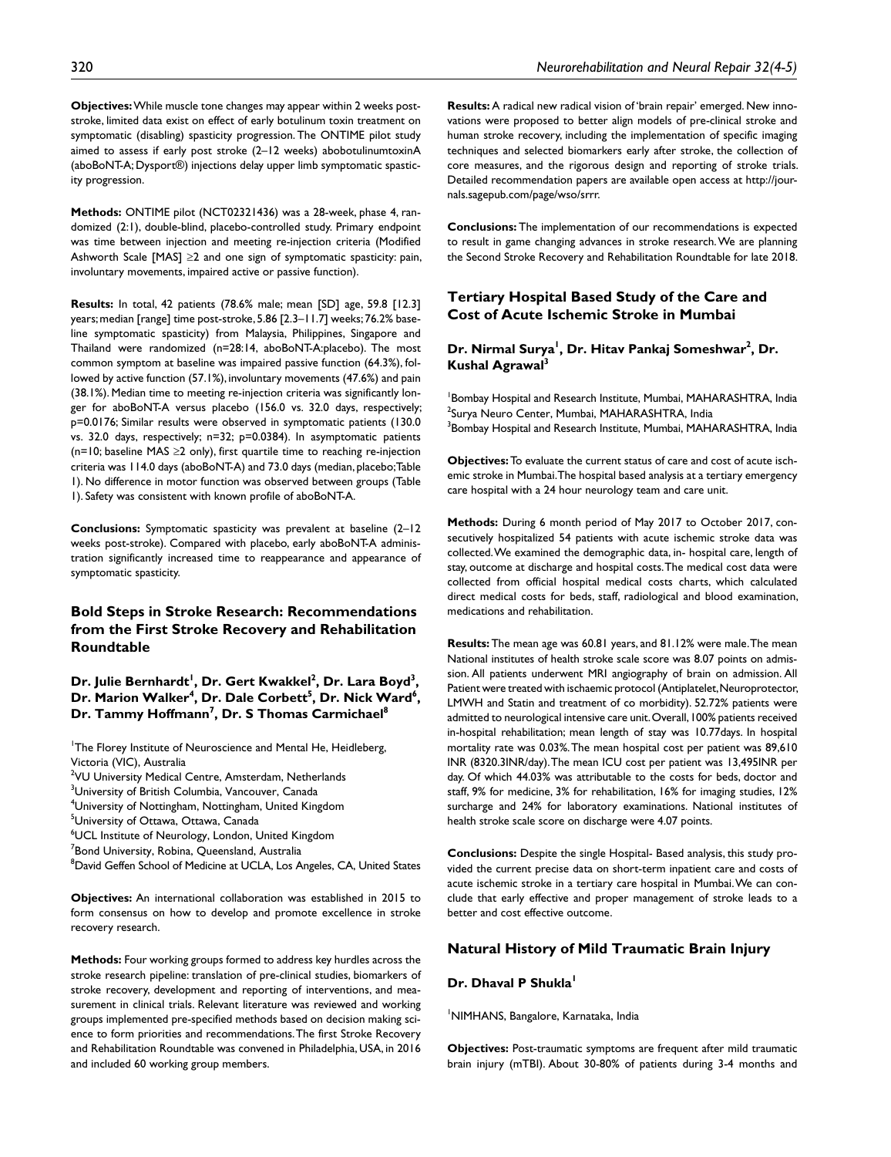**Objectives:** While muscle tone changes may appear within 2 weeks poststroke, limited data exist on effect of early botulinum toxin treatment on symptomatic (disabling) spasticity progression. The ONTIME pilot study aimed to assess if early post stroke (2–12 weeks) abobotulinumtoxinA (aboBoNT-A; Dysport®) injections delay upper limb symptomatic spasticity progression.

**Methods:** ONTIME pilot (NCT02321436) was a 28-week, phase 4, randomized (2:1), double-blind, placebo-controlled study. Primary endpoint was time between injection and meeting re-injection criteria (Modified Ashworth Scale  $[MAS] \geq 2$  and one sign of symptomatic spasticity: pain, involuntary movements, impaired active or passive function).

**Results:** In total, 42 patients (78.6% male; mean [SD] age, 59.8 [12.3] years; median [range] time post-stroke, 5.86 [2.3–11.7] weeks; 76.2% baseline symptomatic spasticity) from Malaysia, Philippines, Singapore and Thailand were randomized (n=28:14, aboBoNT-A:placebo). The most common symptom at baseline was impaired passive function (64.3%), followed by active function (57.1%), involuntary movements (47.6%) and pain (38.1%). Median time to meeting re-injection criteria was significantly longer for aboBoNT-A versus placebo (156.0 vs. 32.0 days, respectively; p=0.0176; Similar results were observed in symptomatic patients (130.0 vs. 32.0 days, respectively; n=32; p=0.0384). In asymptomatic patients (n=10; baseline MAS ≥2 only), first quartile time to reaching re-injection criteria was 114.0 days (aboBoNT-A) and 73.0 days (median, placebo; Table 1). No difference in motor function was observed between groups (Table 1). Safety was consistent with known profile of aboBoNT-A.

**Conclusions:** Symptomatic spasticity was prevalent at baseline (2–12 weeks post-stroke). Compared with placebo, early aboBoNT-A administration significantly increased time to reappearance and appearance of symptomatic spasticity.

# **Bold Steps in Stroke Research: Recommendations from the First Stroke Recovery and Rehabilitation Roundtable**

Dr. Julie Bernhardt<sup>I</sup>, Dr. Gert Kwakkel<sup>2</sup>, Dr. Lara Boyd<sup>3</sup>, Dr. Marion Walker<sup>4</sup>, Dr. Dale Corbett<sup>5</sup>, Dr. Nick Ward<sup>6</sup>, **Dr. Tammy Hoffmann7 , Dr. S Thomas Carmichael8**

<sup>1</sup>The Florey Institute of Neuroscience and Mental He, Heidleberg, Victoria (VIC), Australia

<sup>2</sup>VU University Medical Centre, Amsterdam, Netherlands

 $^3$ University of British Columbia, Vancouver, Canada

4 University of Nottingham, Nottingham, United Kingdom

5 University of Ottawa, Ottawa, Canada

6 UCL Institute of Neurology, London, United Kingdom

 ${\rm ^7}$ Bond University, Robina, Queensland, Australia

<sup>8</sup>David Geffen School of Medicine at UCLA, Los Angeles, CA, United States

**Objectives:** An international collaboration was established in 2015 to form consensus on how to develop and promote excellence in stroke recovery research.

**Methods:** Four working groups formed to address key hurdles across the stroke research pipeline: translation of pre-clinical studies, biomarkers of stroke recovery, development and reporting of interventions, and measurement in clinical trials. Relevant literature was reviewed and working groups implemented pre-specified methods based on decision making science to form priorities and recommendations. The first Stroke Recovery and Rehabilitation Roundtable was convened in Philadelphia, USA, in 2016 and included 60 working group members.

**Results:** A radical new radical vision of 'brain repair' emerged. New innovations were proposed to better align models of pre-clinical stroke and human stroke recovery, including the implementation of specific imaging techniques and selected biomarkers early after stroke, the collection of core measures, and the rigorous design and reporting of stroke trials. Detailed recommendation papers are available open access at [http://jour](http://journals.sagepub.com/page/wso/srrr)[nals.sagepub.com/page/wso/srrr.](http://journals.sagepub.com/page/wso/srrr)

**Conclusions:** The implementation of our recommendations is expected to result in game changing advances in stroke research. We are planning the Second Stroke Recovery and Rehabilitation Roundtable for late 2018.

# **Tertiary Hospital Based Study of the Care and Cost of Acute Ischemic Stroke in Mumbai**

### Dr. Nirmal Surya<sup>l</sup>, Dr. Hitav Pankaj Someshwar<sup>2</sup>, Dr. **Kushal Agrawal3**

1 Bombay Hospital and Research Institute, Mumbai, MAHARASHTRA, India <sup>2</sup>Surya Neuro Center, Mumbai, MAHARASHTRA, India  $^3$ Bombay Hospital and Research Institute, Mumbai, MAHARASHTRA, India

**Objectives:** To evaluate the current status of care and cost of acute ischemic stroke in Mumbai. The hospital based analysis at a tertiary emergency care hospital with a 24 hour neurology team and care unit.

**Methods:** During 6 month period of May 2017 to October 2017, consecutively hospitalized 54 patients with acute ischemic stroke data was collected. We examined the demographic data, in- hospital care, length of stay, outcome at discharge and hospital costs. The medical cost data were collected from official hospital medical costs charts, which calculated direct medical costs for beds, staff, radiological and blood examination, medications and rehabilitation.

**Results:** The mean age was 60.81 years, and 81.12% were male. The mean National institutes of health stroke scale score was 8.07 points on admission. All patients underwent MRI angiography of brain on admission. All Patient were treated with ischaemic protocol (Antiplatelet, Neuroprotector, LMWH and Statin and treatment of co morbidity). 52.72% patients were admitted to neurological intensive care unit. Overall, 100% patients received in-hospital rehabilitation; mean length of stay was 10.77days. In hospital mortality rate was 0.03%. The mean hospital cost per patient was 89,610 INR (8320.3INR/day). The mean ICU cost per patient was 13,495INR per day. Of which 44.03% was attributable to the costs for beds, doctor and staff, 9% for medicine, 3% for rehabilitation, 16% for imaging studies, 12% surcharge and 24% for laboratory examinations. National institutes of health stroke scale score on discharge were 4.07 points.

**Conclusions:** Despite the single Hospital- Based analysis, this study provided the current precise data on short-term inpatient care and costs of acute ischemic stroke in a tertiary care hospital in Mumbai. We can conclude that early effective and proper management of stroke leads to a better and cost effective outcome.

### **Natural History of Mild Traumatic Brain Injury**

#### **Dr. Dhaval P Shukla**

1 NIMHANS, Bangalore, Karnataka, India

**Objectives:** Post-traumatic symptoms are frequent after mild traumatic brain injury (mTBI). About 30-80% of patients during 3-4 months and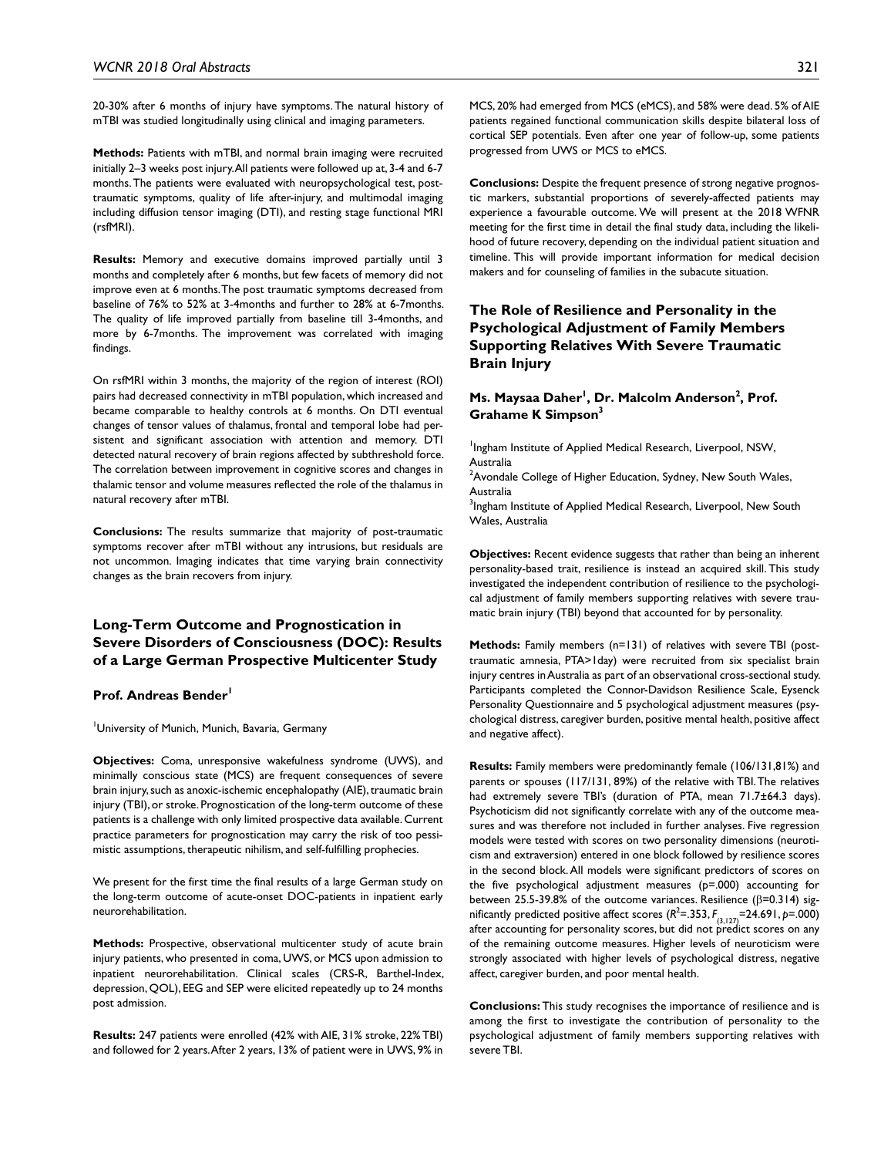20-30% after 6 months of injury have symptoms. The natural history of mTBI was studied longitudinally using clinical and imaging parameters.

**Methods:** Patients with mTBI, and normal brain imaging were recruited initially 2–3 weeks post injury. All patients were followed up at, 3-4 and 6-7 months. The patients were evaluated with neuropsychological test, posttraumatic symptoms, quality of life after-injury, and multimodal imaging including diffusion tensor imaging (DTI), and resting stage functional MRI (rsfMRI).

**Results:** Memory and executive domains improved partially until 3 months and completely after 6 months, but few facets of memory did not improve even at 6 months. The post traumatic symptoms decreased from baseline of 76% to 52% at 3-4months and further to 28% at 6-7months. The quality of life improved partially from baseline till 3-4months, and more by 6-7months. The improvement was correlated with imaging findings.

On rsfMRI within 3 months, the majority of the region of interest (ROI) pairs had decreased connectivity in mTBI population, which increased and became comparable to healthy controls at 6 months. On DTI eventual changes of tensor values of thalamus, frontal and temporal lobe had persistent and significant association with attention and memory. DTI detected natural recovery of brain regions affected by subthreshold force. The correlation between improvement in cognitive scores and changes in thalamic tensor and volume measures reflected the role of the thalamus in natural recovery after mTBI.

**Conclusions:** The results summarize that majority of post-traumatic symptoms recover after mTBI without any intrusions, but residuals are not uncommon. Imaging indicates that time varying brain connectivity changes as the brain recovers from injury.

# **Long-Term Outcome and Prognostication in Severe Disorders of Consciousness (DOC): Results of a Large German Prospective Multicenter Study**

Prof. Andreas Bender<sup>1</sup>

<sup>1</sup>University of Munich, Munich, Bavaria, Germany

**Objectives:** Coma, unresponsive wakefulness syndrome (UWS), and minimally conscious state (MCS) are frequent consequences of severe brain injury, such as anoxic-ischemic encephalopathy (AIE), traumatic brain injury (TBI), or stroke. Prognostication of the long-term outcome of these patients is a challenge with only limited prospective data available. Current practice parameters for prognostication may carry the risk of too pessimistic assumptions, therapeutic nihilism, and self-fulfilling prophecies.

We present for the first time the final results of a large German study on the long-term outcome of acute-onset DOC-patients in inpatient early neurorehabilitation.

**Methods:** Prospective, observational multicenter study of acute brain injury patients, who presented in coma, UWS, or MCS upon admission to inpatient neurorehabilitation. Clinical scales (CRS-R, Barthel-Index, depression, QOL), EEG and SEP were elicited repeatedly up to 24 months post admission.

**Results:** 247 patients were enrolled (42% with AIE, 31% stroke, 22% TBI) and followed for 2 years. After 2 years, 13% of patient were in UWS, 9% in MCS, 20% had emerged from MCS (eMCS), and 58% were dead. 5% of AIE patients regained functional communication skills despite bilateral loss of cortical SEP potentials. Even after one year of follow-up, some patients progressed from UWS or MCS to eMCS.

**Conclusions:** Despite the frequent presence of strong negative prognostic markers, substantial proportions of severely-affected patients may experience a favourable outcome. We will present at the 2018 WFNR meeting for the first time in detail the final study data, including the likelihood of future recovery, depending on the individual patient situation and timeline. This will provide important information for medical decision makers and for counseling of families in the subacute situation.

# **The Role of Resilience and Personality in the Psychological Adjustment of Family Members Supporting Relatives With Severe Traumatic Brain Injury**

### **Ms. Maysaa Daher<sup>1</sup>, Dr. Malcolm Anderson<sup>2</sup>, Prof. Grahame K Simpson3**

<sup>1</sup>Ingham Institute of Applied Medical Research, Liverpool, NSW, Australia

 $2$ Avondale College of Higher Education, Sydney, New South Wales, Australia

<sup>3</sup>Ingham Institute of Applied Medical Research, Liverpool, New South Wales, Australia

**Objectives:** Recent evidence suggests that rather than being an inherent personality-based trait, resilience is instead an acquired skill. This study investigated the independent contribution of resilience to the psychological adjustment of family members supporting relatives with severe traumatic brain injury (TBI) beyond that accounted for by personality.

**Methods:** Family members (n=131) of relatives with severe TBI (posttraumatic amnesia, PTA>1day) were recruited from six specialist brain injury centres in Australia as part of an observational cross-sectional study. Participants completed the Connor-Davidson Resilience Scale, Eysenck Personality Questionnaire and 5 psychological adjustment measures (psychological distress, caregiver burden, positive mental health, positive affect and negative affect).

**Results:** Family members were predominantly female (106/131,81%) and parents or spouses (117/131, 89%) of the relative with TBI. The relatives had extremely severe TBI's (duration of PTA, mean 71.7±64.3 days). Psychoticism did not significantly correlate with any of the outcome measures and was therefore not included in further analyses. Five regression models were tested with scores on two personality dimensions (neuroticism and extraversion) entered in one block followed by resilience scores in the second block. All models were significant predictors of scores on the five psychological adjustment measures (p=.000) accounting for between 25.5-39.8% of the outcome variances. Resilience (β=0.314) significantly predicted positive affect scores  $(R^2=353, F_{(3,127)}=24.691, p=.000)$ after accounting for personality scores, but did not predict scores on any of the remaining outcome measures. Higher levels of neuroticism were strongly associated with higher levels of psychological distress, negative affect, caregiver burden, and poor mental health.

**Conclusions:** This study recognises the importance of resilience and is among the first to investigate the contribution of personality to the psychological adjustment of family members supporting relatives with severe TBI.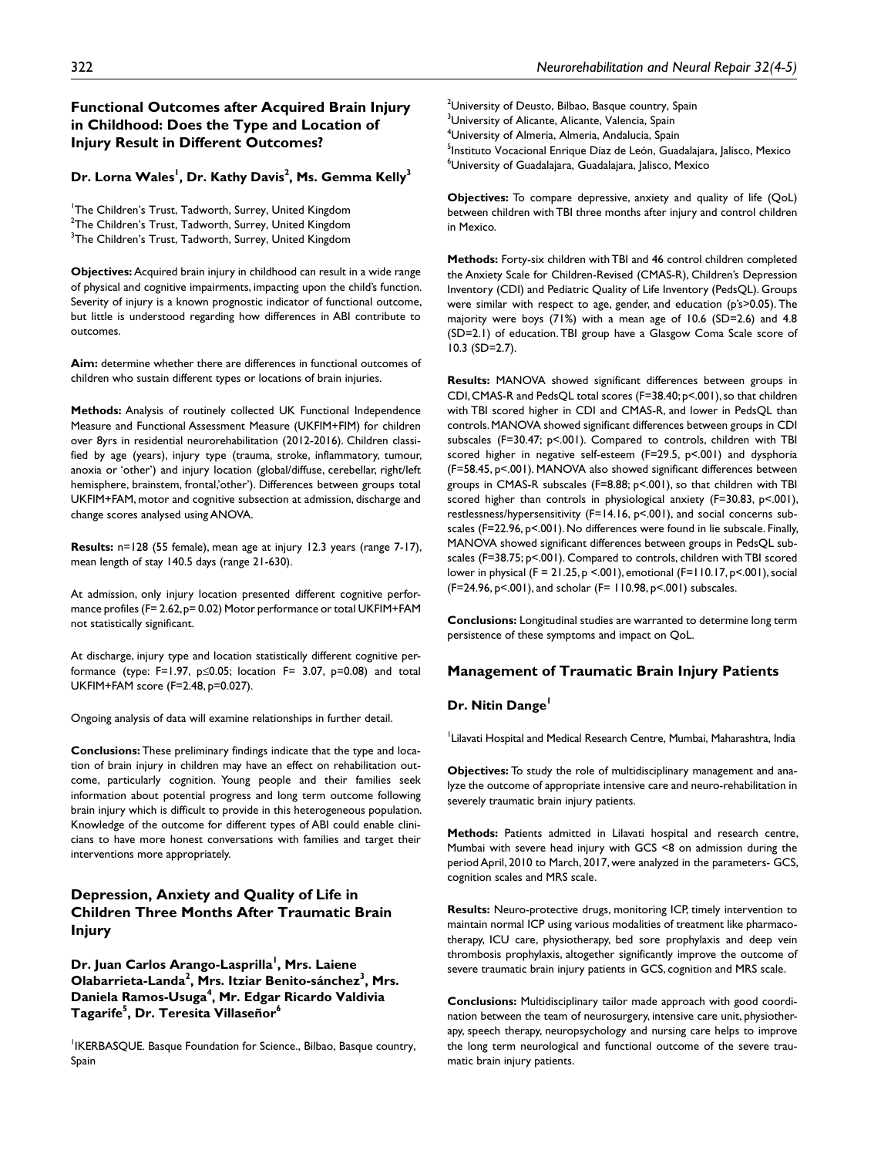### **Functional Outcomes after Acquired Brain Injury in Childhood: Does the Type and Location of Injury Result in Different Outcomes?**

#### Dr. Lorna Wales<sup>I</sup>, Dr. Kathy Davis<sup>2</sup>, Ms. Gemma Kelly<sup>3</sup>

<sup>1</sup>The Children's Trust, Tadworth, Surrey, United Kingdom  $^{2}$ The Children's Trust, Tadworth, Surrey, United Kingdom  $^3$ The Children's Trust, Tadworth, Surrey, United Kingdom

**Objectives:** Acquired brain injury in childhood can result in a wide range of physical and cognitive impairments, impacting upon the child's function. Severity of injury is a known prognostic indicator of functional outcome, but little is understood regarding how differences in ABI contribute to outcomes.

**Aim:** determine whether there are differences in functional outcomes of children who sustain different types or locations of brain injuries.

**Methods:** Analysis of routinely collected UK Functional Independence Measure and Functional Assessment Measure (UKFIM+FIM) for children over 8yrs in residential neurorehabilitation (2012-2016). Children classified by age (years), injury type (trauma, stroke, inflammatory, tumour, anoxia or 'other') and injury location (global/diffuse, cerebellar, right/left hemisphere, brainstem, frontal,'other'). Differences between groups total UKFIM+FAM, motor and cognitive subsection at admission, discharge and change scores analysed using ANOVA.

**Results:** n=128 (55 female), mean age at injury 12.3 years (range 7-17), mean length of stay 140.5 days (range 21-630).

At admission, only injury location presented different cognitive performance profiles (F= 2.62, p= 0.02) Motor performance or total UKFIM+FAM not statistically significant.

At discharge, injury type and location statistically different cognitive performance (type:  $F=1.97$ ,  $p\leq 0.05$ ; location  $F= 3.07$ ,  $p=0.08$ ) and total UKFIM+FAM score (F=2.48, p=0.027).

Ongoing analysis of data will examine relationships in further detail.

**Conclusions:** These preliminary findings indicate that the type and location of brain injury in children may have an effect on rehabilitation outcome, particularly cognition. Young people and their families seek information about potential progress and long term outcome following brain injury which is difficult to provide in this heterogeneous population. Knowledge of the outcome for different types of ABI could enable clinicians to have more honest conversations with families and target their interventions more appropriately.

# **Depression, Anxiety and Quality of Life in Children Three Months After Traumatic Brain Injury**

Dr. Juan Carlos Arango-Lasprilla<sup>1</sup>, Mrs. Laiene Olabarrieta-Landa<sup>2</sup>, Mrs. Itziar Benito-sánchez<sup>3</sup>, Mrs. **Daniela Ramos-Usuga4 , Mr. Edgar Ricardo Valdivia Tagarife<sup>5</sup> , Dr. Teresita Villaseñor6**

<sup>1</sup>IKERBASQUE. Basque Foundation for Science., Bilbao, Basque country, Spain

 $^2$ University of Deusto, Bilbao, Basque country, Spain <sup>3</sup>University of Alicante, Alicante, Valencia, Spain 4 University of Almeria, Almeria, Andalucia, Spain <sup>5</sup>Instituto Vocacional Enrique Díaz de León, Guadalajara, Jalisco, Mexico 6 University of Guadalajara, Guadalajara, Jalisco, Mexico

**Objectives:** To compare depressive, anxiety and quality of life (QoL) between children with TBI three months after injury and control children in Mexico.

**Methods:** Forty-six children with TBI and 46 control children completed the Anxiety Scale for Children-Revised (CMAS-R), Children's Depression Inventory (CDI) and Pediatric Quality of Life Inventory (PedsQL). Groups were similar with respect to age, gender, and education (p's>0.05). The majority were boys (71%) with a mean age of 10.6 (SD=2.6) and 4.8 (SD=2.1) of education. TBI group have a Glasgow Coma Scale score of 10.3 (SD=2.7).

**Results:** MANOVA showed significant differences between groups in CDI, CMAS-R and PedsQL total scores (F=38.40; p<.001), so that children with TBI scored higher in CDI and CMAS-R, and lower in PedsQL than controls. MANOVA showed significant differences between groups in CDI subscales (F=30.47; p<.001). Compared to controls, children with TBI scored higher in negative self-esteem (F=29.5, p<.001) and dysphoria (F=58.45, p<.001). MANOVA also showed significant differences between groups in CMAS-R subscales (F=8.88; p<.001), so that children with TBI scored higher than controls in physiological anxiety (F=30.83, p<.001), restlessness/hypersensitivity (F=14.16, p<.001), and social concerns subscales (F=22.96, p<.001). No differences were found in lie subscale. Finally, MANOVA showed significant differences between groups in PedsQL subscales (F=38.75; p<.001). Compared to controls, children with TBI scored lower in physical (F = 21.25, p <.001), emotional (F=110.17, p<.001), social (F=24.96, p<.001), and scholar (F= 110.98, p<.001) subscales.

**Conclusions:** Longitudinal studies are warranted to determine long term persistence of these symptoms and impact on QoL.

# **Management of Traumatic Brain Injury Patients**

### **Dr. Nitin Dange<sup>1</sup>**

1 Lilavati Hospital and Medical Research Centre, Mumbai, Maharashtra, India

**Objectives:** To study the role of multidisciplinary management and analyze the outcome of appropriate intensive care and neuro-rehabilitation in severely traumatic brain injury patients.

**Methods:** Patients admitted in Lilavati hospital and research centre, Mumbai with severe head injury with GCS <8 on admission during the period April, 2010 to March, 2017, were analyzed in the parameters- GCS, cognition scales and MRS scale.

**Results:** Neuro-protective drugs, monitoring ICP, timely intervention to maintain normal ICP using various modalities of treatment like pharmacotherapy, ICU care, physiotherapy, bed sore prophylaxis and deep vein thrombosis prophylaxis, altogether significantly improve the outcome of severe traumatic brain injury patients in GCS, cognition and MRS scale.

**Conclusions:** Multidisciplinary tailor made approach with good coordination between the team of neurosurgery, intensive care unit, physiotherapy, speech therapy, neuropsychology and nursing care helps to improve the long term neurological and functional outcome of the severe traumatic brain injury patients.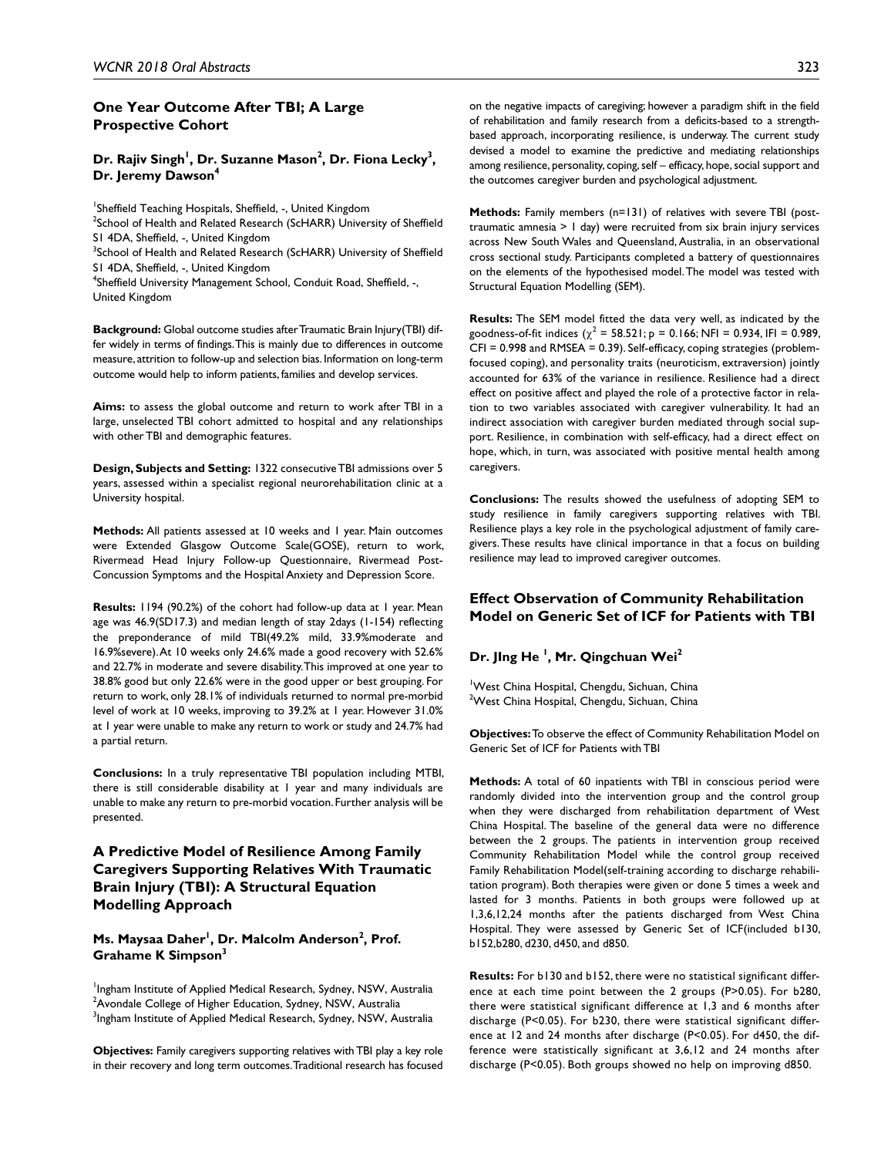#### **One Year Outcome After TBI; A Large Prospective Cohort**

Dr. Rajiv Singh<sup>1</sup>, Dr. Suzanne Mason<sup>2</sup>, Dr. Fiona Lecky<sup>3</sup>, **Dr. Jeremy Dawson4**

<sup>1</sup>Sheffield Teaching Hospitals, Sheffield, -, United Kingdom <sup>2</sup>School of Health and Related Research (ScHARR) University of Sheffield S1 4DA, Sheffield, -, United Kingdom <sup>3</sup>School of Health and Related Research (ScHARR) University of Sheffield

S1 4DA, Sheffield, -, United Kingdom

<sup>4</sup>Sheffield University Management School, Conduit Road, Sheffield, -, United Kingdom

**Background:** Global outcome studies after Traumatic Brain Injury(TBI) differ widely in terms of findings. This is mainly due to differences in outcome measure, attrition to follow-up and selection bias. Information on long-term outcome would help to inform patients, families and develop services.

**Aims:** to assess the global outcome and return to work after TBI in a large, unselected TBI cohort admitted to hospital and any relationships with other TBI and demographic features.

**Design, Subjects and Setting:** 1322 consecutive TBI admissions over 5 years, assessed within a specialist regional neurorehabilitation clinic at a University hospital.

**Methods:** All patients assessed at 10 weeks and 1 year. Main outcomes were Extended Glasgow Outcome Scale(GOSE), return to work, Rivermead Head Injury Follow-up Questionnaire, Rivermead Post-Concussion Symptoms and the Hospital Anxiety and Depression Score.

**Results:** 1194 (90.2%) of the cohort had follow-up data at 1 year. Mean age was 46.9(SD17.3) and median length of stay 2days (1-154) reflecting the preponderance of mild TBI(49.2% mild, 33.9%moderate and 16.9%severe). At 10 weeks only 24.6% made a good recovery with 52.6% and 22.7% in moderate and severe disability. This improved at one year to 38.8% good but only 22.6% were in the good upper or best grouping. For return to work, only 28.1% of individuals returned to normal pre-morbid level of work at 10 weeks, improving to 39.2% at 1 year. However 31.0% at 1 year were unable to make any return to work or study and 24.7% had a partial return.

**Conclusions:** In a truly representative TBI population including MTBI, there is still considerable disability at 1 year and many individuals are unable to make any return to pre-morbid vocation. Further analysis will be presented.

# **A Predictive Model of Resilience Among Family Caregivers Supporting Relatives With Traumatic Brain Injury (TBI): A Structural Equation Modelling Approach**

**Ms. Maysaa Daher<sup>1</sup>, Dr. Malcolm Anderson<sup>2</sup>, Prof. Grahame K Simpson3**

<sup>1</sup>Ingham Institute of Applied Medical Research, Sydney, NSW, Australia  $^2$ Avondale College of Higher Education, Sydney, NSW, Australia  $^3$ Ingham Institute of Applied Medical Research, Sydney, NSW, Australia

**Objectives:** Family caregivers supporting relatives with TBI play a key role in their recovery and long term outcomes. Traditional research has focused

on the negative impacts of caregiving; however a paradigm shift in the field of rehabilitation and family research from a deficits-based to a strengthbased approach, incorporating resilience, is underway. The current study devised a model to examine the predictive and mediating relationships among resilience, personality, coping, self – efficacy, hope, social support and the outcomes caregiver burden and psychological adjustment.

**Methods:** Family members (n=131) of relatives with severe TBI (posttraumatic amnesia > 1 day) were recruited from six brain injury services across New South Wales and Queensland, Australia, in an observational cross sectional study. Participants completed a battery of questionnaires on the elements of the hypothesised model. The model was tested with Structural Equation Modelling (SEM).

**Results:** The SEM model fitted the data very well, as indicated by the goodness-of-fit indices  $(\chi^2 = 58.521; p = 0.166; NFI = 0.934, IFI = 0.989,$ CFI = 0.998 and RMSEA = 0.39). Self-efficacy, coping strategies (problemfocused coping), and personality traits (neuroticism, extraversion) jointly accounted for 63% of the variance in resilience. Resilience had a direct effect on positive affect and played the role of a protective factor in relation to two variables associated with caregiver vulnerability. It had an indirect association with caregiver burden mediated through social support. Resilience, in combination with self-efficacy, had a direct effect on hope, which, in turn, was associated with positive mental health among caregivers.

**Conclusions:** The results showed the usefulness of adopting SEM to study resilience in family caregivers supporting relatives with TBI. Resilience plays a key role in the psychological adjustment of family caregivers. These results have clinical importance in that a focus on building resilience may lead to improved caregiver outcomes.

### **Effect Observation of Community Rehabilitation Model on Generic Set of ICF for Patients with TBI**

# **Dr. JIng He 1 , Mr. Qingchuan Wei2**

1 West China Hospital, Chengdu, Sichuan, China <sup>2</sup>West China Hospital, Chengdu, Sichuan, China

**Objectives:** To observe the effect of Community Rehabilitation Model on Generic Set of ICF for Patients with TBI

**Methods:** A total of 60 inpatients with TBI in conscious period were randomly divided into the intervention group and the control group when they were discharged from rehabilitation department of West China Hospital. The baseline of the general data were no difference between the 2 groups. The patients in intervention group received Community Rehabilitation Model while the control group received Family Rehabilitation Model(self-training according to discharge rehabilitation program). Both therapies were given or done 5 times a week and lasted for 3 months. Patients in both groups were followed up at 1,3,6,12,24 months after the patients discharged from West China Hospital. They were assessed by Generic Set of ICF(included b130, b152,b280, d230, d450, and d850.

**Results:** For b130 and b152, there were no statistical significant difference at each time point between the 2 groups (P>0.05). For b280, there were statistical significant difference at 1,3 and 6 months after discharge (P<0.05). For b230, there were statistical significant difference at 12 and 24 months after discharge (P<0.05). For d450, the difference were statistically significant at 3,6,12 and 24 months after discharge (P<0.05). Both groups showed no help on improving d850.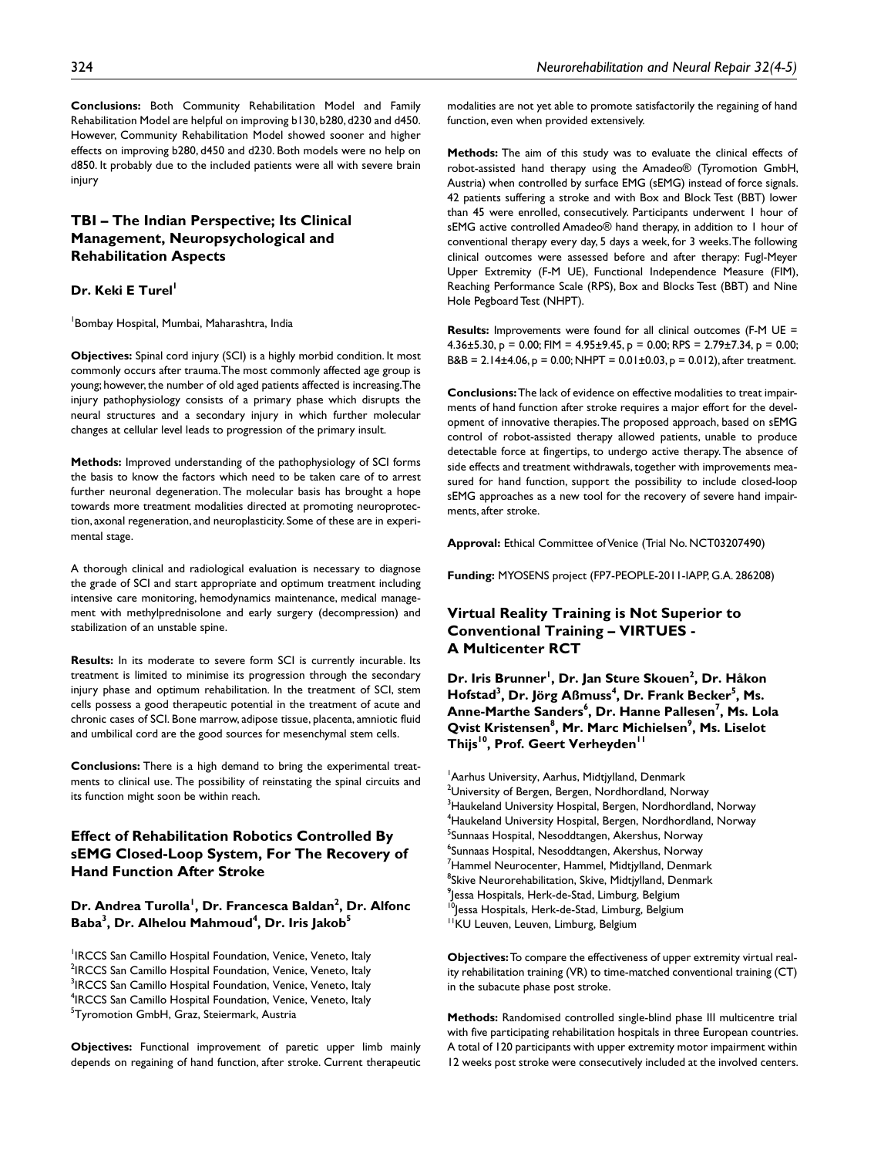**Conclusions:** Both Community Rehabilitation Model and Family Rehabilitation Model are helpful on improving b130, b280, d230 and d450. However, Community Rehabilitation Model showed sooner and higher effects on improving b280, d450 and d230. Both models were no help on d850. It probably due to the included patients were all with severe brain injury

# **TBI – The Indian Perspective; Its Clinical Management, Neuropsychological and Rehabilitation Aspects**

### **Dr. Keki E Turel**

1 Bombay Hospital, Mumbai, Maharashtra, India

**Objectives:** Spinal cord injury (SCI) is a highly morbid condition. It most commonly occurs after trauma. The most commonly affected age group is young; however, the number of old aged patients affected is increasing.The injury pathophysiology consists of a primary phase which disrupts the neural structures and a secondary injury in which further molecular changes at cellular level leads to progression of the primary insult.

**Methods:** Improved understanding of the pathophysiology of SCI forms the basis to know the factors which need to be taken care of to arrest further neuronal degeneration. The molecular basis has brought a hope towards more treatment modalities directed at promoting neuroprotection, axonal regeneration, and neuroplasticity. Some of these are in experimental stage.

A thorough clinical and radiological evaluation is necessary to diagnose the grade of SCI and start appropriate and optimum treatment including intensive care monitoring, hemodynamics maintenance, medical management with methylprednisolone and early surgery (decompression) and stabilization of an unstable spine.

**Results:** In its moderate to severe form SCI is currently incurable. Its treatment is limited to minimise its progression through the secondary injury phase and optimum rehabilitation. In the treatment of SCI, stem cells possess a good therapeutic potential in the treatment of acute and chronic cases of SCI. Bone marrow, adipose tissue, placenta, amniotic fluid and umbilical cord are the good sources for mesenchymal stem cells.

**Conclusions:** There is a high demand to bring the experimental treatments to clinical use. The possibility of reinstating the spinal circuits and its function might soon be within reach.

# **Effect of Rehabilitation Robotics Controlled By sEMG Closed-Loop System, For The Recovery of Hand Function After Stroke**

### Dr. Andrea Turolla<sup>l</sup>, Dr. Francesca Baldan<sup>2</sup>, Dr. Alfonc **Baba** $^3$ **, Dr. Alhelou Mahmoud** $^4$ **, Dr. Iris Jakob** $^5$

<sup>1</sup>IRCCS San Camillo Hospital Foundation, Venice, Veneto, Italy <sup>2</sup>IRCCS San Camillo Hospital Foundation, Venice, Veneto, Italy <sup>3</sup>IRCCS San Camillo Hospital Foundation, Venice, Veneto, Italy <sup>4</sup>IRCCS San Camillo Hospital Foundation, Venice, Veneto, Italy <sup>5</sup>Tyromotion GmbH, Graz, Steiermark, Austria

**Objectives:** Functional improvement of paretic upper limb mainly depends on regaining of hand function, after stroke. Current therapeutic

modalities are not yet able to promote satisfactorily the regaining of hand function, even when provided extensively.

**Methods:** The aim of this study was to evaluate the clinical effects of robot-assisted hand therapy using the Amadeo® (Tyromotion GmbH, Austria) when controlled by surface EMG (sEMG) instead of force signals. 42 patients suffering a stroke and with Box and Block Test (BBT) lower than 45 were enrolled, consecutively. Participants underwent 1 hour of sEMG active controlled Amadeo® hand therapy, in addition to 1 hour of conventional therapy every day, 5 days a week, for 3 weeks. The following clinical outcomes were assessed before and after therapy: Fugl-Meyer Upper Extremity (F-M UE), Functional Independence Measure (FIM), Reaching Performance Scale (RPS), Box and Blocks Test (BBT) and Nine Hole Pegboard Test (NHPT).

**Results:** Improvements were found for all clinical outcomes (F-M UE = 4.36 $\pm$ 5.30, p = 0.00; FIM = 4.95 $\pm$ 9.45, p = 0.00; RPS = 2.79 $\pm$ 7.34, p = 0.00; B&B = 2.14±4.06, p = 0.00; NHPT =  $0.01\pm0.03$ , p = 0.012), after treatment.

**Conclusions:** The lack of evidence on effective modalities to treat impairments of hand function after stroke requires a major effort for the development of innovative therapies. The proposed approach, based on sEMG control of robot-assisted therapy allowed patients, unable to produce detectable force at fingertips, to undergo active therapy. The absence of side effects and treatment withdrawals, together with improvements measured for hand function, support the possibility to include closed-loop sEMG approaches as a new tool for the recovery of severe hand impairments, after stroke.

**Approval:** Ethical Committee of Venice (Trial No. NCT03207490)

**Funding:** MYOSENS project (FP7-PEOPLE-2011-IAPP, G.A. 286208)

# **Virtual Reality Training is Not Superior to Conventional Training – VIRTUES - A Multicenter RCT**

**Dr. Iris Brunner<sup>!</sup>, Dr. Jan Sture Skouen<sup>2</sup>, Dr. Håkon**  $H$ ofstad<sup>3</sup>, Dr. Jörg Aßmuss<sup>4</sup>, Dr. Frank Becker<sup>5</sup>, Ms. **Anne-Marthe Sanders6 , Dr. Hanne Pallesen7 , Ms. Lola Qvist Kristensen** $^8$ **, Mr. Marc Michielsen** $^9$ **, Ms. Liselot** Thijs<sup>10</sup>, Prof. Geert Verheyden<sup>11</sup>

<sup>1</sup> Aarhus University, Aarhus, Midtjylland, Denmark  $^{\rm 2}$ University of Bergen, Bergen, Nordhordland, Norway  $^3$ Haukeland University Hospital, Bergen, Nordhordland, Norway 4 Haukeland University Hospital, Bergen, Nordhordland, Norway <sup>5</sup>Sunnaas Hospital, Nesoddtangen, Akershus, Norway <sup>6</sup>Sunnaas Hospital, Nesoddtangen, Akershus, Norway <sup>7</sup>Hammel Neurocenter, Hammel, Midtjylland, Denmark <sup>8</sup>Skive Neurorehabilitation, Skive, Midtjylland, Denmark  $^9$ Jessa Hospitals, Herk-de-Stad, Limburg, Belgium <sup>0</sup>Jessa Hospitals, Herk-de-Stad, Limburg, Belgium <sup>11</sup>KU Leuven, Leuven, Limburg, Belgium

**Objectives:** To compare the effectiveness of upper extremity virtual reality rehabilitation training (VR) to time-matched conventional training (CT) in the subacute phase post stroke.

**Methods:** Randomised controlled single-blind phase III multicentre trial with five participating rehabilitation hospitals in three European countries. A total of 120 participants with upper extremity motor impairment within 12 weeks post stroke were consecutively included at the involved centers.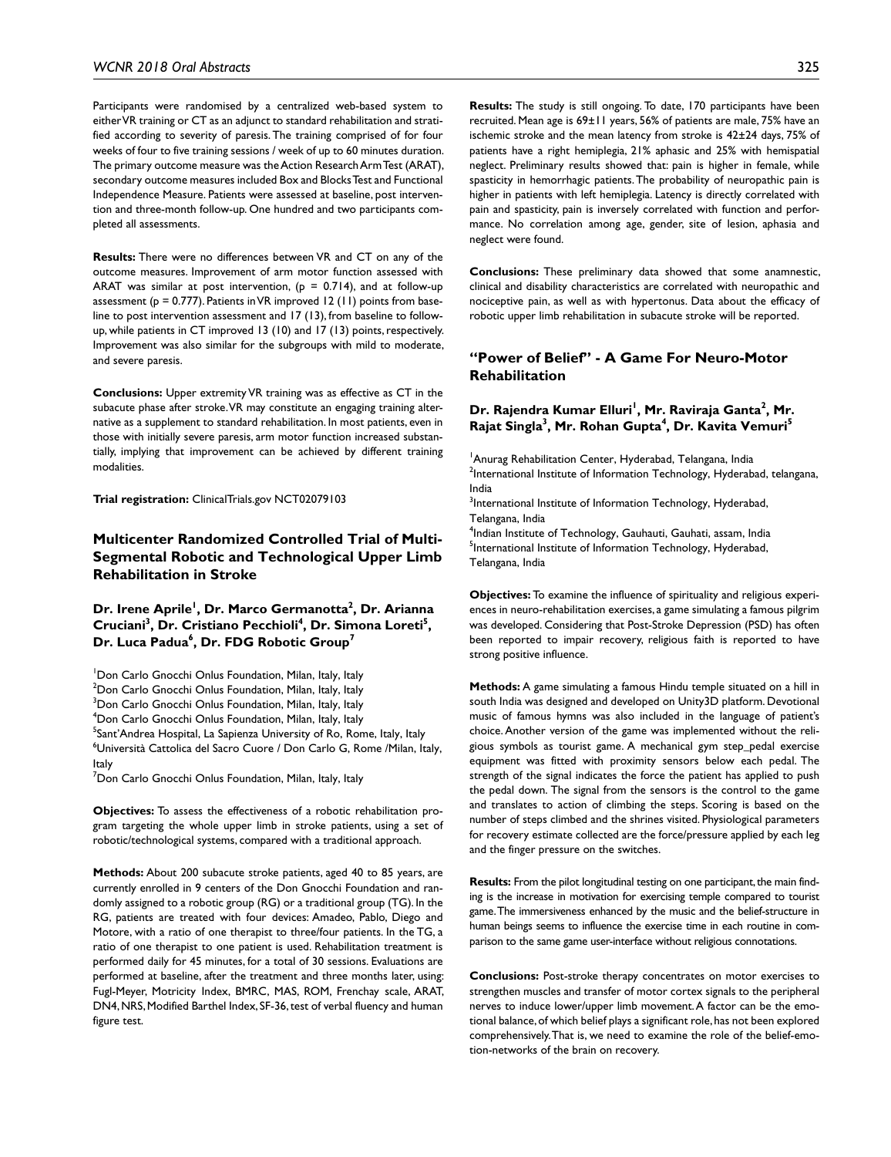Participants were randomised by a centralized web-based system to either VR training or CT as an adjunct to standard rehabilitation and stratified according to severity of paresis. The training comprised of for four weeks of four to five training sessions / week of up to 60 minutes duration. The primary outcome measure was the Action Research Arm Test (ARAT), secondary outcome measures included Box and Blocks Test and Functional Independence Measure. Patients were assessed at baseline, post intervention and three-month follow-up. One hundred and two participants completed all assessments.

**Results:** There were no differences between VR and CT on any of the outcome measures. Improvement of arm motor function assessed with ARAT was similar at post intervention,  $(p = 0.714)$ , and at follow-up assessment ( $p = 0.777$ ). Patients in VR improved 12 (11) points from baseline to post intervention assessment and 17 (13), from baseline to followup, while patients in CT improved 13 (10) and 17 (13) points, respectively. Improvement was also similar for the subgroups with mild to moderate, and severe paresis.

**Conclusions:** Upper extremity VR training was as effective as CT in the subacute phase after stroke. VR may constitute an engaging training alternative as a supplement to standard rehabilitation. In most patients, even in those with initially severe paresis, arm motor function increased substantially, implying that improvement can be achieved by different training modalities.

**Trial registration:** ClinicalTrials.gov NCT02079103

# **Multicenter Randomized Controlled Trial of Multi-Segmental Robotic and Technological Upper Limb Rehabilitation in Stroke**

**Dr. Irene Aprile1 , Dr. Marco Germanotta2 , Dr. Arianna**  Cruciani<sup>3</sup>, Dr. Cristiano Pecchioli<sup>4</sup>, Dr. Simona Loreti<sup>5</sup>, Dr. Luca Padua<sup>6</sup>, Dr. FDG Robotic Group<sup>7</sup>

<sup>1</sup>Don Carlo Gnocchi Onlus Foundation, Milan, Italy, Italy <sup>2</sup>Don Carlo Gnocchi Onlus Foundation, Milan, Italy, Italy <sup>3</sup>Don Carlo Gnocchi Onlus Foundation, Milan, Italy, Italy 4 Don Carlo Gnocchi Onlus Foundation, Milan, Italy, Italy <sup>5</sup>Sant'Andrea Hospital, La Sapienza University of Ro, Rome, Italy, Italy 6 Università Cattolica del Sacro Cuore / Don Carlo G, Rome /Milan, Italy, Italy

<sup>7</sup>Don Carlo Gnocchi Onlus Foundation, Milan, Italy, Italy

**Objectives:** To assess the effectiveness of a robotic rehabilitation program targeting the whole upper limb in stroke patients, using a set of robotic/technological systems, compared with a traditional approach.

**Methods:** About 200 subacute stroke patients, aged 40 to 85 years, are currently enrolled in 9 centers of the Don Gnocchi Foundation and randomly assigned to a robotic group (RG) or a traditional group (TG). In the RG, patients are treated with four devices: Amadeo, Pablo, Diego and Motore, with a ratio of one therapist to three/four patients. In the TG, a ratio of one therapist to one patient is used. Rehabilitation treatment is performed daily for 45 minutes, for a total of 30 sessions. Evaluations are performed at baseline, after the treatment and three months later, using: Fugl-Meyer, Motricity Index, BMRC, MAS, ROM, Frenchay scale, ARAT, DN4, NRS, Modified Barthel Index, SF-36, test of verbal fluency and human figure test.

**Results:** The study is still ongoing. To date, 170 participants have been recruited. Mean age is 69±11 years, 56% of patients are male, 75% have an ischemic stroke and the mean latency from stroke is 42±24 days, 75% of patients have a right hemiplegia, 21% aphasic and 25% with hemispatial neglect. Preliminary results showed that: pain is higher in female, while spasticity in hemorrhagic patients. The probability of neuropathic pain is higher in patients with left hemiplegia. Latency is directly correlated with pain and spasticity, pain is inversely correlated with function and performance. No correlation among age, gender, site of lesion, aphasia and neglect were found.

**Conclusions:** These preliminary data showed that some anamnestic, clinical and disability characteristics are correlated with neuropathic and nociceptive pain, as well as with hypertonus. Data about the efficacy of robotic upper limb rehabilitation in subacute stroke will be reported.

# **"Power of Belief" - A Game For Neuro-Motor Rehabilitation**

### Dr. Rajendra Kumar Elluri<sup>!</sup>, Mr. Raviraja Ganta<sup>2</sup>, Mr. **Rajat Singla3 , Mr. Rohan Gupta4 , Dr. Kavita Vemuri5**

<sup>1</sup> Anurag Rehabilitation Center, Hyderabad, Telangana, India <sup>2</sup>International Institute of Information Technology, Hyderabad, telangana, India

 $3$ International Institute of Information Technology, Hyderabad, Telangana, India

4 Indian Institute of Technology, Gauhauti, Gauhati, assam, India <sup>5</sup>International Institute of Information Technology, Hyderabad, Telangana, India

**Objectives:** To examine the influence of spirituality and religious experiences in neuro-rehabilitation exercises, a game simulating a famous pilgrim was developed. Considering that Post-Stroke Depression (PSD) has often been reported to impair recovery, religious faith is reported to have strong positive influence.

**Methods:** A game simulating a famous Hindu temple situated on a hill in south India was designed and developed on Unity3D platform. Devotional music of famous hymns was also included in the language of patient's choice. Another version of the game was implemented without the religious symbols as tourist game. A mechanical gym step\_pedal exercise equipment was fitted with proximity sensors below each pedal. The strength of the signal indicates the force the patient has applied to push the pedal down. The signal from the sensors is the control to the game and translates to action of climbing the steps. Scoring is based on the number of steps climbed and the shrines visited. Physiological parameters for recovery estimate collected are the force/pressure applied by each leg and the finger pressure on the switches.

**Results:** From the pilot longitudinal testing on one participant, the main finding is the increase in motivation for exercising temple compared to tourist game. The immersiveness enhanced by the music and the belief-structure in human beings seems to influence the exercise time in each routine in comparison to the same game user-interface without religious connotations.

**Conclusions:** Post-stroke therapy concentrates on motor exercises to strengthen muscles and transfer of motor cortex signals to the peripheral nerves to induce lower/upper limb movement. A factor can be the emotional balance, of which belief plays a significant role, has not been explored comprehensively. That is, we need to examine the role of the belief-emotion-networks of the brain on recovery.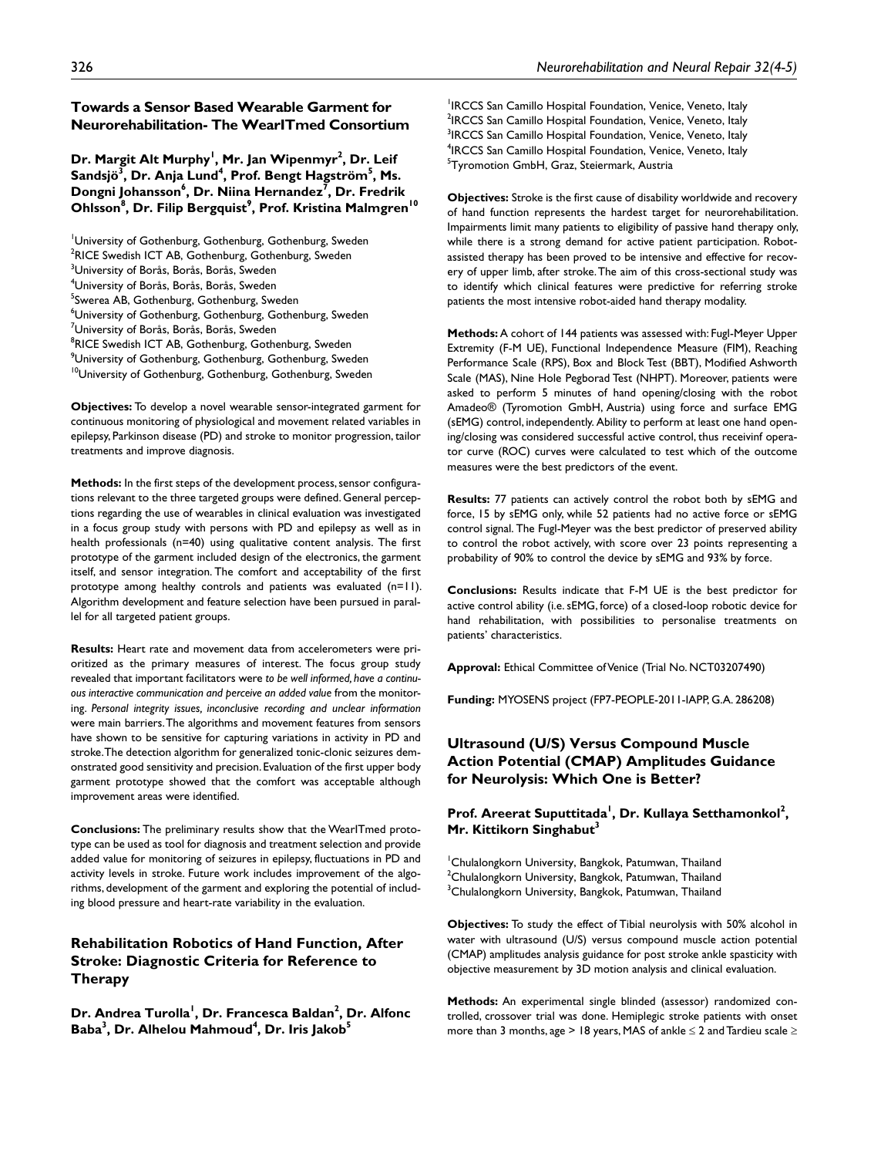# **Towards a Sensor Based Wearable Garment for Neurorehabilitation- The WearITmed Consortium**

Dr. Margit Alt Murphy<sup>1</sup>, Mr. Jan Wipenmyr<sup>2</sup>, Dr. Leif Sandsjö<sup>3</sup>, Dr. Anja Lund<sup>4</sup>, Prof. Bengt Hagström<sup>5</sup>, Ms. **Dongni Johansson6 , Dr. Niina Hernandez7 , Dr. Fredrik**   $\mathsf{Ohlsson}^{\mathsf{8}}, \mathsf{Dr}.\mathsf{Filip}\ \mathsf{Bergquist}^{\mathsf{9}}, \mathsf{Prof.}\ \mathsf{Kristina}\ \mathsf{Malmgren}^{10}$ 

1 University of Gothenburg, Gothenburg, Gothenburg, Sweden <sup>2</sup>RICE Swedish ICT AB, Gothenburg, Gothenburg, Sweden <sup>3</sup>University of Borås, Borås, Borås, Sweden 4 University of Borås, Borås, Borås, Sweden <sup>5</sup>Swerea AB, Gothenburg, Gothenburg, Sweden 6 University of Gothenburg, Gothenburg, Gothenburg, Sweden <sup>7</sup>University of Borås, Borås, Borås, Sweden <sup>8</sup>RICE Swedish ICT AB, Gothenburg, Gothenburg, Sweden  $^9$ University of Gothenburg, Gothenburg, Gothenburg, Sweden <sup>10</sup>University of Gothenburg, Gothenburg, Gothenburg, Sweden

**Objectives:** To develop a novel wearable sensor-integrated garment for continuous monitoring of physiological and movement related variables in epilepsy, Parkinson disease (PD) and stroke to monitor progression, tailor treatments and improve diagnosis.

**Methods:** In the first steps of the development process, sensor configurations relevant to the three targeted groups were defined. General perceptions regarding the use of wearables in clinical evaluation was investigated in a focus group study with persons with PD and epilepsy as well as in health professionals (n=40) using qualitative content analysis. The first prototype of the garment included design of the electronics, the garment itself, and sensor integration. The comfort and acceptability of the first prototype among healthy controls and patients was evaluated (n=11). Algorithm development and feature selection have been pursued in parallel for all targeted patient groups.

**Results:** Heart rate and movement data from accelerometers were prioritized as the primary measures of interest. The focus group study revealed that important facilitators were *to be well informed, have a continuous interactive communication and perceive an added value* from the monitoring. *Personal integrity issues, inconclusive recording and unclear information* were main barriers. The algorithms and movement features from sensors have shown to be sensitive for capturing variations in activity in PD and stroke. The detection algorithm for generalized tonic-clonic seizures demonstrated good sensitivity and precision. Evaluation of the first upper body garment prototype showed that the comfort was acceptable although improvement areas were identified.

**Conclusions:** The preliminary results show that the WearITmed prototype can be used as tool for diagnosis and treatment selection and provide added value for monitoring of seizures in epilepsy, fluctuations in PD and activity levels in stroke. Future work includes improvement of the algorithms, development of the garment and exploring the potential of including blood pressure and heart-rate variability in the evaluation.

# **Rehabilitation Robotics of Hand Function, After Stroke: Diagnostic Criteria for Reference to Therapy**

Dr. Andrea Turolla<sup>l</sup>, Dr. Francesca Baldan<sup>2</sup>, Dr. Alfonc **Baba** $^3$ **, Dr. Alhelou Mahmoud** $^4$ **, Dr. Iris Jakob** $^5$ 

<sup>1</sup>IRCCS San Camillo Hospital Foundation, Venice, Veneto, Italy <sup>2</sup>IRCCS San Camillo Hospital Foundation, Venice, Veneto, Italy <sup>3</sup>IRCCS San Camillo Hospital Foundation, Venice, Veneto, Italy <sup>4</sup>IRCCS San Camillo Hospital Foundation, Venice, Veneto, Italy <sup>5</sup>Tyromotion GmbH, Graz, Steiermark, Austria

**Objectives:** Stroke is the first cause of disability worldwide and recovery of hand function represents the hardest target for neurorehabilitation. Impairments limit many patients to eligibility of passive hand therapy only, while there is a strong demand for active patient participation. Robotassisted therapy has been proved to be intensive and effective for recovery of upper limb, after stroke. The aim of this cross-sectional study was to identify which clinical features were predictive for referring stroke patients the most intensive robot-aided hand therapy modality.

**Methods:** A cohort of 144 patients was assessed with: Fugl-Meyer Upper Extremity (F-M UE), Functional Independence Measure (FIM), Reaching Performance Scale (RPS), Box and Block Test (BBT), Modified Ashworth Scale (MAS), Nine Hole Pegborad Test (NHPT). Moreover, patients were asked to perform 5 minutes of hand opening/closing with the robot Amadeo® (Tyromotion GmbH, Austria) using force and surface EMG (sEMG) control, independently. Ability to perform at least one hand opening/closing was considered successful active control, thus receivinf operator curve (ROC) curves were calculated to test which of the outcome measures were the best predictors of the event.

**Results:** 77 patients can actively control the robot both by sEMG and force, 15 by sEMG only, while 52 patients had no active force or sEMG control signal. The Fugl-Meyer was the best predictor of preserved ability to control the robot actively, with score over 23 points representing a probability of 90% to control the device by sEMG and 93% by force.

**Conclusions:** Results indicate that F-M UE is the best predictor for active control ability (i.e. sEMG, force) of a closed-loop robotic device for hand rehabilitation, with possibilities to personalise treatments on patients' characteristics.

**Approval:** Ethical Committee of Venice (Trial No. NCT03207490)

**Funding:** MYOSENS project (FP7-PEOPLE-2011-IAPP, G.A. 286208)

# **Ultrasound (U/S) Versus Compound Muscle Action Potential (CMAP) Amplitudes Guidance for Neurolysis: Which One is Better?**

Prof. Areerat Suputtitada<sup>1</sup>, Dr. Kullaya Setthamonkol<sup>2</sup>, **Mr. Kittikorn Singhabut3**

1 Chulalongkorn University, Bangkok, Patumwan, Thailand  $^2$ Chulalongkorn University, Bangkok, Patumwan, Thailand <sup>3</sup>Chulalongkorn University, Bangkok, Patumwan, Thailand

**Objectives:** To study the effect of Tibial neurolysis with 50% alcohol in water with ultrasound (U/S) versus compound muscle action potential (CMAP) amplitudes analysis guidance for post stroke ankle spasticity with objective measurement by 3D motion analysis and clinical evaluation.

**Methods:** An experimental single blinded (assessor) randomized controlled, crossover trial was done. Hemiplegic stroke patients with onset more than 3 months, age > 18 years, MAS of ankle  $\leq$  2 and Tardieu scale  $\geq$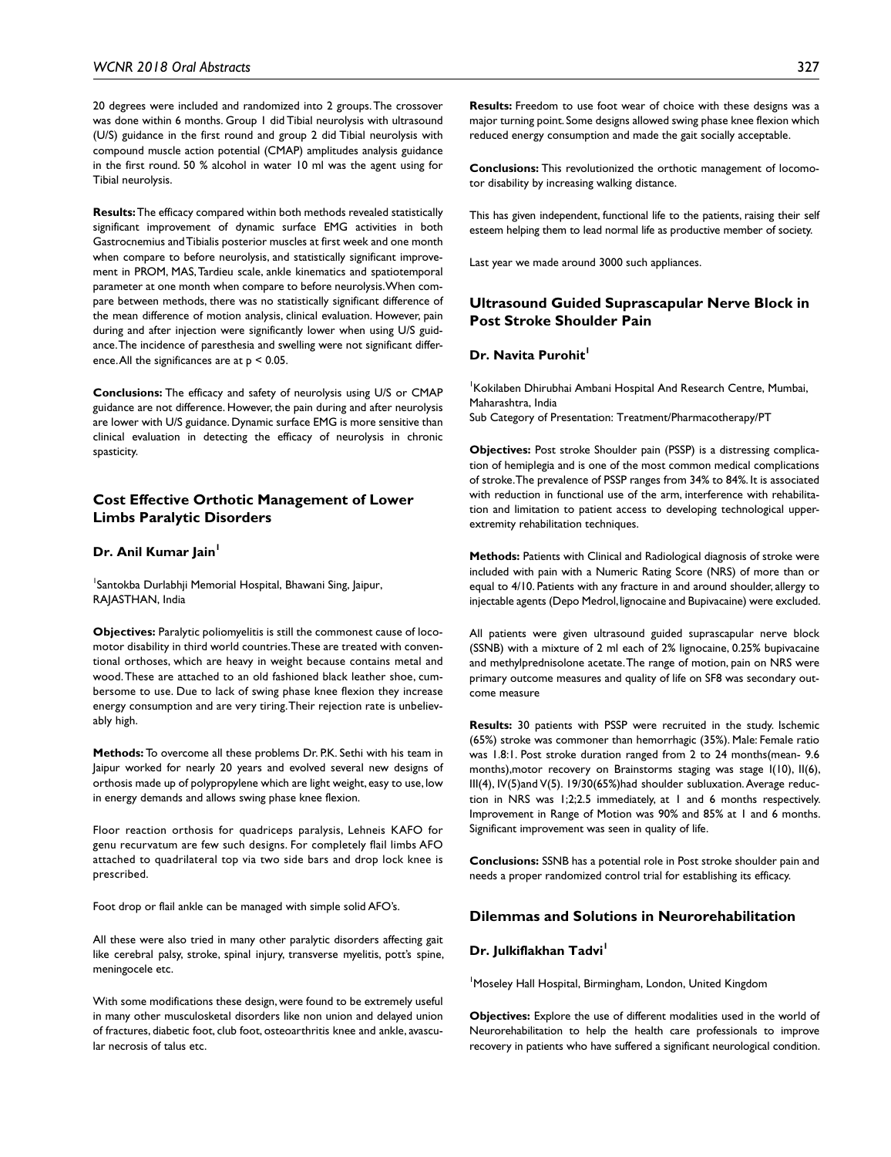20 degrees were included and randomized into 2 groups. The crossover was done within 6 months. Group 1 did Tibial neurolysis with ultrasound (U/S) guidance in the first round and group 2 did Tibial neurolysis with compound muscle action potential (CMAP) amplitudes analysis guidance in the first round. 50 % alcohol in water 10 ml was the agent using for Tibial neurolysis.

**Results:** The efficacy compared within both methods revealed statistically significant improvement of dynamic surface EMG activities in both Gastrocnemius and Tibialis posterior muscles at first week and one month when compare to before neurolysis, and statistically significant improvement in PROM, MAS, Tardieu scale, ankle kinematics and spatiotemporal parameter at one month when compare to before neurolysis. When compare between methods, there was no statistically significant difference of the mean difference of motion analysis, clinical evaluation. However, pain during and after injection were significantly lower when using U/S guidance. The incidence of paresthesia and swelling were not significant difference. All the significances are at  $p < 0.05$ .

**Conclusions:** The efficacy and safety of neurolysis using U/S or CMAP guidance are not difference. However, the pain during and after neurolysis are lower with U/S guidance. Dynamic surface EMG is more sensitive than clinical evaluation in detecting the efficacy of neurolysis in chronic spasticity.

#### **Cost Effective Orthotic Management of Lower Limbs Paralytic Disorders**

#### **Dr. Anil Kumar Jain**

<sup>1</sup>Santokba Durlabhji Memorial Hospital, Bhawani Sing, Jaipur, RAJASTHAN, India

**Objectives:** Paralytic poliomyelitis is still the commonest cause of locomotor disability in third world countries. These are treated with conventional orthoses, which are heavy in weight because contains metal and wood. These are attached to an old fashioned black leather shoe, cumbersome to use. Due to lack of swing phase knee flexion they increase energy consumption and are very tiring. Their rejection rate is unbelievably high.

**Methods:** To overcome all these problems Dr. P.K. Sethi with his team in Jaipur worked for nearly 20 years and evolved several new designs of orthosis made up of polypropylene which are light weight, easy to use, low in energy demands and allows swing phase knee flexion.

Floor reaction orthosis for quadriceps paralysis, Lehneis KAFO for genu recurvatum are few such designs. For completely flail limbs AFO attached to quadrilateral top via two side bars and drop lock knee is prescribed.

Foot drop or flail ankle can be managed with simple solid AFO's.

All these were also tried in many other paralytic disorders affecting gait like cerebral palsy, stroke, spinal injury, transverse myelitis, pott's spine, meningocele etc.

With some modifications these design, were found to be extremely useful in many other musculosketal disorders like non union and delayed union of fractures, diabetic foot, club foot, osteoarthritis knee and ankle, avascular necrosis of talus etc.

**Results:** Freedom to use foot wear of choice with these designs was a major turning point. Some designs allowed swing phase knee flexion which reduced energy consumption and made the gait socially acceptable.

**Conclusions:** This revolutionized the orthotic management of locomotor disability by increasing walking distance.

This has given independent, functional life to the patients, raising their self esteem helping them to lead normal life as productive member of society.

Last year we made around 3000 such appliances.

# **Ultrasound Guided Suprascapular Nerve Block in Post Stroke Shoulder Pain**

#### **Dr. Navita Purohit**

1 Kokilaben Dhirubhai Ambani Hospital And Research Centre, Mumbai, Maharashtra, India Sub Category of Presentation: Treatment/Pharmacotherapy/PT

**Objectives:** Post stroke Shoulder pain (PSSP) is a distressing complication of hemiplegia and is one of the most common medical complications of stroke. The prevalence of PSSP ranges from 34% to 84%. It is associated with reduction in functional use of the arm, interference with rehabilitation and limitation to patient access to developing technological upperextremity rehabilitation techniques.

**Methods:** Patients with Clinical and Radiological diagnosis of stroke were included with pain with a Numeric Rating Score (NRS) of more than or equal to 4/10. Patients with any fracture in and around shoulder, allergy to injectable agents (Depo Medrol, lignocaine and Bupivacaine) were excluded.

All patients were given ultrasound guided suprascapular nerve block (SSNB) with a mixture of 2 ml each of 2% lignocaine, 0.25% bupivacaine and methylprednisolone acetate. The range of motion, pain on NRS were primary outcome measures and quality of life on SF8 was secondary outcome measure

**Results:** 30 patients with PSSP were recruited in the study. Ischemic (65%) stroke was commoner than hemorrhagic (35%). Male: Female ratio was 1.8:1. Post stroke duration ranged from 2 to 24 months(mean- 9.6 months),motor recovery on Brainstorms staging was stage I(10), II(6), III(4), IV(5)and V(5). 19/30(65%)had shoulder subluxation. Average reduction in NRS was 1;2;2.5 immediately, at 1 and 6 months respectively. Improvement in Range of Motion was 90% and 85% at 1 and 6 months. Significant improvement was seen in quality of life.

**Conclusions:** SSNB has a potential role in Post stroke shoulder pain and needs a proper randomized control trial for establishing its efficacy.

#### **Dilemmas and Solutions in Neurorehabilitation**

#### **Dr. Julkiflakhan Tadvi**<sup>1</sup>

1 Moseley Hall Hospital, Birmingham, London, United Kingdom

**Objectives:** Explore the use of different modalities used in the world of Neurorehabilitation to help the health care professionals to improve recovery in patients who have suffered a significant neurological condition.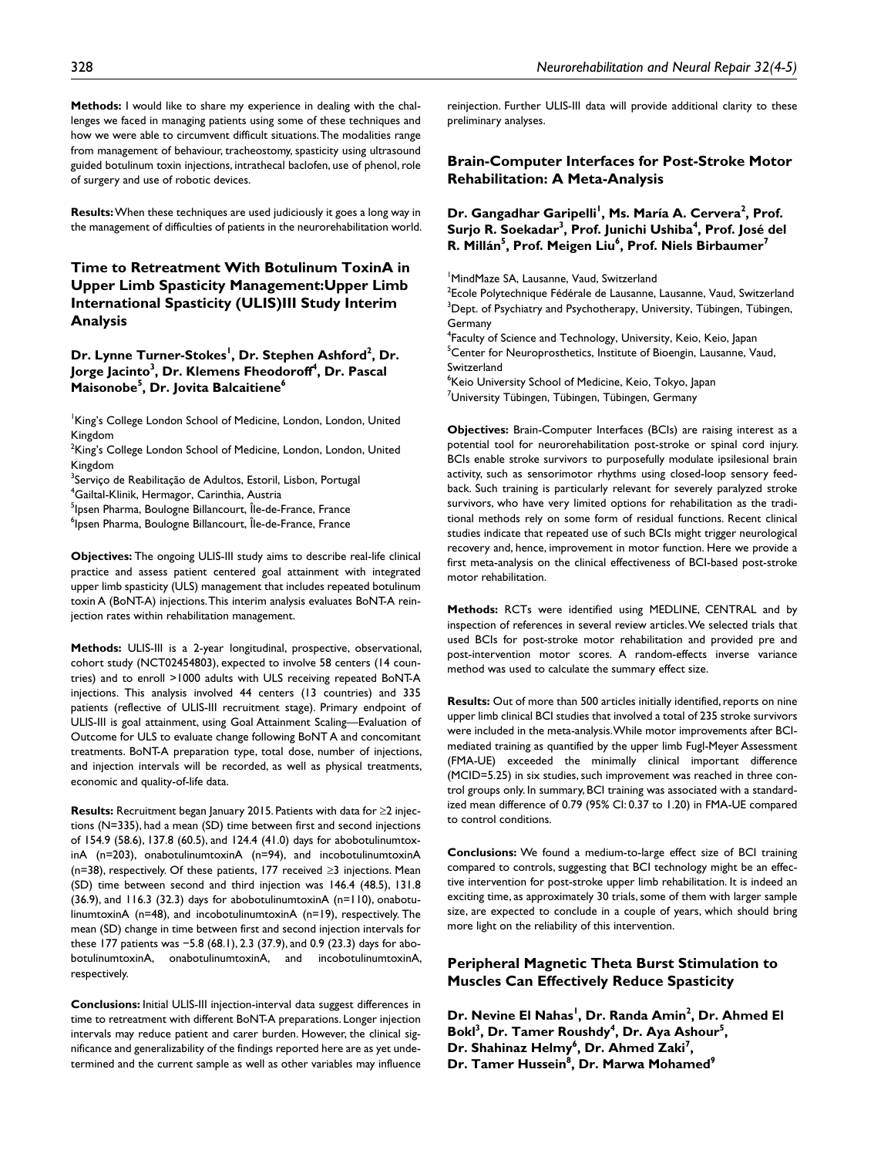**Methods:** I would like to share my experience in dealing with the challenges we faced in managing patients using some of these techniques and how we were able to circumvent difficult situations. The modalities range from management of behaviour, tracheostomy, spasticity using ultrasound guided botulinum toxin injections, intrathecal baclofen, use of phenol, role of surgery and use of robotic devices.

**Results:** When these techniques are used judiciously it goes a long way in the management of difficulties of patients in the neurorehabilitation world.

# **Time to Retreatment With Botulinum ToxinA in Upper Limb Spasticity Management:Upper Limb International Spasticity (ULIS)III Study Interim Analysis**

Dr. Lynne Turner-Stokes<sup>!</sup>, Dr. Stephen Ashford<sup>2</sup>, Dr. **Jorge Jacinto** $^3$ **, Dr. Klemens Fheodoroff** $^4$ **, Dr. Pascal Maisonobe5 , Dr. Jovita Balcaitiene6**

King's College London School of Medicine, London, London, United Kingdom

<sup>2</sup>King's College London School of Medicine, London, London, United Kingdom

<sup>3</sup>Serviço de Reabilitação de Adultos, Estoril, Lisbon, Portugal 4 Gailtal-Klinik, Hermagor, Carinthia, Austria

<sup>5</sup>lpsen Pharma, Boulogne Billancourt, Île-de-France, France

<sup>6</sup>lpsen Pharma, Boulogne Billancourt, Île-de-France, France

**Objectives:** The ongoing ULIS-III study aims to describe real-life clinical practice and assess patient centered goal attainment with integrated upper limb spasticity (ULS) management that includes repeated botulinum toxin A (BoNT-A) injections. This interim analysis evaluates BoNT-A reinjection rates within rehabilitation management.

**Methods:** ULIS-III is a 2-year longitudinal, prospective, observational, cohort study (NCT02454803), expected to involve 58 centers (14 countries) and to enroll >1000 adults with ULS receiving repeated BoNT-A injections. This analysis involved 44 centers (13 countries) and 335 patients (reflective of ULIS-III recruitment stage). Primary endpoint of ULIS-III is goal attainment, using Goal Attainment Scaling—Evaluation of Outcome for ULS to evaluate change following BoNT A and concomitant treatments. BoNT-A preparation type, total dose, number of injections, and injection intervals will be recorded, as well as physical treatments, economic and quality-of-life data.

**Results:** Recruitment began January 2015. Patients with data for ≥2 injections (N=335), had a mean (SD) time between first and second injections of 154.9 (58.6), 137.8 (60.5), and 124.4 (41.0) days for abobotulinumtoxinA (n=203), onabotulinumtoxinA (n=94), and incobotulinumtoxinA (n=38), respectively. Of these patients, 177 received ≥3 injections. Mean (SD) time between second and third injection was 146.4 (48.5), 131.8 (36.9), and 116.3 (32.3) days for abobotulinumtoxinA (n=110), onabotulinumtoxinA (n=48), and incobotulinumtoxinA (n=19), respectively. The mean (SD) change in time between first and second injection intervals for these 177 patients was −5.8 (68.1), 2.3 (37.9), and 0.9 (23.3) days for abobotulinumtoxinA, onabotulinumtoxinA, and incobotulinumtoxinA, respectively.

**Conclusions:** Initial ULIS-III injection-interval data suggest differences in time to retreatment with different BoNT-A preparations. Longer injection intervals may reduce patient and carer burden. However, the clinical significance and generalizability of the findings reported here are as yet undetermined and the current sample as well as other variables may influence

reinjection. Further ULIS-III data will provide additional clarity to these preliminary analyses.

### **Brain-Computer Interfaces for Post-Stroke Motor Rehabilitation: A Meta-Analysis**

Dr. Gangadhar Garipelli<sup>!</sup>, Ms. María A. Cervera<sup>2</sup>, Prof. **Surjo R. Soekadar3 , Prof. Junichi Ushiba4 , Prof. José del R. Millán** $^5$ **, Prof. Meigen Liu** $^6$ **, Prof. Niels Birbaumer** $^7$ 

1 MindMaze SA, Lausanne, Vaud, Switzerland

<sup>2</sup>Ecole Polytechnique Fédérale de Lausanne, Lausanne, Vaud, Switzerland  $^3$ Dept. of Psychiatry and Psychotherapy, University, Tübingen, Tübingen, Germany

4 Faculty of Science and Technology, University, Keio, Keio, Japan <sup>5</sup>Center for Neuroprosthetics, Institute of Bioengin, Lausanne, Vaud, Switzerland

6 Keio University School of Medicine, Keio, Tokyo, Japan  ${\rm^7}$ University Tübingen, Tübingen, Tübingen, Germany

**Objectives:** Brain-Computer Interfaces (BCIs) are raising interest as a potential tool for neurorehabilitation post-stroke or spinal cord injury. BCIs enable stroke survivors to purposefully modulate ipsilesional brain activity, such as sensorimotor rhythms using closed-loop sensory feedback. Such training is particularly relevant for severely paralyzed stroke survivors, who have very limited options for rehabilitation as the traditional methods rely on some form of residual functions. Recent clinical studies indicate that repeated use of such BCIs might trigger neurological recovery and, hence, improvement in motor function. Here we provide a first meta-analysis on the clinical effectiveness of BCI-based post-stroke motor rehabilitation.

**Methods:** RCTs were identified using MEDLINE, CENTRAL and by inspection of references in several review articles. We selected trials that used BCIs for post-stroke motor rehabilitation and provided pre and post-intervention motor scores. A random-effects inverse variance method was used to calculate the summary effect size.

**Results:** Out of more than 500 articles initially identified, reports on nine upper limb clinical BCI studies that involved a total of 235 stroke survivors were included in the meta-analysis. While motor improvements after BCImediated training as quantified by the upper limb Fugl-Meyer Assessment (FMA-UE) exceeded the minimally clinical important difference (MCID=5.25) in six studies, such improvement was reached in three control groups only. In summary, BCI training was associated with a standardized mean difference of 0.79 (95% CI: 0.37 to 1.20) in FMA-UE compared to control conditions.

**Conclusions:** We found a medium-to-large effect size of BCI training compared to controls, suggesting that BCI technology might be an effective intervention for post-stroke upper limb rehabilitation. It is indeed an exciting time, as approximately 30 trials, some of them with larger sample size, are expected to conclude in a couple of years, which should bring more light on the reliability of this intervention.

# **Peripheral Magnetic Theta Burst Stimulation to Muscles Can Effectively Reduce Spasticity**

**Dr. Nevine El Nahas<sup>!</sup>, Dr. Randa Amin<sup>2</sup>, Dr. Ahmed El** Bokl<sup>3</sup>, Dr. Tamer Roushdy<sup>4</sup>, Dr. Aya Ashour<sup>5</sup>, Dr. Shahinaz Helmy<sup>6</sup>, Dr. Ahmed Zaki<sup>7</sup>, **Dr. Tamer Hussein8 , Dr. Marwa Mohamed9**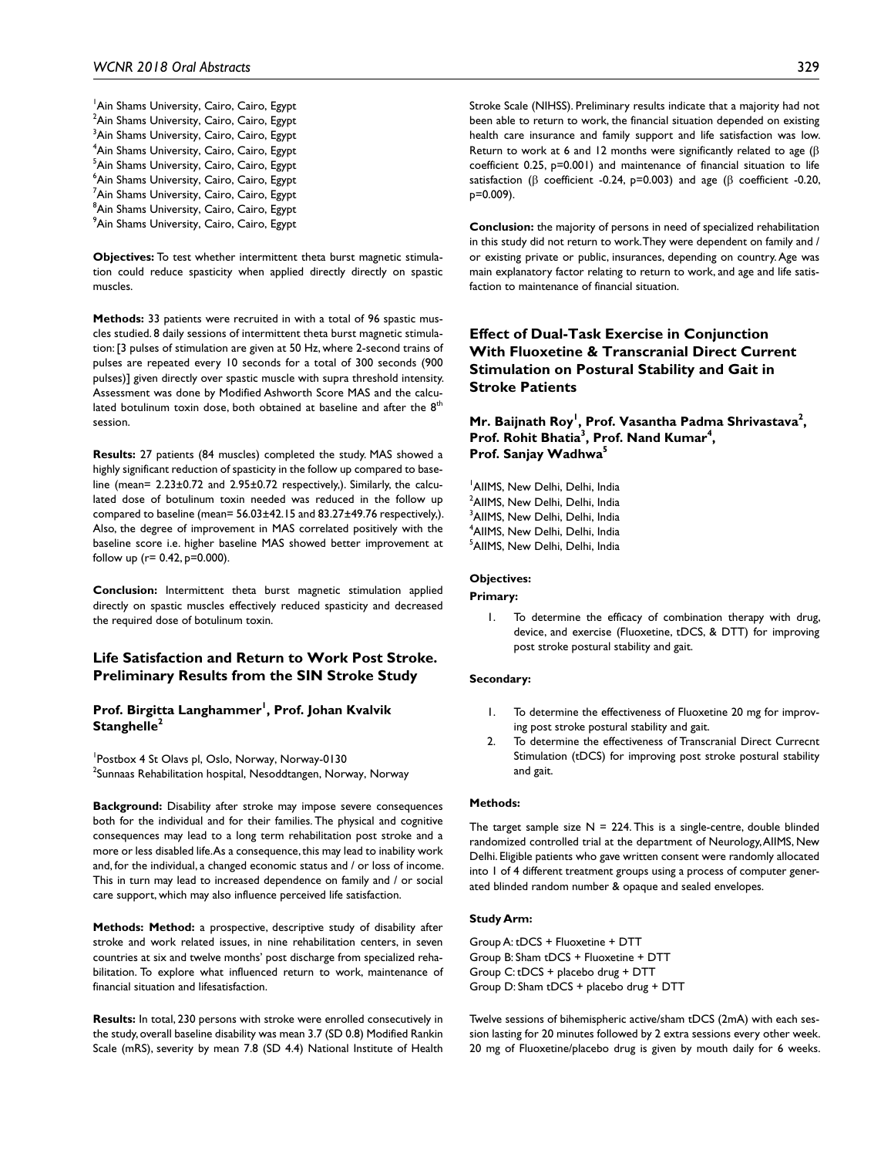<sup>1</sup> Ain Shams University, Cairo, Cairo, Egypt <sup>2</sup>Ain Shams University, Cairo, Cairo, Egypt <sup>3</sup>Ain Shams University, Cairo, Cairo, Egypt 4 Ain Shams University, Cairo, Cairo, Egypt <sup>5</sup>Ain Shams University, Cairo, Cairo, Egypt 6 Ain Shams University, Cairo, Cairo, Egypt <sup>7</sup>Ain Shams University, Cairo, Cairo, Egypt <sup>8</sup>Ain Shams University, Cairo, Cairo, Egypt 9 Ain Shams University, Cairo, Cairo, Egypt

**Objectives:** To test whether intermittent theta burst magnetic stimulation could reduce spasticity when applied directly directly on spastic muscles.

**Methods:** 33 patients were recruited in with a total of 96 spastic muscles studied. 8 daily sessions of intermittent theta burst magnetic stimulation: [3 pulses of stimulation are given at 50 Hz, where 2-second trains of pulses are repeated every 10 seconds for a total of 300 seconds (900 pulses)] given directly over spastic muscle with supra threshold intensity. Assessment was done by Modified Ashworth Score MAS and the calculated botulinum toxin dose, both obtained at baseline and after the  $8<sup>t</sup>$ session.

**Results:** 27 patients (84 muscles) completed the study. MAS showed a highly significant reduction of spasticity in the follow up compared to baseline (mean= 2.23±0.72 and 2.95±0.72 respectively,). Similarly, the calculated dose of botulinum toxin needed was reduced in the follow up compared to baseline (mean= 56.03±42.15 and 83.27±49.76 respectively,). Also, the degree of improvement in MAS correlated positively with the baseline score i.e. higher baseline MAS showed better improvement at follow up ( $r = 0.42$ ,  $p = 0.000$ ).

**Conclusion:** Intermittent theta burst magnetic stimulation applied directly on spastic muscles effectively reduced spasticity and decreased the required dose of botulinum toxin.

# **Life Satisfaction and Return to Work Post Stroke. Preliminary Results from the SIN Stroke Study**

#### Prof. Birgitta Langhammer<sup>I</sup>, Prof. Johan Kvalvik **Stanghelle<sup>2</sup>**

1 Postbox 4 St Olavs pl, Oslo, Norway, Norway-0130  $^2$ Sunnaas Rehabilitation hospital, Nesoddtangen, Norway, Norway

**Background:** Disability after stroke may impose severe consequences both for the individual and for their families. The physical and cognitive consequences may lead to a long term rehabilitation post stroke and a more or less disabled life. As a consequence, this may lead to inability work and, for the individual, a changed economic status and / or loss of income. This in turn may lead to increased dependence on family and / or social care support, which may also influence perceived life satisfaction.

**Methods: Method:** a prospective, descriptive study of disability after stroke and work related issues, in nine rehabilitation centers, in seven countries at six and twelve months' post discharge from specialized rehabilitation. To explore what influenced return to work, maintenance of financial situation and lifesatisfaction.

**Results:** In total, 230 persons with stroke were enrolled consecutively in the study, overall baseline disability was mean 3.7 (SD 0.8) Modified Rankin Scale (mRS), severity by mean 7.8 (SD 4.4) National Institute of Health Stroke Scale (NIHSS). Preliminary results indicate that a majority had not been able to return to work, the financial situation depended on existing health care insurance and family support and life satisfaction was low. Return to work at 6 and 12 months were significantly related to age ( $\beta$ ) coefficient 0.25, p=0.001) and maintenance of financial situation to life satisfaction (β coefficient -0.24, p=0.003) and age (β coefficient -0.20, p=0.009).

**Conclusion:** the majority of persons in need of specialized rehabilitation in this study did not return to work. They were dependent on family and / or existing private or public, insurances, depending on country. Age was main explanatory factor relating to return to work, and age and life satisfaction to maintenance of financial situation.

# **Effect of Dual-Task Exercise in Conjunction With Fluoxetine & Transcranial Direct Current Stimulation on Postural Stability and Gait in Stroke Patients**

# **Mr. Baijnath Roy<sup>l</sup>, Prof. Vasantha Padma Shrivastava<sup>2</sup>,** Prof. Rohit Bhatia<sup>3</sup>, Prof. Nand Kumar<sup>4</sup>, **Prof. Sanjay Wadhwa5**

 AIIMS, New Delhi, Delhi, India <sup>2</sup>AIIMS, New Delhi, Delhi, India AIIMS, New Delhi, Delhi, India AIIMS, New Delhi, Delhi, India AIIMS, New Delhi, Delhi, India

#### **Objectives:**

**Primary:**

1. To determine the efficacy of combination therapy with drug, device, and exercise (Fluoxetine, tDCS, & DTT) for improving post stroke postural stability and gait.

#### **Secondary:**

- 1. To determine the effectiveness of Fluoxetine 20 mg for improving post stroke postural stability and gait.
- 2. To determine the effectiveness of Transcranial Direct Currecnt Stimulation (tDCS) for improving post stroke postural stability and gait.

#### **Methods:**

The target sample size  $N = 224$ . This is a single-centre, double blinded randomized controlled trial at the department of Neurology, AIIMS, New Delhi. Eligible patients who gave written consent were randomly allocated into 1 of 4 different treatment groups using a process of computer generated blinded random number & opaque and sealed envelopes.

#### **Study Arm:**

Group A: tDCS + Fluoxetine + DTT Group B: Sham tDCS + Fluoxetine + DTT Group C: tDCS + placebo drug + DTT Group D: Sham tDCS + placebo drug + DTT

Twelve sessions of bihemispheric active/sham tDCS (2mA) with each session lasting for 20 minutes followed by 2 extra sessions every other week. 20 mg of Fluoxetine/placebo drug is given by mouth daily for 6 weeks.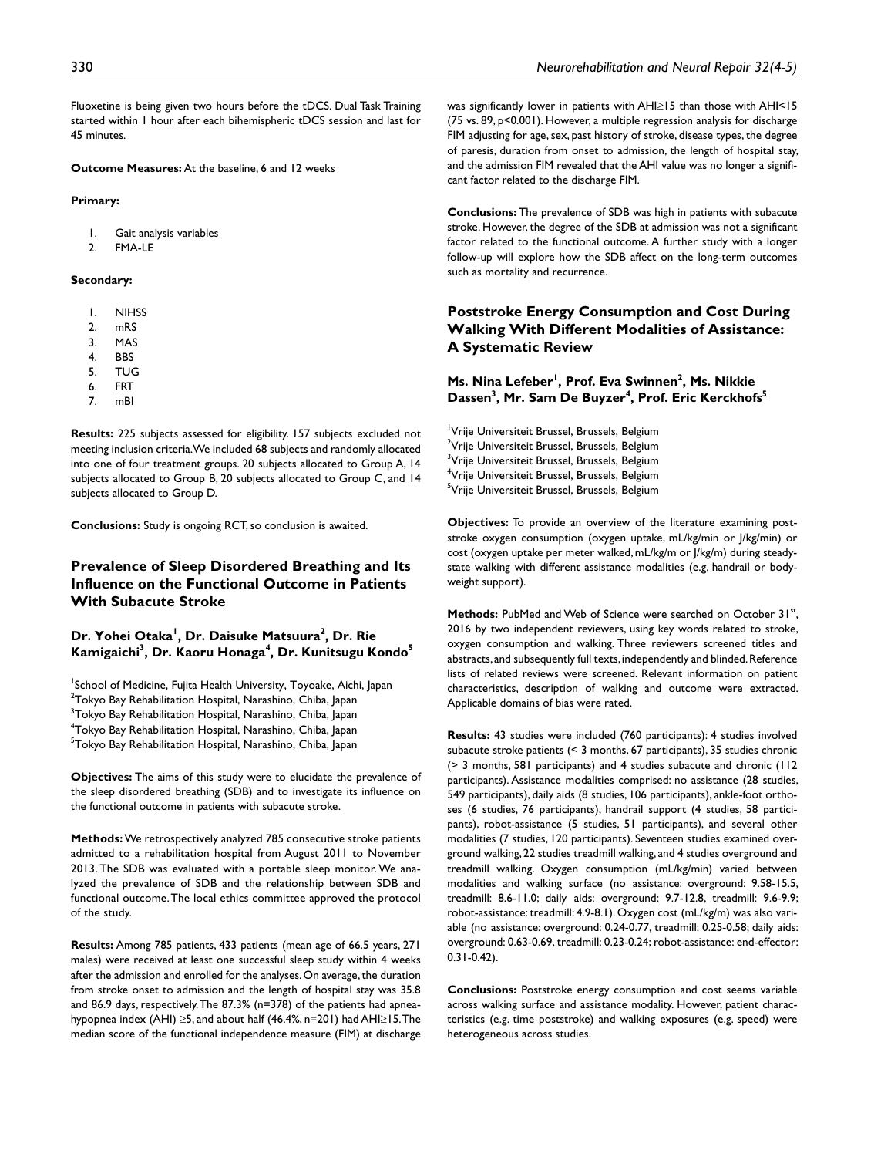Fluoxetine is being given two hours before the tDCS. Dual Task Training started within 1 hour after each bihemispheric tDCS session and last for 45 minutes.

**Outcome Measures:** At the baseline, 6 and 12 weeks

#### **Primary:**

1. Gait analysis variables

2. FMA-LE

#### **Secondary:**

- 1. NIHSS
- 2. mRS
- 3. MAS
- **4.** BBS<br>5. TUC 5. TUG
- 6. FRT
- 7. mBI

**Results:** 225 subjects assessed for eligibility. 157 subjects excluded not meeting inclusion criteria. We included 68 subjects and randomly allocated into one of four treatment groups. 20 subjects allocated to Group A, 14 subjects allocated to Group B, 20 subjects allocated to Group C, and 14 subjects allocated to Group D.

**Conclusions:** Study is ongoing RCT, so conclusion is awaited.

# **Prevalence of Sleep Disordered Breathing and Its Influence on the Functional Outcome in Patients With Subacute Stroke**

# Dr. Yohei Otaka<sup>l</sup>, Dr. Daisuke Matsuura<sup>2</sup>, Dr. Rie **Kamigaichi3 , Dr. Kaoru Honaga4 , Dr. Kunitsugu Kondo5**

<sup>1</sup>School of Medicine, Fujita Health University, Toyoake, Aichi, Japan  $^{2}$ Tokyo Bay Rehabilitation Hospital, Narashino, Chiba, Japan <sup>3</sup>Tokyo Bay Rehabilitation Hospital, Narashino, Chiba, Japan 4 Tokyo Bay Rehabilitation Hospital, Narashino, Chiba, Japan <sup>5</sup>Tokyo Bay Rehabilitation Hospital, Narashino, Chiba, Japan

**Objectives:** The aims of this study were to elucidate the prevalence of the sleep disordered breathing (SDB) and to investigate its influence on the functional outcome in patients with subacute stroke.

**Methods:** We retrospectively analyzed 785 consecutive stroke patients admitted to a rehabilitation hospital from August 2011 to November 2013. The SDB was evaluated with a portable sleep monitor. We analyzed the prevalence of SDB and the relationship between SDB and functional outcome. The local ethics committee approved the protocol of the study.

**Results:** Among 785 patients, 433 patients (mean age of 66.5 years, 271 males) were received at least one successful sleep study within 4 weeks after the admission and enrolled for the analyses. On average, the duration from stroke onset to admission and the length of hospital stay was 35.8 and 86.9 days, respectively. The 87.3% (n=378) of the patients had apneahypopnea index (AHI) ≥5, and about half (46.4%, n=201) had AHI≥15. The median score of the functional independence measure (FIM) at discharge

was significantly lower in patients with AHI≥15 than those with AHI<15 (75 vs. 89, p<0.001). However, a multiple regression analysis for discharge FIM adjusting for age, sex, past history of stroke, disease types, the degree of paresis, duration from onset to admission, the length of hospital stay, and the admission FIM revealed that the AHI value was no longer a significant factor related to the discharge FIM.

**Conclusions:** The prevalence of SDB was high in patients with subacute stroke. However, the degree of the SDB at admission was not a significant factor related to the functional outcome. A further study with a longer follow-up will explore how the SDB affect on the long-term outcomes such as mortality and recurrence.

# **Poststroke Energy Consumption and Cost During Walking With Different Modalities of Assistance: A Systematic Review**

### **Ms. Nina Lefeber<sup>1</sup>, Prof. Eva Swinnen<sup>2</sup>, Ms. Nikkie** Dassen<sup>3</sup>, Mr. Sam De Buyzer<sup>4</sup>, Prof. Eric Kerckhofs<sup>5</sup>

<sup>1</sup>Vrije Universiteit Brussel, Brussels, Belgium <sup>2</sup>Vrije Universiteit Brussel, Brussels, Belgium <sup>3</sup>Vrije Universiteit Brussel, Brussels, Belgium 4 Vrije Universiteit Brussel, Brussels, Belgium <sup>5</sup>Vrije Universiteit Brussel, Brussels, Belgium

**Objectives:** To provide an overview of the literature examining poststroke oxygen consumption (oxygen uptake, mL/kg/min or J/kg/min) or cost (oxygen uptake per meter walked, mL/kg/m or J/kg/m) during steadystate walking with different assistance modalities (e.g. handrail or bodyweight support).

Methods: PubMed and Web of Science were searched on October 31st, 2016 by two independent reviewers, using key words related to stroke, oxygen consumption and walking. Three reviewers screened titles and abstracts, and subsequently full texts, independently and blinded. Reference lists of related reviews were screened. Relevant information on patient characteristics, description of walking and outcome were extracted. Applicable domains of bias were rated.

**Results:** 43 studies were included (760 participants): 4 studies involved subacute stroke patients (< 3 months, 67 participants), 35 studies chronic (> 3 months, 581 participants) and 4 studies subacute and chronic (112 participants). Assistance modalities comprised: no assistance (28 studies, 549 participants), daily aids (8 studies, 106 participants), ankle-foot orthoses (6 studies, 76 participants), handrail support (4 studies, 58 participants), robot-assistance (5 studies, 51 participants), and several other modalities (7 studies, 120 participants). Seventeen studies examined overground walking, 22 studies treadmill walking, and 4 studies overground and treadmill walking. Oxygen consumption (mL/kg/min) varied between modalities and walking surface (no assistance: overground: 9.58-15.5, treadmill: 8.6-11.0; daily aids: overground: 9.7-12.8, treadmill: 9.6-9.9; robot-assistance: treadmill: 4.9-8.1). Oxygen cost (mL/kg/m) was also variable (no assistance: overground: 0.24-0.77, treadmill: 0.25-0.58; daily aids: overground: 0.63-0.69, treadmill: 0.23-0.24; robot-assistance: end-effector: 0.31-0.42).

**Conclusions:** Poststroke energy consumption and cost seems variable across walking surface and assistance modality. However, patient characteristics (e.g. time poststroke) and walking exposures (e.g. speed) were heterogeneous across studies.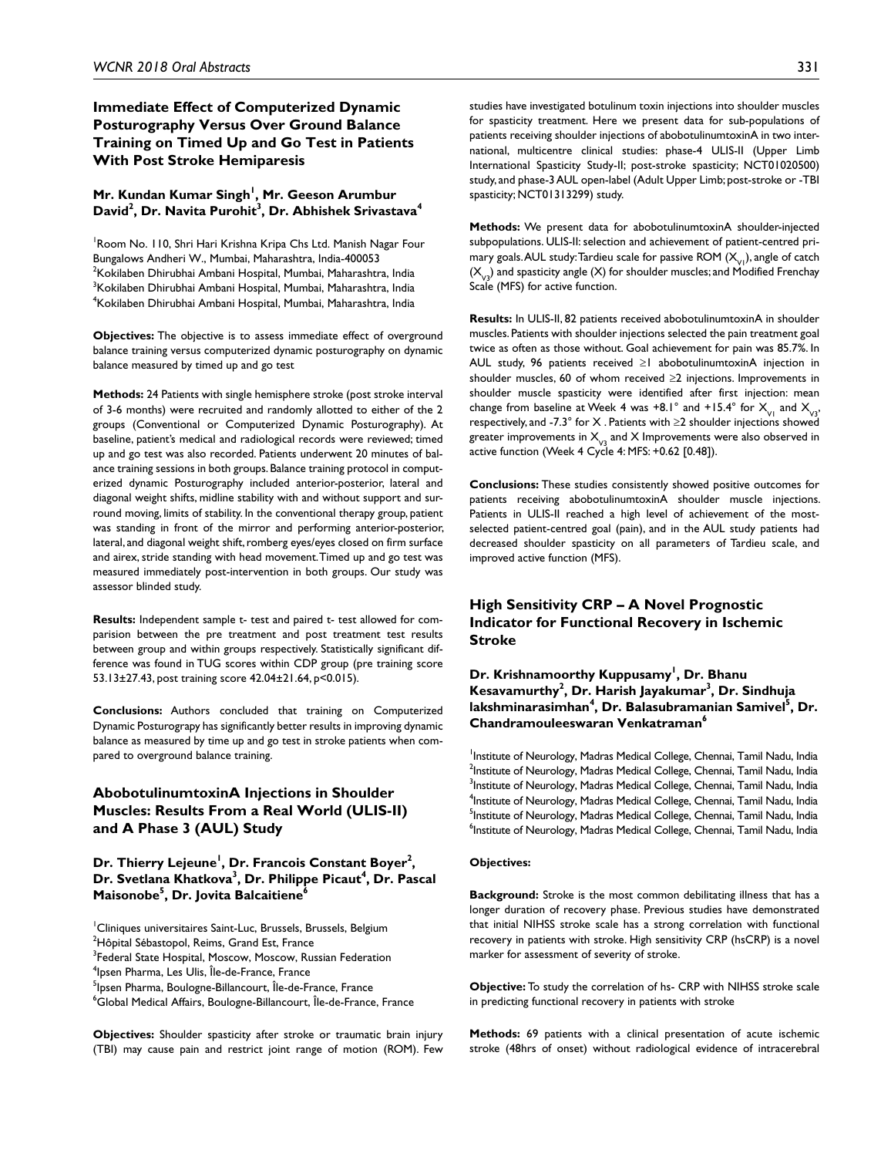# **Immediate Effect of Computerized Dynamic Posturography Versus Over Ground Balance Training on Timed Up and Go Test in Patients With Post Stroke Hemiparesis**

### **Mr. Kundan Kumar Singh1 , Mr. Geeson Arumbur**  David<sup>2</sup>, Dr. Navita Purohit<sup>3</sup>, Dr. Abhishek Srivastava<sup>4</sup>

<sup>1</sup> Room No. 110, Shri Hari Krishna Kripa Chs Ltd. Manish Nagar Four Bungalows Andheri W., Mumbai, Maharashtra, India-400053  $^{2}$ Kokilaben Dhirubhai Ambani Hospital, Mumbai, Maharashtra, India  $^3$ Kokilaben Dhirubhai Ambani Hospital, Mumbai, Maharashtra, India 4 Kokilaben Dhirubhai Ambani Hospital, Mumbai, Maharashtra, India

**Objectives:** The objective is to assess immediate effect of overground balance training versus computerized dynamic posturography on dynamic balance measured by timed up and go test

**Methods:** 24 Patients with single hemisphere stroke (post stroke interval of 3-6 months) were recruited and randomly allotted to either of the 2 groups (Conventional or Computerized Dynamic Posturography). At baseline, patient's medical and radiological records were reviewed; timed up and go test was also recorded. Patients underwent 20 minutes of balance training sessions in both groups. Balance training protocol in computerized dynamic Posturography included anterior-posterior, lateral and diagonal weight shifts, midline stability with and without support and surround moving, limits of stability. In the conventional therapy group, patient was standing in front of the mirror and performing anterior-posterior, lateral, and diagonal weight shift, romberg eyes/eyes closed on firm surface and airex, stride standing with head movement. Timed up and go test was measured immediately post-intervention in both groups. Our study was assessor blinded study.

**Results:** Independent sample t- test and paired t- test allowed for comparision between the pre treatment and post treatment test results between group and within groups respectively. Statistically significant difference was found in TUG scores within CDP group (pre training score 53.13±27.43, post training score 42.04±21.64, p<0.015).

**Conclusions:** Authors concluded that training on Computerized Dynamic Posturograpy has significantly better results in improving dynamic balance as measured by time up and go test in stroke patients when compared to overground balance training.

# **AbobotulinumtoxinA Injections in Shoulder Muscles: Results From a Real World (ULIS-II) and A Phase 3 (AUL) Study**

**Dr. Thierry Lejeune1 , Dr. Francois Constant Boyer2 ,**  Dr. Svetlana Khatkova<sup>3</sup>, Dr. Philippe Picaut<sup>4</sup>, Dr. Pascal **Maisonobe5 , Dr. Jovita Balcaitiene6**

**Objectives:** Shoulder spasticity after stroke or traumatic brain injury (TBI) may cause pain and restrict joint range of motion (ROM). Few studies have investigated botulinum toxin injections into shoulder muscles for spasticity treatment. Here we present data for sub-populations of patients receiving shoulder injections of abobotulinumtoxinA in two international, multicentre clinical studies: phase-4 ULIS-II (Upper Limb International Spasticity Study-II; post-stroke spasticity; NCT01020500) study, and phase-3 AUL open-label (Adult Upper Limb; post-stroke or -TBI spasticity; NCT01313299) study.

**Methods:** We present data for abobotulinumtoxinA shoulder-injected subpopulations. ULIS-II: selection and achievement of patient-centred primary goals. AUL study: Tardieu scale for passive ROM  $(X_{\nu_1})$ , angle of catch  $(X_{y2})$  and spasticity angle (X) for shoulder muscles; and Modified Frenchay Scale (MFS) for active function.

**Results:** In ULIS-II, 82 patients received abobotulinumtoxinA in shoulder muscles. Patients with shoulder injections selected the pain treatment goal twice as often as those without. Goal achievement for pain was 85.7%. In AUL study, 96 patients received ≥1 abobotulinumtoxinA injection in shoulder muscles, 60 of whom received ≥2 injections. Improvements in shoulder muscle spasticity were identified after first injection: mean change from baseline at Week 4 was +8.1° and +15.4° for  $X_{\nu_1}$  and  $X_{\nu_3}$ , respectively, and -7.3° for  $X$  . Patients with  $\geq 2$  shoulder injections showed greater improvements in  $X_{\nu_3}$  and X Improvements were also observed in active function (Week 4 Cycle 4: MFS: +0.62 [0.48]).

**Conclusions:** These studies consistently showed positive outcomes for patients receiving abobotulinumtoxinA shoulder muscle injections. Patients in ULIS-II reached a high level of achievement of the mostselected patient-centred goal (pain), and in the AUL study patients had decreased shoulder spasticity on all parameters of Tardieu scale, and improved active function (MFS).

### **High Sensitivity CRP – A Novel Prognostic Indicator for Functional Recovery in Ischemic Stroke**

**Dr. Krishnamoorthy Kuppusamy1 , Dr. Bhanu Kesavamurthy<sup>2</sup> , Dr. Harish Jayakumar3 , Dr. Sindhuja**  lakshminarasimhan<sup>4</sup>, Dr. Balasubramanian Samivel<sup>s</sup>, Dr. **Chandramouleeswaran Venkatraman6**

<sup>1</sup>Institute of Neurology, Madras Medical College, Chennai, Tamil Nadu, India  $^{2}$ Institute of Neurology, Madras Medical College, Chennai, Tamil Nadu, India <sup>3</sup>Institute of Neurology, Madras Medical College, Chennai, Tamil Nadu, India <sup>4</sup>Institute of Neurology, Madras Medical College, Chennai, Tamil Nadu, India <sup>5</sup>Institute of Neurology, Madras Medical College, Chennai, Tamil Nadu, India <sup>6</sup>Institute of Neurology, Madras Medical College, Chennai, Tamil Nadu, India

#### **Objectives:**

**Background:** Stroke is the most common debilitating illness that has a longer duration of recovery phase. Previous studies have demonstrated that initial NIHSS stroke scale has a strong correlation with functional recovery in patients with stroke. High sensitivity CRP (hsCRP) is a novel marker for assessment of severity of stroke.

**Objective:** To study the correlation of hs- CRP with NIHSS stroke scale in predicting functional recovery in patients with stroke

**Methods:** 69 patients with a clinical presentation of acute ischemic stroke (48hrs of onset) without radiological evidence of intracerebral

<sup>&</sup>lt;sup>1</sup>Cliniques universitaires Saint-Luc, Brussels, Brussels, Belgium

 $^{2}$ Hôpital Sébastopol, Reims, Grand Est, France

<sup>&</sup>lt;sup>3</sup>Federal State Hospital, Moscow, Moscow, Russian Federation

<sup>4</sup> Ipsen Pharma, Les Ulis, Île-de-France, France

<sup>&</sup>lt;sup>5</sup>lpsen Pharma, Boulogne-Billancourt, Île-de-France, France

 $\mathrm{^6}$ Global Medical Affairs, Boulogne-Billancourt, Île-de-France, France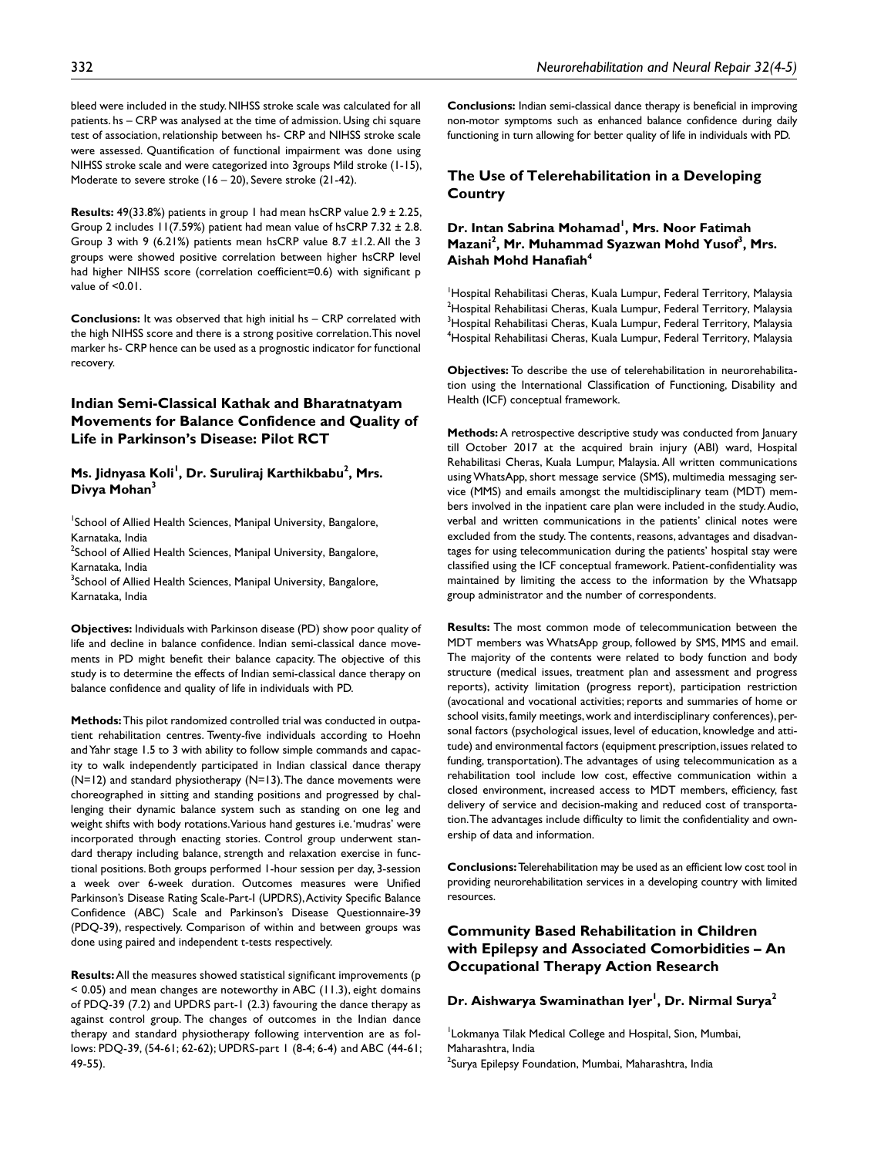bleed were included in the study. NIHSS stroke scale was calculated for all patients. hs – CRP was analysed at the time of admission. Using chi square test of association, relationship between hs- CRP and NIHSS stroke scale were assessed. Quantification of functional impairment was done using NIHSS stroke scale and were categorized into 3groups Mild stroke (1-15), Moderate to severe stroke (16 – 20), Severe stroke (21-42).

**Results:** 49(33.8%) patients in group 1 had mean hsCRP value 2.9 ± 2.25, Group 2 includes  $11(7.59%)$  patient had mean value of hsCRP 7.32  $\pm$  2.8. Group 3 with 9 (6.21%) patients mean hsCRP value 8.7 ±1.2. All the 3 groups were showed positive correlation between higher hsCRP level had higher NIHSS score (correlation coefficient=0.6) with significant p value of <0.01.

**Conclusions:** It was observed that high initial hs – CRP correlated with the high NIHSS score and there is a strong positive correlation. This novel marker hs- CRP hence can be used as a prognostic indicator for functional recovery.

# **Indian Semi-Classical Kathak and Bharatnatyam Movements for Balance Confidence and Quality of Life in Parkinson's Disease: Pilot RCT**

### Ms. Jidnyasa Koli<sup>I</sup>, Dr. Suruliraj Karthikbabu<sup>2</sup>, Mrs. **Divya Mohan3**

<sup>1</sup>School of Allied Health Sciences, Manipal University, Bangalore, Karnataka, India

 $^2$ School of Allied Health Sciences, Manipal University, Bangalore, Karnataka, India

<sup>3</sup>School of Allied Health Sciences, Manipal University, Bangalore, Karnataka, India

**Objectives:** Individuals with Parkinson disease (PD) show poor quality of life and decline in balance confidence. Indian semi-classical dance movements in PD might benefit their balance capacity. The objective of this study is to determine the effects of Indian semi-classical dance therapy on balance confidence and quality of life in individuals with PD.

**Methods:** This pilot randomized controlled trial was conducted in outpatient rehabilitation centres. Twenty-five individuals according to Hoehn and Yahr stage 1.5 to 3 with ability to follow simple commands and capacity to walk independently participated in Indian classical dance therapy (N=12) and standard physiotherapy (N=13). The dance movements were choreographed in sitting and standing positions and progressed by challenging their dynamic balance system such as standing on one leg and weight shifts with body rotations. Various hand gestures i.e. 'mudras' were incorporated through enacting stories. Control group underwent standard therapy including balance, strength and relaxation exercise in functional positions. Both groups performed 1-hour session per day, 3-session a week over 6-week duration. Outcomes measures were Unified Parkinson's Disease Rating Scale-Part-I (UPDRS), Activity Specific Balance Confidence (ABC) Scale and Parkinson's Disease Questionnaire-39 (PDQ-39), respectively. Comparison of within and between groups was done using paired and independent t-tests respectively.

**Results:** All the measures showed statistical significant improvements (p < 0.05) and mean changes are noteworthy in ABC (11.3), eight domains of PDQ-39 (7.2) and UPDRS part-1 (2.3) favouring the dance therapy as against control group. The changes of outcomes in the Indian dance therapy and standard physiotherapy following intervention are as follows: PDQ-39, (54-61; 62-62); UPDRS-part 1 (8-4; 6-4) and ABC (44-61; 49-55).

**Conclusions:** Indian semi-classical dance therapy is beneficial in improving non-motor symptoms such as enhanced balance confidence during daily functioning in turn allowing for better quality of life in individuals with PD.

# **The Use of Telerehabilitation in a Developing Country**

#### Dr. Intan Sabrina Mohamad<sup>1</sup>, Mrs. Noor Fatimah Mazani<sup>2</sup>, Mr. Muhammad Syazwan Mohd Yusof<sup>3</sup>, Mrs. **Aishah Mohd Hanafiah4**

<sup>1</sup>Hospital Rehabilitasi Cheras, Kuala Lumpur, Federal Territory, Malaysia  $^{2}$ Hospital Rehabilitasi Cheras, Kuala Lumpur, Federal Territory, Malaysia  $^3$ Hospital Rehabilitasi Cheras, Kuala Lumpur, Federal Territory, Malaysia 4 Hospital Rehabilitasi Cheras, Kuala Lumpur, Federal Territory, Malaysia

**Objectives:** To describe the use of telerehabilitation in neurorehabilitation using the International Classification of Functioning, Disability and Health (ICF) conceptual framework.

**Methods:** A retrospective descriptive study was conducted from January till October 2017 at the acquired brain injury (ABI) ward, Hospital Rehabilitasi Cheras, Kuala Lumpur, Malaysia. All written communications using WhatsApp, short message service (SMS), multimedia messaging service (MMS) and emails amongst the multidisciplinary team (MDT) members involved in the inpatient care plan were included in the study. Audio, verbal and written communications in the patients' clinical notes were excluded from the study. The contents, reasons, advantages and disadvantages for using telecommunication during the patients' hospital stay were classified using the ICF conceptual framework. Patient-confidentiality was maintained by limiting the access to the information by the Whatsapp group administrator and the number of correspondents.

**Results:** The most common mode of telecommunication between the MDT members was WhatsApp group, followed by SMS, MMS and email. The majority of the contents were related to body function and body structure (medical issues, treatment plan and assessment and progress reports), activity limitation (progress report), participation restriction (avocational and vocational activities; reports and summaries of home or school visits, family meetings, work and interdisciplinary conferences), personal factors (psychological issues, level of education, knowledge and attitude) and environmental factors (equipment prescription, issues related to funding, transportation). The advantages of using telecommunication as a rehabilitation tool include low cost, effective communication within a closed environment, increased access to MDT members, efficiency, fast delivery of service and decision-making and reduced cost of transportation. The advantages include difficulty to limit the confidentiality and ownership of data and information.

**Conclusions:** Telerehabilitation may be used as an efficient low cost tool in providing neurorehabilitation services in a developing country with limited resources.

# **Community Based Rehabilitation in Children with Epilepsy and Associated Comorbidities – An Occupational Therapy Action Research**

#### **Dr. Aishwarya Swaminathan Iyer1 , Dr. Nirmal Surya2**

Lokmanya Tilak Medical College and Hospital, Sion, Mumbai, Maharashtra, India <sup>2</sup>Surya Epilepsy Foundation, Mumbai, Maharashtra, India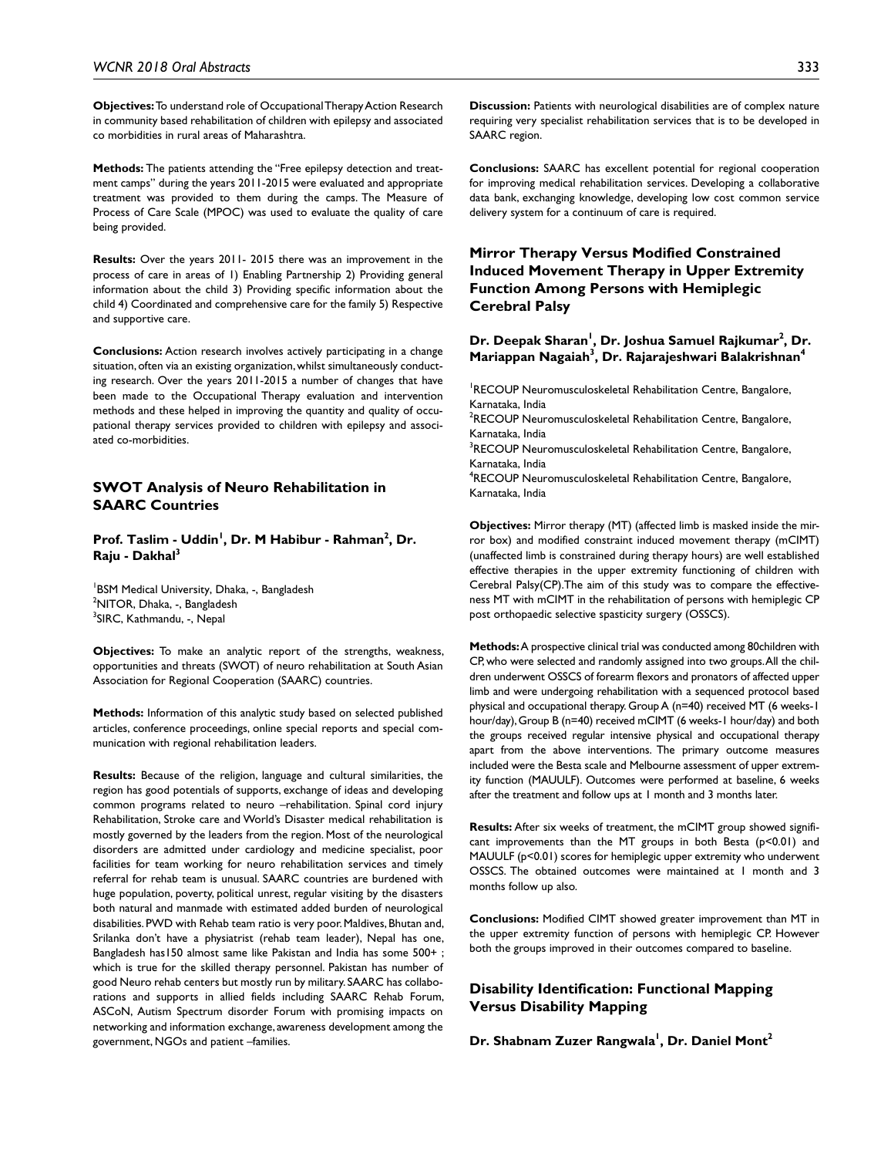**Objectives:** To understand role of Occupational Therapy Action Research in community based rehabilitation of children with epilepsy and associated co morbidities in rural areas of Maharashtra.

**Methods:** The patients attending the "Free epilepsy detection and treatment camps" during the years 2011-2015 were evaluated and appropriate treatment was provided to them during the camps. The Measure of Process of Care Scale (MPOC) was used to evaluate the quality of care being provided.

**Results:** Over the years 2011- 2015 there was an improvement in the process of care in areas of 1) Enabling Partnership 2) Providing general information about the child 3) Providing specific information about the child 4) Coordinated and comprehensive care for the family 5) Respective and supportive care.

**Conclusions:** Action research involves actively participating in a change situation, often via an existing organization, whilst simultaneously conducting research. Over the years 2011-2015 a number of changes that have been made to the Occupational Therapy evaluation and intervention methods and these helped in improving the quantity and quality of occupational therapy services provided to children with epilepsy and associated co-morbidities.

### **SWOT Analysis of Neuro Rehabilitation in SAARC Countries**

Prof. Taslim - Uddin<sup>I</sup>, Dr. M Habibur - Rahman<sup>2</sup>, Dr. **Raju - Dakhal3**

<sup>1</sup>BSM Medical University, Dhaka, -, Bangladesh <sup>2</sup>NITOR, Dhaka, -, Bangladesh <sup>3</sup>SIRC, Kathmandu, -, Nepal

**Objectives:** To make an analytic report of the strengths, weakness, opportunities and threats (SWOT) of neuro rehabilitation at South Asian Association for Regional Cooperation (SAARC) countries.

**Methods:** Information of this analytic study based on selected published articles, conference proceedings, online special reports and special communication with regional rehabilitation leaders.

**Results:** Because of the religion, language and cultural similarities, the region has good potentials of supports, exchange of ideas and developing common programs related to neuro –rehabilitation. Spinal cord injury Rehabilitation, Stroke care and World's Disaster medical rehabilitation is mostly governed by the leaders from the region. Most of the neurological disorders are admitted under cardiology and medicine specialist, poor facilities for team working for neuro rehabilitation services and timely referral for rehab team is unusual. SAARC countries are burdened with huge population, poverty, political unrest, regular visiting by the disasters both natural and manmade with estimated added burden of neurological disabilities. PWD with Rehab team ratio is very poor. Maldives, Bhutan and, Srilanka don't have a physiatrist (rehab team leader), Nepal has one, Bangladesh has150 almost same like Pakistan and India has some 500+ ; which is true for the skilled therapy personnel. Pakistan has number of good Neuro rehab centers but mostly run by military. SAARC has collaborations and supports in allied fields including SAARC Rehab Forum, ASCoN, Autism Spectrum disorder Forum with promising impacts on networking and information exchange, awareness development among the government, NGOs and patient –families.

**Discussion:** Patients with neurological disabilities are of complex nature requiring very specialist rehabilitation services that is to be developed in SAARC region.

**Conclusions:** SAARC has excellent potential for regional cooperation for improving medical rehabilitation services. Developing a collaborative data bank, exchanging knowledge, developing low cost common service delivery system for a continuum of care is required.

**Mirror Therapy Versus Modified Constrained Induced Movement Therapy in Upper Extremity Function Among Persons with Hemiplegic Cerebral Palsy**

### Dr. Deepak Sharan<sup>i</sup>, Dr. Joshua Samuel Rajkumar<sup>2</sup>, Dr. **Mariappan Nagaiah3 , Dr. Rajarajeshwari Balakrishnan4**

<sup>1</sup>RECOUP Neuromusculoskeletal Rehabilitation Centre, Bangalore, Karnataka, India <sup>2</sup>RECOUP Neuromusculoskeletal Rehabilitation Centre, Bangalore, Karnataka, India <sup>3</sup>RECOUP Neuromusculoskeletal Rehabilitation Centre, Bangalore, Karnataka, India 4 RECOUP Neuromusculoskeletal Rehabilitation Centre, Bangalore, Karnataka, India

**Objectives:** Mirror therapy (MT) (affected limb is masked inside the mirror box) and modified constraint induced movement therapy (mCIMT) (unaffected limb is constrained during therapy hours) are well established effective therapies in the upper extremity functioning of children with Cerebral Palsy(CP).The aim of this study was to compare the effectiveness MT with mCIMT in the rehabilitation of persons with hemiplegic CP post orthopaedic selective spasticity surgery (OSSCS).

**Methods:** A prospective clinical trial was conducted among 80children with CP, who were selected and randomly assigned into two groups. All the children underwent OSSCS of forearm flexors and pronators of affected upper limb and were undergoing rehabilitation with a sequenced protocol based physical and occupational therapy. Group A (n=40) received MT (6 weeks-1 hour/day), Group B (n=40) received mCIMT (6 weeks-1 hour/day) and both the groups received regular intensive physical and occupational therapy apart from the above interventions. The primary outcome measures included were the Besta scale and Melbourne assessment of upper extremity function (MAUULF). Outcomes were performed at baseline, 6 weeks after the treatment and follow ups at 1 month and 3 months later.

**Results:** After six weeks of treatment, the mCIMT group showed significant improvements than the MT groups in both Besta (p<0.01) and MAUULF (p<0.01) scores for hemiplegic upper extremity who underwent OSSCS. The obtained outcomes were maintained at 1 month and 3 months follow up also.

**Conclusions:** Modified CIMT showed greater improvement than MT in the upper extremity function of persons with hemiplegic CP. However both the groups improved in their outcomes compared to baseline.

### **Disability Identification: Functional Mapping Versus Disability Mapping**

**Dr. Shabnam Zuzer Rangwala1 , Dr. Daniel Mont2**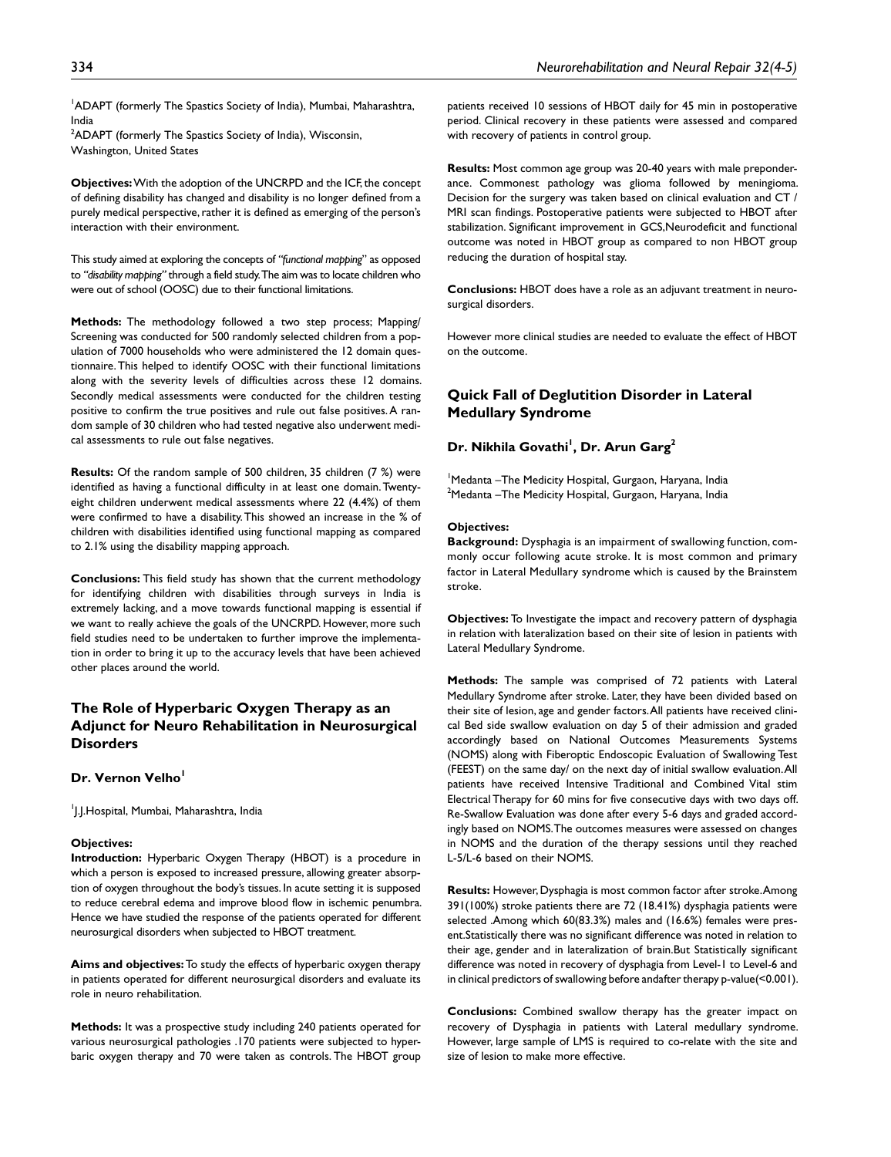<sup>1</sup>ADAPT (formerly The Spastics Society of India), Mumbai, Maharashtra, India

 $2$ ADAPT (formerly The Spastics Society of India), Wisconsin, Washington, United States

**Objectives:** With the adoption of the UNCRPD and the ICF, the concept of defining disability has changed and disability is no longer defined from a purely medical perspective, rather it is defined as emerging of the person's interaction with their environment.

This study aimed at exploring the concepts of *"functional mapping*" as opposed to *"disability mapping"* through a field study. The aim was to locate children who were out of school (OOSC) due to their functional limitations.

**Methods:** The methodology followed a two step process; Mapping/ Screening was conducted for 500 randomly selected children from a population of 7000 households who were administered the 12 domain questionnaire. This helped to identify OOSC with their functional limitations along with the severity levels of difficulties across these 12 domains. Secondly medical assessments were conducted for the children testing positive to confirm the true positives and rule out false positives. A random sample of 30 children who had tested negative also underwent medical assessments to rule out false negatives.

**Results:** Of the random sample of 500 children, 35 children (7 %) were identified as having a functional difficulty in at least one domain. Twentyeight children underwent medical assessments where 22 (4.4%) of them were confirmed to have a disability. This showed an increase in the % of children with disabilities identified using functional mapping as compared to 2.1% using the disability mapping approach.

**Conclusions:** This field study has shown that the current methodology for identifying children with disabilities through surveys in India is extremely lacking, and a move towards functional mapping is essential if we want to really achieve the goals of the UNCRPD. However, more such field studies need to be undertaken to further improve the implementation in order to bring it up to the accuracy levels that have been achieved other places around the world.

# **The Role of Hyperbaric Oxygen Therapy as an Adjunct for Neuro Rehabilitation in Neurosurgical Disorders**

#### **Dr. Vernon Velho**

1 J.J.Hospital, Mumbai, Maharashtra, India

#### **Objectives:**

**Introduction:** Hyperbaric Oxygen Therapy (HBOT) is a procedure in which a person is exposed to increased pressure, allowing greater absorption of oxygen throughout the body's tissues. In acute setting it is supposed to reduce cerebral edema and improve blood flow in ischemic penumbra. Hence we have studied the response of the patients operated for different neurosurgical disorders when subjected to HBOT treatment.

**Aims and objectives:** To study the effects of hyperbaric oxygen therapy in patients operated for different neurosurgical disorders and evaluate its role in neuro rehabilitation.

**Methods:** It was a prospective study including 240 patients operated for various neurosurgical pathologies .170 patients were subjected to hyperbaric oxygen therapy and 70 were taken as controls. The HBOT group patients received 10 sessions of HBOT daily for 45 min in postoperative period. Clinical recovery in these patients were assessed and compared with recovery of patients in control group.

**Results:** Most common age group was 20-40 years with male preponderance. Commonest pathology was glioma followed by meningioma. Decision for the surgery was taken based on clinical evaluation and CT / MRI scan findings. Postoperative patients were subjected to HBOT after stabilization. Significant improvement in GCS,Neurodeficit and functional outcome was noted in HBOT group as compared to non HBOT group reducing the duration of hospital stay.

**Conclusions:** HBOT does have a role as an adjuvant treatment in neurosurgical disorders.

However more clinical studies are needed to evaluate the effect of HBOT on the outcome.

# **Quick Fall of Deglutition Disorder in Lateral Medullary Syndrome**

### **Dr. Nikhila Govathi1 , Dr. Arun Garg2**

<sup>1</sup>Medanta - The Medicity Hospital, Gurgaon, Haryana, India  $^{2}$ Medanta –The Medicity Hospital, Gurgaon, Haryana, India

#### **Objectives:**

**Background:** Dysphagia is an impairment of swallowing function, commonly occur following acute stroke. It is most common and primary factor in Lateral Medullary syndrome which is caused by the Brainstem stroke.

**Objectives:** To Investigate the impact and recovery pattern of dysphagia in relation with lateralization based on their site of lesion in patients with Lateral Medullary Syndrome.

**Methods:** The sample was comprised of 72 patients with Lateral Medullary Syndrome after stroke. Later, they have been divided based on their site of lesion, age and gender factors. All patients have received clinical Bed side swallow evaluation on day 5 of their admission and graded accordingly based on National Outcomes Measurements Systems (NOMS) along with Fiberoptic Endoscopic Evaluation of Swallowing Test (FEEST) on the same day/ on the next day of initial swallow evaluation. All patients have received Intensive Traditional and Combined Vital stim Electrical Therapy for 60 mins for five consecutive days with two days off. Re-Swallow Evaluation was done after every 5-6 days and graded accordingly based on NOMS. The outcomes measures were assessed on changes in NOMS and the duration of the therapy sessions until they reached L-5/L-6 based on their NOMS.

**Results:** However, Dysphagia is most common factor after stroke. Among 391(100%) stroke patients there are 72 (18.41%) dysphagia patients were selected .Among which 60(83.3%) males and (16.6%) females were present.Statistically there was no significant difference was noted in relation to their age, gender and in lateralization of brain.But Statistically significant difference was noted in recovery of dysphagia from Level-1 to Level-6 and in clinical predictors of swallowing before andafter therapy p-value(<0.001).

**Conclusions:** Combined swallow therapy has the greater impact on recovery of Dysphagia in patients with Lateral medullary syndrome. However, large sample of LMS is required to co-relate with the site and size of lesion to make more effective.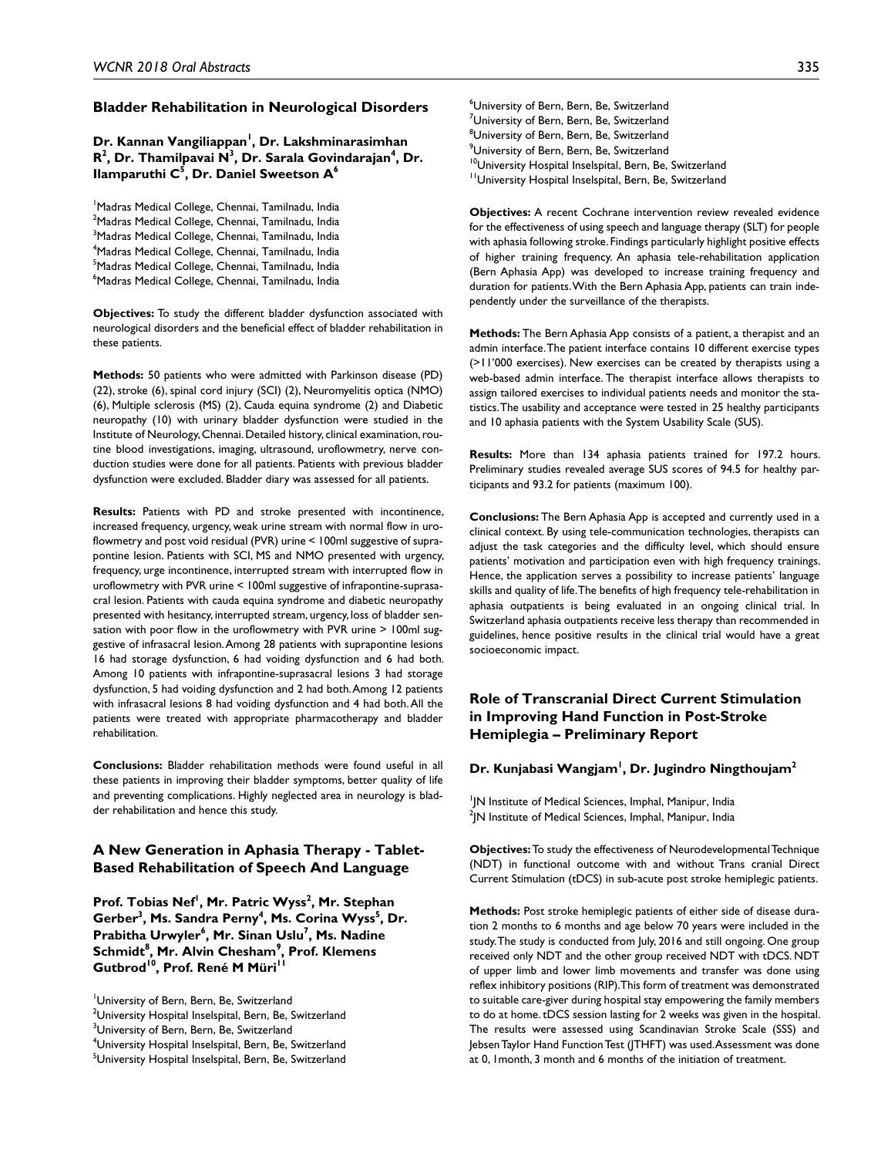#### **Bladder Rehabilitation in Neurological Disorders**

Dr. Kannan Vangiliappan<sup>1</sup>, Dr. Lakshminarasimhan **R**<sup>2</sup>, Dr. Thamilpavai N<sup>3</sup>, Dr. Sarala Govindarajan<sup>4</sup>, Dr. **Ilamparuthi C5 , Dr. Daniel Sweetson A6**

<sup>1</sup>Madras Medical College, Chennai, Tamilnadu, India <sup>2</sup>Madras Medical College, Chennai, Tamilnadu, India <sup>3</sup>Madras Medical College, Chennai, Tamilnadu, India 4 Madras Medical College, Chennai, Tamilnadu, India <sup>5</sup>Madras Medical College, Chennai, Tamilnadu, India <sup>6</sup>Madras Medical College, Chennai, Tamilnadu, India

**Objectives:** To study the different bladder dysfunction associated with neurological disorders and the beneficial effect of bladder rehabilitation in these patients.

**Methods:** 50 patients who were admitted with Parkinson disease (PD) (22), stroke (6), spinal cord injury (SCI) (2), Neuromyelitis optica (NMO) (6), Multiple sclerosis (MS) (2), Cauda equina syndrome (2) and Diabetic neuropathy (10) with urinary bladder dysfunction were studied in the Institute of Neurology, Chennai. Detailed history, clinical examination, routine blood investigations, imaging, ultrasound, uroflowmetry, nerve conduction studies were done for all patients. Patients with previous bladder dysfunction were excluded. Bladder diary was assessed for all patients.

**Results:** Patients with PD and stroke presented with incontinence, increased frequency, urgency, weak urine stream with normal flow in uroflowmetry and post void residual (PVR) urine < 100ml suggestive of suprapontine lesion. Patients with SCI, MS and NMO presented with urgency, frequency, urge incontinence, interrupted stream with interrupted flow in uroflowmetry with PVR urine < 100ml suggestive of infrapontine-suprasacral lesion. Patients with cauda equina syndrome and diabetic neuropathy presented with hesitancy, interrupted stream, urgency, loss of bladder sensation with poor flow in the uroflowmetry with PVR urine > 100ml suggestive of infrasacral lesion. Among 28 patients with suprapontine lesions 16 had storage dysfunction, 6 had voiding dysfunction and 6 had both. Among 10 patients with infrapontine-suprasacral lesions 3 had storage dysfunction, 5 had voiding dysfunction and 2 had both. Among 12 patients with infrasacral lesions 8 had voiding dysfunction and 4 had both. All the patients were treated with appropriate pharmacotherapy and bladder rehabilitation.

**Conclusions:** Bladder rehabilitation methods were found useful in all these patients in improving their bladder symptoms, better quality of life and preventing complications. Highly neglected area in neurology is bladder rehabilitation and hence this study.

# **A New Generation in Aphasia Therapy - Tablet-Based Rehabilitation of Speech And Language**

Prof. Tobias Nef<sup>I</sup>, Mr. Patric Wyss<sup>2</sup>, Mr. Stephan **G**erber<sup>3</sup>, Ms. Sandra Perny<sup>4</sup>, Ms. Corina Wyss<sup>5</sup>, Dr. **Prabitha Urwyler6 , Mr. Sinan Uslu7 , Ms. Nadine**   ${\sf Schmidt}^8$ , **Mr. Alvin Chesham** $^9$ **, Prof. Klemens** Gutbrod<sup>10</sup>, Prof. René M Müri<sup>11</sup>

- $^{\rm 2}$ University Hospital Inselspital, Bern, Be, Switzerland
- <sup>3</sup>University of Bern, Bern, Be, Switzerland
- 4 University Hospital Inselspital, Bern, Be, Switzerland
- <sup>5</sup>University Hospital Inselspital, Bern, Be, Switzerland

6 University of Bern, Bern, Be, Switzerland <sup>7</sup>University of Bern, Bern, Be, Switzerland  $^8$ University of Bern, Bern, Be, Switzerland  $^9$ University of Bern, Bern, Be, Switzerland <sup>10</sup>University Hospital Inselspital, Bern, Be, Switzerland <sup>11</sup>University Hospital Inselspital, Bern, Be, Switzerland

**Objectives:** A recent Cochrane intervention review revealed evidence for the effectiveness of using speech and language therapy (SLT) for people with aphasia following stroke. Findings particularly highlight positive effects of higher training frequency. An aphasia tele-rehabilitation application (Bern Aphasia App) was developed to increase training frequency and duration for patients. With the Bern Aphasia App, patients can train independently under the surveillance of the therapists.

**Methods:** The Bern Aphasia App consists of a patient, a therapist and an admin interface. The patient interface contains 10 different exercise types (>11'000 exercises). New exercises can be created by therapists using a web-based admin interface. The therapist interface allows therapists to assign tailored exercises to individual patients needs and monitor the statistics. The usability and acceptance were tested in 25 healthy participants and 10 aphasia patients with the System Usability Scale (SUS).

**Results:** More than 134 aphasia patients trained for 197.2 hours. Preliminary studies revealed average SUS scores of 94.5 for healthy participants and 93.2 for patients (maximum 100).

**Conclusions:** The Bern Aphasia App is accepted and currently used in a clinical context. By using tele-communication technologies, therapists can adjust the task categories and the difficulty level, which should ensure patients' motivation and participation even with high frequency trainings. Hence, the application serves a possibility to increase patients' language skills and quality of life. The benefits of high frequency tele-rehabilitation in aphasia outpatients is being evaluated in an ongoing clinical trial. In Switzerland aphasia outpatients receive less therapy than recommended in guidelines, hence positive results in the clinical trial would have a great socioeconomic impact.

# **Role of Transcranial Direct Current Stimulation in Improving Hand Function in Post-Stroke Hemiplegia – Preliminary Report**

#### **Dr. Kunjabasi Wangjam1 , Dr. Jugindro Ningthoujam2**

1 JN Institute of Medical Sciences, Imphal, Manipur, India  $^2$ JN Institute of Medical Sciences, Imphal, Manipur, India

**Objectives:** To study the effectiveness of Neurodevelopmental Technique (NDT) in functional outcome with and without Trans cranial Direct Current Stimulation (tDCS) in sub-acute post stroke hemiplegic patients.

**Methods:** Post stroke hemiplegic patients of either side of disease duration 2 months to 6 months and age below 70 years were included in the study. The study is conducted from July, 2016 and still ongoing. One group received only NDT and the other group received NDT with tDCS. NDT of upper limb and lower limb movements and transfer was done using reflex inhibitory positions (RIP). This form of treatment was demonstrated to suitable care-giver during hospital stay empowering the family members to do at home. tDCS session lasting for 2 weeks was given in the hospital. The results were assessed using Scandinavian Stroke Scale (SSS) and Jebsen Taylor Hand Function Test (JTHFT) was used. Assessment was done at 0, 1month, 3 month and 6 months of the initiation of treatment.

University of Bern, Bern, Be, Switzerland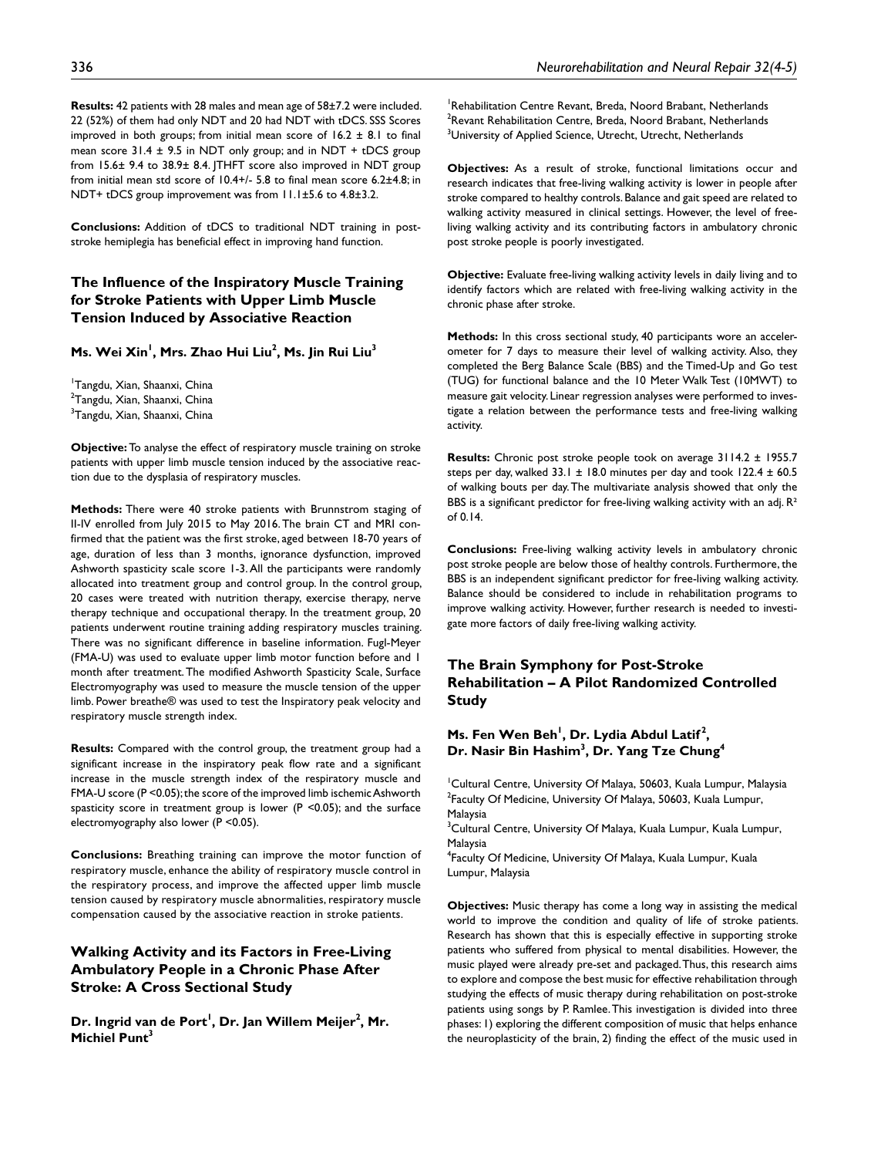**Results:** 42 patients with 28 males and mean age of 58±7.2 were included. 22 (52%) of them had only NDT and 20 had NDT with tDCS. SSS Scores improved in both groups; from initial mean score of  $16.2 \pm 8.1$  to final mean score  $31.4 \pm 9.5$  in NDT only group; and in NDT + tDCS group from 15.6± 9.4 to 38.9± 8.4. JTHFT score also improved in NDT group from initial mean std score of 10.4+/- 5.8 to final mean score 6.2±4.8; in NDT+ tDCS group improvement was from 11.1±5.6 to 4.8±3.2.

**Conclusions:** Addition of tDCS to traditional NDT training in poststroke hemiplegia has beneficial effect in improving hand function.

# **The Influence of the Inspiratory Muscle Training for Stroke Patients with Upper Limb Muscle Tension Induced by Associative Reaction**

#### **Ms. Wei Xin1 , Mrs. Zhao Hui Liu2 , Ms. Jin Rui Liu3**

1 Tangdu, Xian, Shaanxi, China <sup>2</sup>Tangdu, Xian, Shaanxi, China <sup>3</sup>Tangdu, Xian, Shaanxi, China

**Objective:** To analyse the effect of respiratory muscle training on stroke patients with upper limb muscle tension induced by the associative reaction due to the dysplasia of respiratory muscles.

**Methods:** There were 40 stroke patients with Brunnstrom staging of II-IV enrolled from July 2015 to May 2016. The brain CT and MRI confirmed that the patient was the first stroke, aged between 18-70 years of age, duration of less than 3 months, ignorance dysfunction, improved Ashworth spasticity scale score 1-3. All the participants were randomly allocated into treatment group and control group. In the control group, 20 cases were treated with nutrition therapy, exercise therapy, nerve therapy technique and occupational therapy. In the treatment group, 20 patients underwent routine training adding respiratory muscles training. There was no significant difference in baseline information. Fugl-Meyer (FMA-U) was used to evaluate upper limb motor function before and 1 month after treatment. The modified Ashworth Spasticity Scale, Surface Electromyography was used to measure the muscle tension of the upper limb. Power breathe® was used to test the Inspiratory peak velocity and respiratory muscle strength index.

**Results:** Compared with the control group, the treatment group had a significant increase in the inspiratory peak flow rate and a significant increase in the muscle strength index of the respiratory muscle and FMA-U score (P <0.05); the score of the improved limb ischemic Ashworth spasticity score in treatment group is lower (P <0.05); and the surface electromyography also lower (P <0.05).

**Conclusions:** Breathing training can improve the motor function of respiratory muscle, enhance the ability of respiratory muscle control in the respiratory process, and improve the affected upper limb muscle tension caused by respiratory muscle abnormalities, respiratory muscle compensation caused by the associative reaction in stroke patients.

# **Walking Activity and its Factors in Free-Living Ambulatory People in a Chronic Phase After Stroke: A Cross Sectional Study**

Dr. Ingrid van de Port<sup>1</sup>, Dr. Jan Willem Meijer<sup>2</sup>, Mr. **Michiel Punt<sup>3</sup>** 

<sup>1</sup>Rehabilitation Centre Revant, Breda, Noord Brabant, Netherlands  $^{2}$ Revant Rehabilitation Centre, Breda, Noord Brabant, Netherlands  $^3$ University of Applied Science, Utrecht, Utrecht, Netherlands

**Objectives:** As a result of stroke, functional limitations occur and research indicates that free-living walking activity is lower in people after stroke compared to healthy controls. Balance and gait speed are related to walking activity measured in clinical settings. However, the level of freeliving walking activity and its contributing factors in ambulatory chronic post stroke people is poorly investigated.

**Objective:** Evaluate free-living walking activity levels in daily living and to identify factors which are related with free-living walking activity in the chronic phase after stroke.

**Methods:** In this cross sectional study, 40 participants wore an accelerometer for 7 days to measure their level of walking activity. Also, they completed the Berg Balance Scale (BBS) and the Timed-Up and Go test (TUG) for functional balance and the 10 Meter Walk Test (10MWT) to measure gait velocity. Linear regression analyses were performed to investigate a relation between the performance tests and free-living walking activity.

**Results:** Chronic post stroke people took on average 3114.2 ± 1955.7 steps per day, walked  $33.1 \pm 18.0$  minutes per day and took  $122.4 \pm 60.5$ of walking bouts per day. The multivariate analysis showed that only the BBS is a significant predictor for free-living walking activity with an adj.  $R^2$ of 0.14.

**Conclusions:** Free-living walking activity levels in ambulatory chronic post stroke people are below those of healthy controls. Furthermore, the BBS is an independent significant predictor for free-living walking activity. Balance should be considered to include in rehabilitation programs to improve walking activity. However, further research is needed to investigate more factors of daily free-living walking activity.

# **The Brain Symphony for Post-Stroke Rehabilitation – A Pilot Randomized Controlled Study**

### **Ms. Fen Wen Beh<sup>1</sup>, Dr. Lydia Abdul Latif<sup>2</sup>, Dr. Nasir Bin Hashim3 , Dr. Yang Tze Chung4**

1 Cultural Centre, University Of Malaya, 50603, Kuala Lumpur, Malaysia <sup>2</sup>Faculty Of Medicine, University Of Malaya, 50603, Kuala Lumpur, Malaysia

<sup>3</sup>Cultural Centre, University Of Malaya, Kuala Lumpur, Kuala Lumpur, Malaysia

4 Faculty Of Medicine, University Of Malaya, Kuala Lumpur, Kuala Lumpur, Malaysia

**Objectives:** Music therapy has come a long way in assisting the medical world to improve the condition and quality of life of stroke patients. Research has shown that this is especially effective in supporting stroke patients who suffered from physical to mental disabilities. However, the music played were already pre-set and packaged. Thus, this research aims to explore and compose the best music for effective rehabilitation through studying the effects of music therapy during rehabilitation on post-stroke patients using songs by P. Ramlee. This investigation is divided into three phases: 1) exploring the different composition of music that helps enhance the neuroplasticity of the brain, 2) finding the effect of the music used in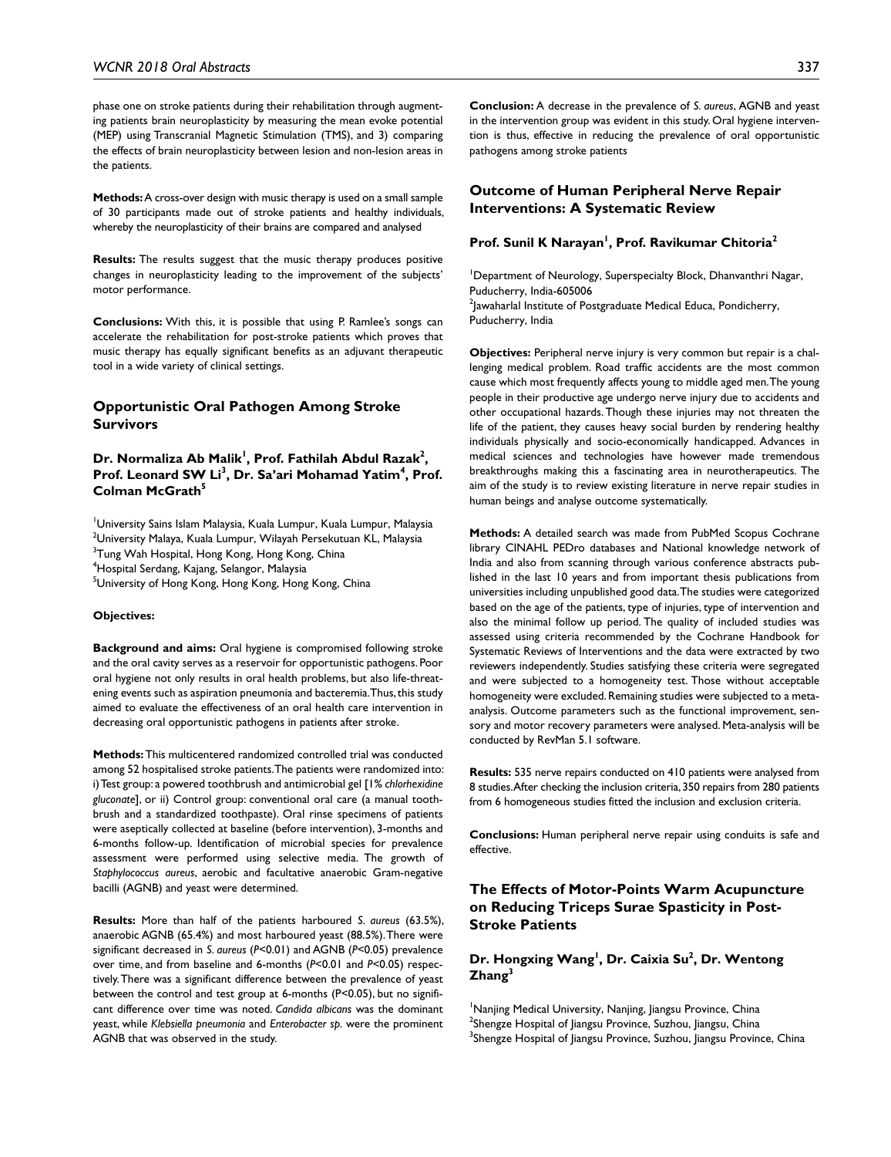phase one on stroke patients during their rehabilitation through augmenting patients brain neuroplasticity by measuring the mean evoke potential (MEP) using Transcranial Magnetic Stimulation (TMS), and 3) comparing the effects of brain neuroplasticity between lesion and non-lesion areas in the patients.

**Methods:** A cross-over design with music therapy is used on a small sample of 30 participants made out of stroke patients and healthy individuals, whereby the neuroplasticity of their brains are compared and analysed

**Results:** The results suggest that the music therapy produces positive changes in neuroplasticity leading to the improvement of the subjects' motor performance.

**Conclusions:** With this, it is possible that using P. Ramlee's songs can accelerate the rehabilitation for post-stroke patients which proves that music therapy has equally significant benefits as an adjuvant therapeutic tool in a wide variety of clinical settings.

### **Opportunistic Oral Pathogen Among Stroke Survivors**

Dr. Normaliza Ab Malik<sup>1</sup>, Prof. Fathilah Abdul Razak<sup>2</sup>, Prof. Leonard SW Li<sup>3</sup>, Dr. Sa'ari Mohamad Yatim<sup>4</sup>, Prof. **Colman McGrath5**

1 University Sains Islam Malaysia, Kuala Lumpur, Kuala Lumpur, Malaysia  $^2$ University Malaya, Kuala Lumpur, Wilayah Persekutuan KL, Malaysia <sup>3</sup>Tung Wah Hospital, Hong Kong, Hong Kong, China 4 Hospital Serdang, Kajang, Selangor, Malaysia

<sup>5</sup>University of Hong Kong, Hong Kong, Hong Kong, China

#### **Objectives:**

**Background and aims:** Oral hygiene is compromised following stroke and the oral cavity serves as a reservoir for opportunistic pathogens. Poor oral hygiene not only results in oral health problems, but also life-threatening events such as aspiration pneumonia and bacteremia. Thus, this study aimed to evaluate the effectiveness of an oral health care intervention in decreasing oral opportunistic pathogens in patients after stroke.

**Methods:** This multicentered randomized controlled trial was conducted among 52 hospitalised stroke patients. The patients were randomized into: i) Test group: a powered toothbrush and antimicrobial gel [1% *chlorhexidine gluconate*], or ii) Control group: conventional oral care (a manual toothbrush and a standardized toothpaste). Oral rinse specimens of patients were aseptically collected at baseline (before intervention), 3-months and 6-months follow-up. Identification of microbial species for prevalence assessment were performed using selective media. The growth of *Staphylococcus aureus*, aerobic and facultative anaerobic Gram-negative bacilli (AGNB) and yeast were determined.

**Results:** More than half of the patients harboured *S. aureus* (63.5%), anaerobic AGNB (65.4%) and most harboured yeast (88.5%). There were significant decreased in *S. aureus* (*P*<0.01) and AGNB (*P*<0.05) prevalence over time, and from baseline and 6-months (*P*<0.01 and *P*<0.05) respectively. There was a significant difference between the prevalence of yeast between the control and test group at 6-months (P<0.05), but no significant difference over time was noted. *Candida albicans* was the dominant yeast, while *Klebsiella pneumonia* and *Enterobacter sp.* were the prominent AGNB that was observed in the study.

**Conclusion:** A decrease in the prevalence of *S. aureus*, AGNB and yeast in the intervention group was evident in this study. Oral hygiene intervention is thus, effective in reducing the prevalence of oral opportunistic pathogens among stroke patients

### **Outcome of Human Peripheral Nerve Repair Interventions: A Systematic Review**

#### **Prof. Sunil K Narayan1 , Prof. Ravikumar Chitoria2**

<sup>1</sup>Department of Neurology, Superspecialty Block, Dhanvanthri Nagar, Puducherry, India-605006  $^{2}$ Jawaharlal Institute of Postgraduate Medical Educa, Pondicherry, Puducherry, India

**Objectives:** Peripheral nerve injury is very common but repair is a challenging medical problem. Road traffic accidents are the most common cause which most frequently affects young to middle aged men. The young people in their productive age undergo nerve injury due to accidents and other occupational hazards. Though these injuries may not threaten the life of the patient, they causes heavy social burden by rendering healthy individuals physically and socio-economically handicapped. Advances in medical sciences and technologies have however made tremendous breakthroughs making this a fascinating area in neurotherapeutics. The aim of the study is to review existing literature in nerve repair studies in human beings and analyse outcome systematically.

**Methods:** A detailed search was made from PubMed Scopus Cochrane library CINAHL PEDro databases and National knowledge network of India and also from scanning through various conference abstracts published in the last 10 years and from important thesis publications from universities including unpublished good data. The studies were categorized based on the age of the patients, type of injuries, type of intervention and also the minimal follow up period. The quality of included studies was assessed using criteria recommended by the Cochrane Handbook for Systematic Reviews of Interventions and the data were extracted by two reviewers independently. Studies satisfying these criteria were segregated and were subjected to a homogeneity test. Those without acceptable homogeneity were excluded. Remaining studies were subjected to a metaanalysis. Outcome parameters such as the functional improvement, sensory and motor recovery parameters were analysed. Meta-analysis will be conducted by RevMan 5.1 software.

**Results:** 535 nerve repairs conducted on 410 patients were analysed from 8 studies. After checking the inclusion criteria, 350 repairs from 280 patients from 6 homogeneous studies fitted the inclusion and exclusion criteria.

**Conclusions:** Human peripheral nerve repair using conduits is safe and effective.

# **The Effects of Motor-Points Warm Acupuncture on Reducing Triceps Surae Spasticity in Post-Stroke Patients**

# **Dr. Hongxing Wang1 , Dr. Caixia Su2 , Dr. Wentong Zhang3**

<sup>1</sup>Nanjing Medical University, Nanjing, Jiangsu Province, China  $^2$ Shengze Hospital of Jiangsu Province, Suzhou, Jiangsu, China <sup>3</sup>Shengze Hospital of Jiangsu Province, Suzhou, Jiangsu Province, China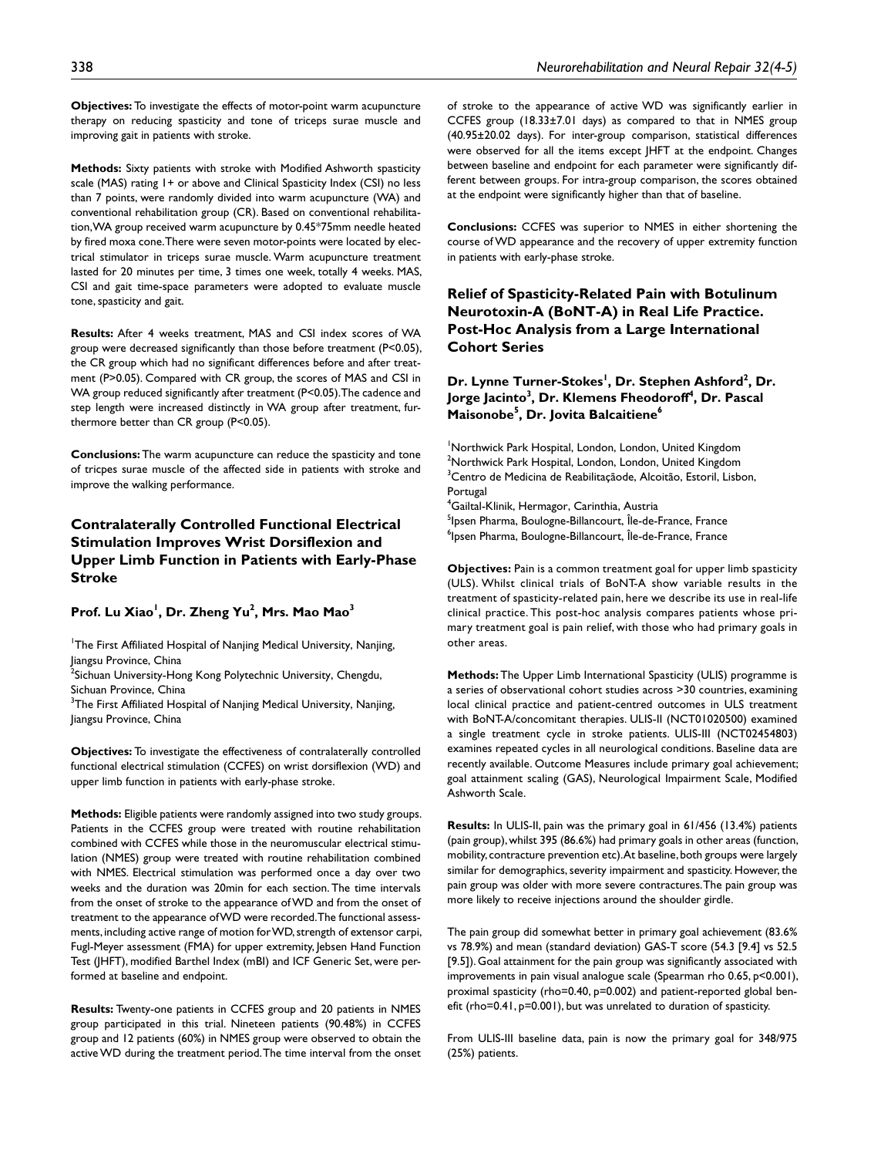**Objectives:** To investigate the effects of motor-point warm acupuncture therapy on reducing spasticity and tone of triceps surae muscle and improving gait in patients with stroke.

**Methods:** Sixty patients with stroke with Modified Ashworth spasticity scale (MAS) rating 1+ or above and Clinical Spasticity Index (CSI) no less than 7 points, were randomly divided into warm acupuncture (WA) and conventional rehabilitation group (CR). Based on conventional rehabilitation, WA group received warm acupuncture by 0.45\*75mm needle heated by fired moxa cone. There were seven motor-points were located by electrical stimulator in triceps surae muscle. Warm acupuncture treatment lasted for 20 minutes per time, 3 times one week, totally 4 weeks. MAS, CSI and gait time-space parameters were adopted to evaluate muscle tone, spasticity and gait.

**Results:** After 4 weeks treatment, MAS and CSI index scores of WA group were decreased significantly than those before treatment (P<0.05), the CR group which had no significant differences before and after treatment (P>0.05). Compared with CR group, the scores of MAS and CSI in WA group reduced significantly after treatment (P<0.05). The cadence and step length were increased distinctly in WA group after treatment, furthermore better than CR group (P<0.05).

**Conclusions:** The warm acupuncture can reduce the spasticity and tone of tricpes surae muscle of the affected side in patients with stroke and improve the walking performance.

# **Contralaterally Controlled Functional Electrical Stimulation Improves Wrist Dorsiflexion and Upper Limb Function in Patients with Early-Phase Stroke**

#### **Prof. Lu Xiao1 , Dr. Zheng Yu2 , Mrs. Mao Mao3**

<sup>1</sup>The First Affiliated Hospital of Nanjing Medical University, Nanjing, Jiangsu Province, China

<sup>2</sup>Sichuan University-Hong Kong Polytechnic University, Chengdu, Sichuan Province, China

 $3$ The First Affiliated Hospital of Nanjing Medical University, Nanjing, Jiangsu Province, China

**Objectives:** To investigate the effectiveness of contralaterally controlled functional electrical stimulation (CCFES) on wrist dorsiflexion (WD) and upper limb function in patients with early-phase stroke.

**Methods:** Eligible patients were randomly assigned into two study groups. Patients in the CCFES group were treated with routine rehabilitation combined with CCFES while those in the neuromuscular electrical stimulation (NMES) group were treated with routine rehabilitation combined with NMES. Electrical stimulation was performed once a day over two weeks and the duration was 20min for each section. The time intervals from the onset of stroke to the appearance of WD and from the onset of treatment to the appearance of WD were recorded. The functional assessments, including active range of motion for WD, strength of extensor carpi, Fugl-Meyer assessment (FMA) for upper extremity, Jebsen Hand Function Test (JHFT), modified Barthel Index (mBI) and ICF Generic Set, were performed at baseline and endpoint.

**Results:** Twenty-one patients in CCFES group and 20 patients in NMES group participated in this trial. Nineteen patients (90.48%) in CCFES group and 12 patients (60%) in NMES group were observed to obtain the active WD during the treatment period. The time interval from the onset of stroke to the appearance of active WD was significantly earlier in CCFES group (18.33±7.01 days) as compared to that in NMES group (40.95±20.02 days). For inter-group comparison, statistical differences were observed for all the items except JHFT at the endpoint. Changes between baseline and endpoint for each parameter were significantly different between groups. For intra-group comparison, the scores obtained at the endpoint were significantly higher than that of baseline.

**Conclusions:** CCFES was superior to NMES in either shortening the course of WD appearance and the recovery of upper extremity function in patients with early-phase stroke.

**Relief of Spasticity-Related Pain with Botulinum Neurotoxin-A (BoNT-A) in Real Life Practice. Post-Hoc Analysis from a Large International Cohort Series**

### Dr. Lynne Turner-Stokes<sup>!</sup>, Dr. Stephen Ashford<sup>2</sup>, Dr. **Jorge Jacinto** $^3$ **, Dr. Klemens Fheodoroff** $^4$ **, Dr. Pascal Maisonobe5 , Dr. Jovita Balcaitiene6**

<sup>1</sup>Northwick Park Hospital, London, London, United Kingdom <sup>2</sup>Northwick Park Hospital, London, London, United Kingdom <sup>3</sup>Centro de Medicina de Reabilitaçãode, Alcoitão, Estoril, Lisbon, Portugal

4 Gailtal-Klinik, Hermagor, Carinthia, Austria <sup>5</sup>lpsen Pharma, Boulogne-Billancourt, Île-de-France, France 6 Ipsen Pharma, Boulogne-Billancourt, Île-de-France, France

**Objectives:** Pain is a common treatment goal for upper limb spasticity (ULS). Whilst clinical trials of BoNT-A show variable results in the treatment of spasticity-related pain, here we describe its use in real-life clinical practice. This post-hoc analysis compares patients whose primary treatment goal is pain relief, with those who had primary goals in other areas.

**Methods:** The Upper Limb International Spasticity (ULIS) programme is a series of observational cohort studies across >30 countries, examining local clinical practice and patient-centred outcomes in ULS treatment with BoNT-A/concomitant therapies. ULIS-II (NCT01020500) examined a single treatment cycle in stroke patients. ULIS-III (NCT02454803) examines repeated cycles in all neurological conditions. Baseline data are recently available. Outcome Measures include primary goal achievement; goal attainment scaling (GAS), Neurological Impairment Scale, Modified Ashworth Scale.

**Results:** In ULIS-II, pain was the primary goal in 61/456 (13.4%) patients (pain group), whilst 395 (86.6%) had primary goals in other areas (function, mobility, contracture prevention etc). At baseline, both groups were largely similar for demographics, severity impairment and spasticity. However, the pain group was older with more severe contractures. The pain group was more likely to receive injections around the shoulder girdle.

The pain group did somewhat better in primary goal achievement (83.6% vs 78.9%) and mean (standard deviation) GAS-T score (54.3 [9.4] vs 52.5 [9.5]). Goal attainment for the pain group was significantly associated with improvements in pain visual analogue scale (Spearman rho 0.65, p<0.001), proximal spasticity (rho=0.40, p=0.002) and patient-reported global benefit (rho=0.41, p=0.001), but was unrelated to duration of spasticity.

From ULIS-III baseline data, pain is now the primary goal for 348/975 (25%) patients.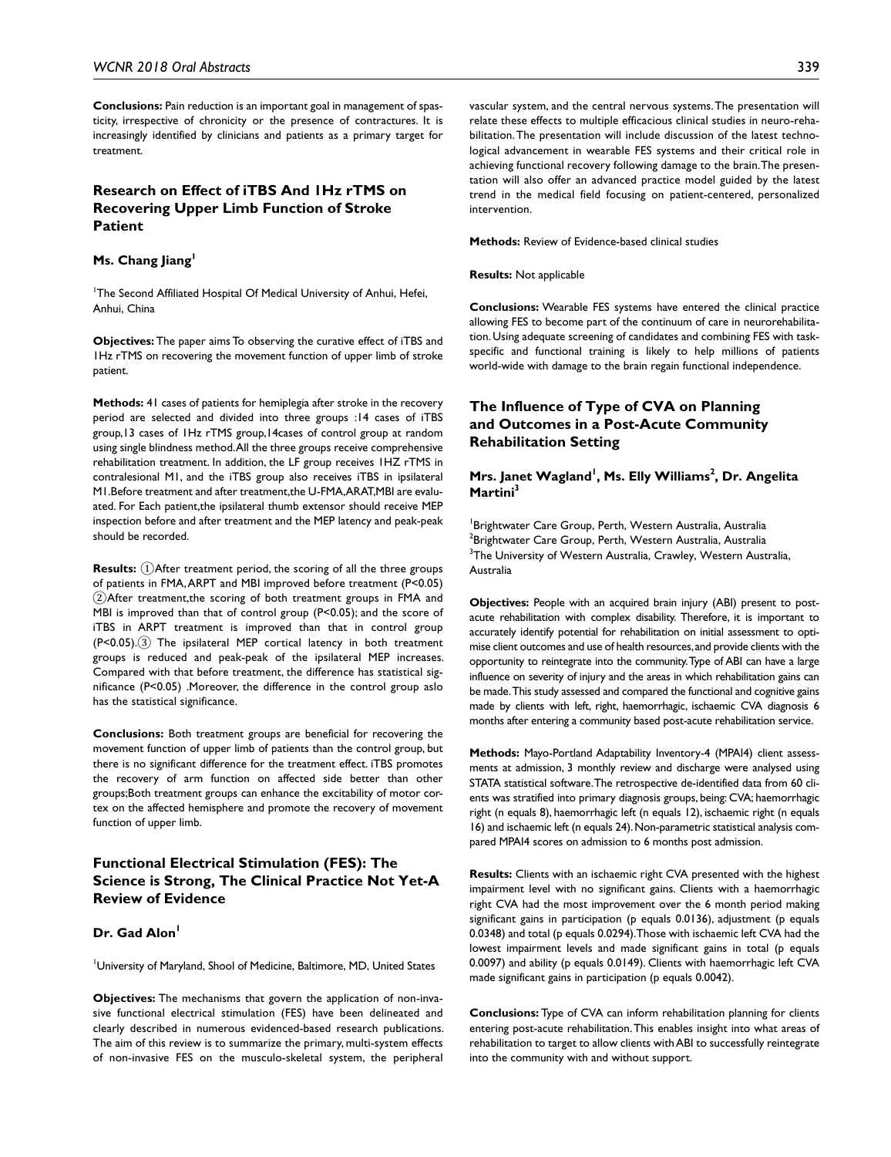**Conclusions:** Pain reduction is an important goal in management of spasticity, irrespective of chronicity or the presence of contractures. It is increasingly identified by clinicians and patients as a primary target for treatment.

# **Research on Effect of iTBS And 1Hz rTMS on Recovering Upper Limb Function of Stroke Patient**

#### Ms. Chang Jiang<sup>1</sup>

<sup>1</sup>The Second Affiliated Hospital Of Medical University of Anhui, Hefei, Anhui, China

**Objectives:** The paper aims To observing the curative effect of iTBS and 1Hz rTMS on recovering the movement function of upper limb of stroke patient.

**Methods:** 41 cases of patients for hemiplegia after stroke in the recovery period are selected and divided into three groups :14 cases of iTBS group,13 cases of 1Hz rTMS group,14cases of control group at random using single blindness method. All the three groups receive comprehensive rehabilitation treatment. In addition, the LF group receives 1HZ rTMS in contralesional M1, and the iTBS group also receives iTBS in ipsilateral M1.Before treatment and after treatment,the U-FMA,ARAT,MBI are evaluated. For Each patient,the ipsilateral thumb extensor should receive MEP inspection before and after treatment and the MEP latency and peak-peak should be recorded.

**Results:** ①After treatment period, the scoring of all the three groups of patients in FMA, ARPT and MBI improved before treatment (P<0.05) ②After treatment,the scoring of both treatment groups in FMA and MBI is improved than that of control group (P<0.05); and the score of iTBS in ARPT treatment is improved than that in control group (P<0.05).③ The ipsilateral MEP cortical latency in both treatment groups is reduced and peak-peak of the ipsilateral MEP increases. Compared with that before treatment, the difference has statistical significance (P<0.05) .Moreover, the difference in the control group aslo has the statistical significance.

**Conclusions:** Both treatment groups are beneficial for recovering the movement function of upper limb of patients than the control group, but there is no significant difference for the treatment effect. iTBS promotes the recovery of arm function on affected side better than other groups;Both treatment groups can enhance the excitability of motor cortex on the affected hemisphere and promote the recovery of movement function of upper limb.

# **Functional Electrical Stimulation (FES): The Science is Strong, The Clinical Practice Not Yet-A Review of Evidence**

#### Dr. Gad Alon<sup>1</sup>

University of Maryland, Shool of Medicine, Baltimore, MD, United States

**Objectives:** The mechanisms that govern the application of non-invasive functional electrical stimulation (FES) have been delineated and clearly described in numerous evidenced-based research publications. The aim of this review is to summarize the primary, multi-system effects of non-invasive FES on the musculo-skeletal system, the peripheral vascular system, and the central nervous systems. The presentation will relate these effects to multiple efficacious clinical studies in neuro-rehabilitation. The presentation will include discussion of the latest technological advancement in wearable FES systems and their critical role in achieving functional recovery following damage to the brain. The presentation will also offer an advanced practice model guided by the latest trend in the medical field focusing on patient-centered, personalized intervention.

**Methods:** Review of Evidence-based clinical studies

**Results:** Not applicable

**Conclusions:** Wearable FES systems have entered the clinical practice allowing FES to become part of the continuum of care in neurorehabilitation. Using adequate screening of candidates and combining FES with taskspecific and functional training is likely to help millions of patients world-wide with damage to the brain regain functional independence.

# **The Influence of Type of CVA on Planning and Outcomes in a Post-Acute Community Rehabilitation Setting**

**Mrs. Janet Wagland<sup>1</sup>, Ms. Elly Williams<sup>2</sup>, Dr. Angelita** Martini<sup>3</sup>

<sup>1</sup>Brightwater Care Group, Perth, Western Australia, Australia  $^2$ Brightwater Care Group, Perth, Western Australia, Australia <sup>3</sup>The University of Western Australia, Crawley, Western Australia, Australia

**Objectives:** People with an acquired brain injury (ABI) present to postacute rehabilitation with complex disability. Therefore, it is important to accurately identify potential for rehabilitation on initial assessment to optimise client outcomes and use of health resources, and provide clients with the opportunity to reintegrate into the community. Type of ABI can have a large influence on severity of injury and the areas in which rehabilitation gains can be made. This study assessed and compared the functional and cognitive gains made by clients with left, right, haemorrhagic, ischaemic CVA diagnosis 6 months after entering a community based post-acute rehabilitation service.

**Methods:** Mayo-Portland Adaptability Inventory-4 (MPAI4) client assessments at admission, 3 monthly review and discharge were analysed using STATA statistical software. The retrospective de-identified data from 60 clients was stratified into primary diagnosis groups, being: CVA; haemorrhagic right (n equals 8), haemorrhagic left (n equals 12), ischaemic right (n equals 16) and ischaemic left (n equals 24). Non-parametric statistical analysis compared MPAI4 scores on admission to 6 months post admission.

**Results:** Clients with an ischaemic right CVA presented with the highest impairment level with no significant gains. Clients with a haemorrhagic right CVA had the most improvement over the 6 month period making significant gains in participation (p equals 0.0136), adjustment (p equals 0.0348) and total (p equals 0.0294). Those with ischaemic left CVA had the lowest impairment levels and made significant gains in total (p equals 0.0097) and ability (p equals 0.0149). Clients with haemorrhagic left CVA made significant gains in participation (p equals 0.0042).

**Conclusions:** Type of CVA can inform rehabilitation planning for clients entering post-acute rehabilitation. This enables insight into what areas of rehabilitation to target to allow clients with ABI to successfully reintegrate into the community with and without support.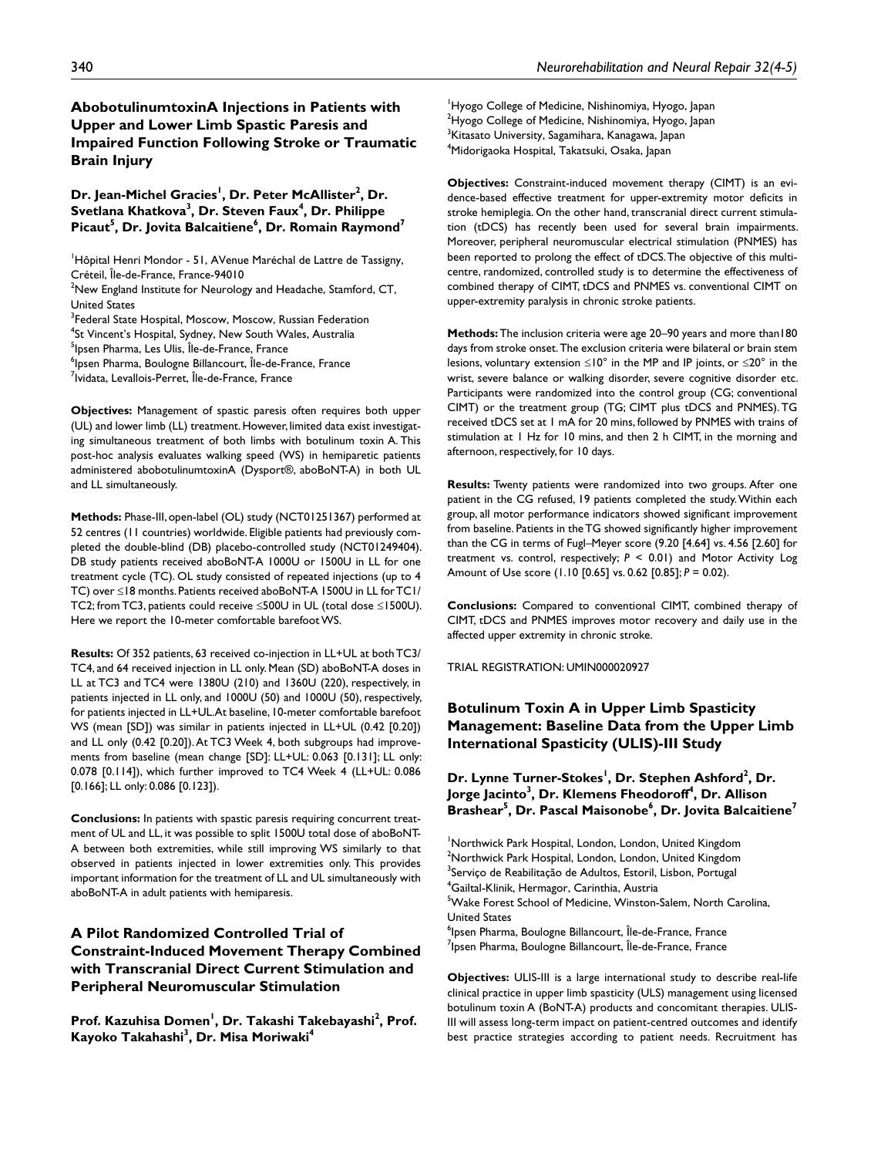# **AbobotulinumtoxinA Injections in Patients with Upper and Lower Limb Spastic Paresis and Impaired Function Following Stroke or Traumatic Brain Injury**

Dr. Jean-Michel Gracies<sup>!</sup>, Dr. Peter McAllister<sup>2</sup>, Dr. **Svetlana Khatkova3 , Dr. Steven Faux4 , Dr. Philippe**  Picaut<sup>5</sup>, Dr. Jovita Balcaitiene<sup>6</sup>, Dr. Romain Raymond<sup>7</sup>

<sup>1</sup>Hôpital Henri Mondor - 51, AVenue Maréchal de Lattre de Tassigny, Créteil, Île-de-France, France-94010

 $2$ New England Institute for Neurology and Headache, Stamford, CT, United States

<sup>3</sup>Federal State Hospital, Moscow, Moscow, Russian Federation

4 St Vincent's Hospital, Sydney, New South Wales, Australia

<sup>5</sup>lpsen Pharma, Les Ulis, Île-de-France, France

6 Ipsen Pharma, Boulogne Billancourt, Île-de-France, France

<sup>7</sup>lvidata, Levallois-Perret, Île-de-France, France

**Objectives:** Management of spastic paresis often requires both upper (UL) and lower limb (LL) treatment. However, limited data exist investigating simultaneous treatment of both limbs with botulinum toxin A. This post-hoc analysis evaluates walking speed (WS) in hemiparetic patients administered abobotulinumtoxinA (Dysport®, aboBoNT-A) in both UL and LL simultaneously.

**Methods:** Phase-III, open-label (OL) study (NCT01251367) performed at 52 centres (11 countries) worldwide. Eligible patients had previously completed the double-blind (DB) placebo-controlled study (NCT01249404). DB study patients received aboBoNT-A 1000U or 1500U in LL for one treatment cycle (TC). OL study consisted of repeated injections (up to 4 TC) over ≤18 months. Patients received aboBoNT-A 1500U in LL for TC1/ TC2; from TC3, patients could receive ≤500U in UL (total dose ≤1500U). Here we report the 10-meter comfortable barefoot WS.

**Results:** Of 352 patients, 63 received co-injection in LL+UL at both TC3/ TC4, and 64 received injection in LL only. Mean (SD) aboBoNT-A doses in LL at TC3 and TC4 were 1380U (210) and 1360U (220), respectively, in patients injected in LL only, and 1000U (50) and 1000U (50), respectively, for patients injected in LL+UL.At baseline, 10-meter comfortable barefoot WS (mean [SD]) was similar in patients injected in LL+UL (0.42 [0.20]) and LL only (0.42 [0.20]). At TC3 Week 4, both subgroups had improvements from baseline (mean change [SD]: LL+UL: 0.063 [0.131]; LL only: 0.078 [0.114]), which further improved to TC4 Week 4 (LL+UL: 0.086 [0.166]; LL only: 0.086 [0.123]).

**Conclusions:** In patients with spastic paresis requiring concurrent treatment of UL and LL, it was possible to split 1500U total dose of aboBoNT-A between both extremities, while still improving WS similarly to that observed in patients injected in lower extremities only. This provides important information for the treatment of LL and UL simultaneously with aboBoNT-A in adult patients with hemiparesis.

# **A Pilot Randomized Controlled Trial of Constraint-Induced Movement Therapy Combined with Transcranial Direct Current Stimulation and Peripheral Neuromuscular Stimulation**

Prof. Kazuhisa Domen<sup>'</sup>, Dr. Takashi Takebayashi<sup>2</sup>, Prof. **Kayoko Takahashi3 , Dr. Misa Moriwaki4**

<sup>1</sup>Hyogo College of Medicine, Nishinomiya, Hyogo, Japan  $^{2}$ Hyogo College of Medicine, Nishinomiya, Hyogo, Japan  $^3$ Kitasato University, Sagamihara, Kanagawa, Japan 4 Midorigaoka Hospital, Takatsuki, Osaka, Japan

**Objectives:** Constraint-induced movement therapy (CIMT) is an evidence-based effective treatment for upper-extremity motor deficits in stroke hemiplegia. On the other hand, transcranial direct current stimulation (tDCS) has recently been used for several brain impairments. Moreover, peripheral neuromuscular electrical stimulation (PNMES) has been reported to prolong the effect of tDCS. The objective of this multicentre, randomized, controlled study is to determine the effectiveness of combined therapy of CIMT, tDCS and PNMES vs. conventional CIMT on upper-extremity paralysis in chronic stroke patients.

**Methods:** The inclusion criteria were age 20–90 years and more than180 days from stroke onset. The exclusion criteria were bilateral or brain stem lesions, voluntary extension  $\leq 10^{\circ}$  in the MP and IP joints, or  $\leq 20^{\circ}$  in the wrist, severe balance or walking disorder, severe cognitive disorder etc. Participants were randomized into the control group (CG; conventional CIMT) or the treatment group (TG; CIMT plus tDCS and PNMES). TG received tDCS set at 1 mA for 20 mins, followed by PNMES with trains of stimulation at 1 Hz for 10 mins, and then 2 h CIMT, in the morning and afternoon, respectively, for 10 days.

**Results:** Twenty patients were randomized into two groups. After one patient in the CG refused, 19 patients completed the study. Within each group, all motor performance indicators showed significant improvement from baseline. Patients in the TG showed significantly higher improvement than the CG in terms of Fugl–Meyer score (9.20 [4.64] vs. 4.56 [2.60] for treatment vs. control, respectively; *P* < 0.01) and Motor Activity Log Amount of Use score (1.10 [0.65] vs. 0.62 [0.85]; *P* = 0.02).

**Conclusions:** Compared to conventional CIMT, combined therapy of CIMT, tDCS and PNMES improves motor recovery and daily use in the affected upper extremity in chronic stroke.

TRIAL REGISTRATION: UMIN000020927

# **Botulinum Toxin A in Upper Limb Spasticity Management: Baseline Data from the Upper Limb International Spasticity (ULIS)-III Study**

# Dr. Lynne Turner-Stokes<sup>!</sup>, Dr. Stephen Ashford<sup>2</sup>, Dr. **J**orge Jacinto $^3$ , Dr. Klemens Fheodoroff $^4$ , Dr. Allison **Brashear5 , Dr. Pascal Maisonobe6 , Dr. Jovita Balcaitiene7**

<sup>1</sup>Northwick Park Hospital, London, London, United Kingdom  $^{2}$ Northwick Park Hospital, London, London, United Kingdom <sup>3</sup>Serviço de Reabilitação de Adultos, Estoril, Lisbon, Portugal 4 Gailtal-Klinik, Hermagor, Carinthia, Austria 5 Wake Forest School of Medicine, Winston-Salem, North Carolina, United States <sup>6</sup>lpsen Pharma, Boulogne Billancourt, Île-de-France, France <sup>7</sup>lpsen Pharma, Boulogne Billancourt, Île-de-France, France

**Objectives:** ULIS-III is a large international study to describe real-life clinical practice in upper limb spasticity (ULS) management using licensed botulinum toxin A (BoNT-A) products and concomitant therapies. ULIS-III will assess long-term impact on patient-centred outcomes and identify best practice strategies according to patient needs. Recruitment has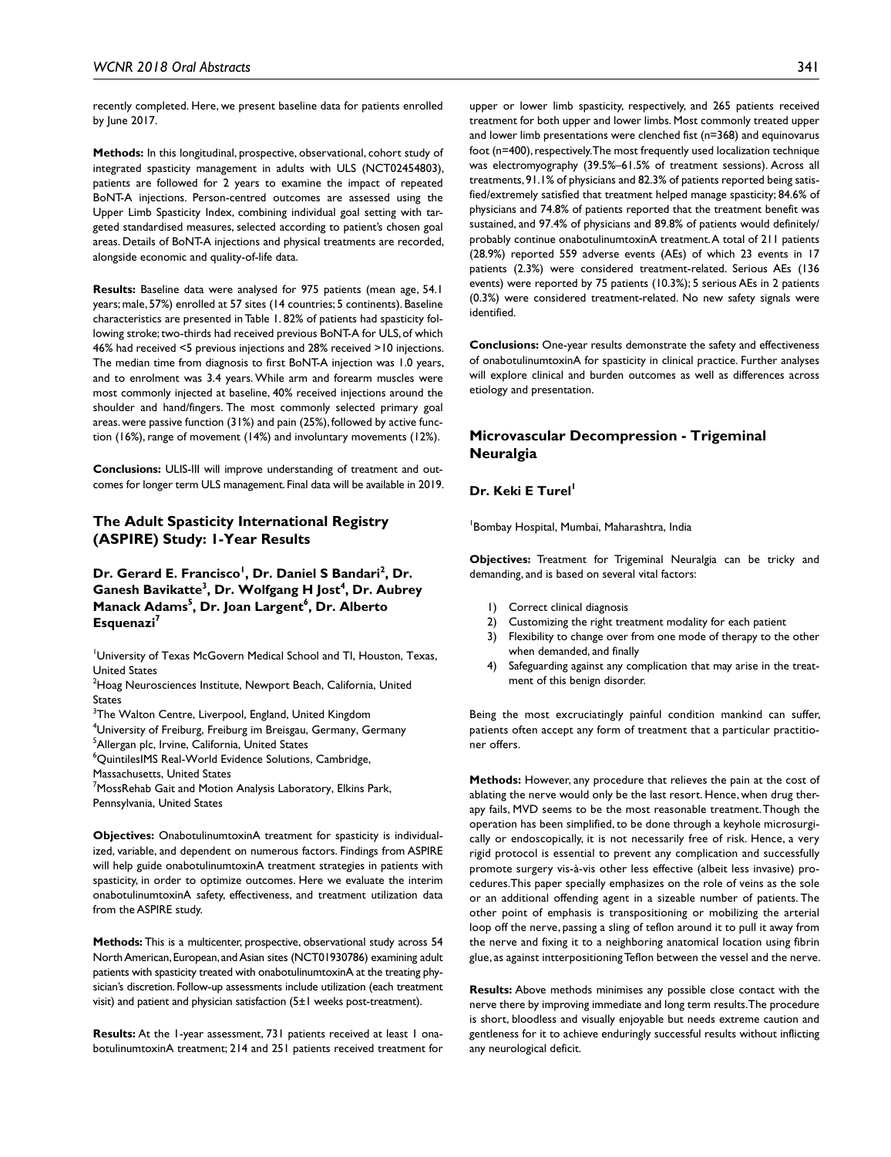recently completed. Here, we present baseline data for patients enrolled by June 2017.

**Methods:** In this longitudinal, prospective, observational, cohort study of integrated spasticity management in adults with ULS (NCT02454803), patients are followed for 2 years to examine the impact of repeated BoNT-A injections. Person-centred outcomes are assessed using the Upper Limb Spasticity Index, combining individual goal setting with targeted standardised measures, selected according to patient's chosen goal areas. Details of BoNT-A injections and physical treatments are recorded, alongside economic and quality-of-life data.

**Results:** Baseline data were analysed for 975 patients (mean age, 54.1 years; male, 57%) enrolled at 57 sites (14 countries; 5 continents). Baseline characteristics are presented in Table 1. 82% of patients had spasticity following stroke; two-thirds had received previous BoNT-A for ULS, of which 46% had received <5 previous injections and 28% received >10 injections. The median time from diagnosis to first BoNT-A injection was 1.0 years, and to enrolment was 3.4 years. While arm and forearm muscles were most commonly injected at baseline, 40% received injections around the shoulder and hand/fingers. The most commonly selected primary goal areas. were passive function (31%) and pain (25%), followed by active function (16%), range of movement (14%) and involuntary movements (12%).

**Conclusions:** ULIS-III will improve understanding of treatment and outcomes for longer term ULS management. Final data will be available in 2019.

### **The Adult Spasticity International Registry (ASPIRE) Study: 1-Year Results**

Dr. Gerard E. Francisco<sup>I</sup>, Dr. Daniel S Bandari<sup>2</sup>, Dr. **Ganesh Bavikatte<sup>3</sup>, Dr. Wolfgang H Jost<sup>4</sup>, Dr. Aubrey Manack Adams<sup>5</sup>, Dr. Joan Largent<sup>6</sup>, Dr. Alberto Esquenazi7**

1 University of Texas McGovern Medical School and TI, Houston, Texas, United States

 $^{2}$ Hoag Neurosciences Institute, Newport Beach, California, United States

 $^3$ The Walton Centre, Liverpool, England, United Kingdom

4 University of Freiburg, Freiburg im Breisgau, Germany, Germany <sup>5</sup>Allergan plc, Irvine, California, United States

6 QuintilesIMS Real-World Evidence Solutions, Cambridge,

Massachusetts, United States

 $^7$ MossRehab Gait and Motion Analysis Laboratory, Elkins Park, Pennsylvania, United States

**Objectives:** OnabotulinumtoxinA treatment for spasticity is individualized, variable, and dependent on numerous factors. Findings from ASPIRE will help guide onabotulinumtoxinA treatment strategies in patients with spasticity, in order to optimize outcomes. Here we evaluate the interim onabotulinumtoxinA safety, effectiveness, and treatment utilization data from the ASPIRE study.

**Methods:** This is a multicenter, prospective, observational study across 54 North American, European, and Asian sites (NCT01930786) examining adult patients with spasticity treated with onabotulinumtoxinA at the treating physician's discretion. Follow-up assessments include utilization (each treatment visit) and patient and physician satisfaction (5±1 weeks post-treatment).

**Results:** At the 1-year assessment, 731 patients received at least 1 onabotulinumtoxinA treatment; 214 and 251 patients received treatment for

upper or lower limb spasticity, respectively, and 265 patients received treatment for both upper and lower limbs. Most commonly treated upper and lower limb presentations were clenched fist (n=368) and equinovarus foot (n=400), respectively. The most frequently used localization technique was electromyography (39.5%–61.5% of treatment sessions). Across all treatments, 91.1% of physicians and 82.3% of patients reported being satisfied/extremely satisfied that treatment helped manage spasticity; 84.6% of physicians and 74.8% of patients reported that the treatment benefit was sustained, and 97.4% of physicians and 89.8% of patients would definitely/ probably continue onabotulinumtoxinA treatment. A total of 211 patients (28.9%) reported 559 adverse events (AEs) of which 23 events in 17 patients (2.3%) were considered treatment-related. Serious AEs (136 events) were reported by 75 patients (10.3%); 5 serious AEs in 2 patients (0.3%) were considered treatment-related. No new safety signals were identified.

**Conclusions:** One-year results demonstrate the safety and effectiveness of onabotulinumtoxinA for spasticity in clinical practice. Further analyses will explore clinical and burden outcomes as well as differences across etiology and presentation.

# **Microvascular Decompression - Trigeminal Neuralgia**

### **Dr. Keki E Turel**

1 Bombay Hospital, Mumbai, Maharashtra, India

**Objectives:** Treatment for Trigeminal Neuralgia can be tricky and demanding, and is based on several vital factors:

- 1) Correct clinical diagnosis
- 2) Customizing the right treatment modality for each patient
- 3) Flexibility to change over from one mode of therapy to the other when demanded, and finally
- Safeguarding against any complication that may arise in the treatment of this benign disorder.

Being the most excruciatingly painful condition mankind can suffer, patients often accept any form of treatment that a particular practitioner offers.

**Methods:** However, any procedure that relieves the pain at the cost of ablating the nerve would only be the last resort. Hence, when drug therapy fails, MVD seems to be the most reasonable treatment. Though the operation has been simplified, to be done through a keyhole microsurgically or endoscopically, it is not necessarily free of risk. Hence, a very rigid protocol is essential to prevent any complication and successfully promote surgery vis-à-vis other less effective (albeit less invasive) procedures.This paper specially emphasizes on the role of veins as the sole or an additional offending agent in a sizeable number of patients. The other point of emphasis is transpositioning or mobilizing the arterial loop off the nerve, passing a sling of teflon around it to pull it away from the nerve and fixing it to a neighboring anatomical location using fibrin glue, as against intterpositioning Teflon between the vessel and the nerve.

**Results:** Above methods minimises any possible close contact with the nerve there by improving immediate and long term results. The procedure is short, bloodless and visually enjoyable but needs extreme caution and gentleness for it to achieve enduringly successful results without inflicting any neurological deficit.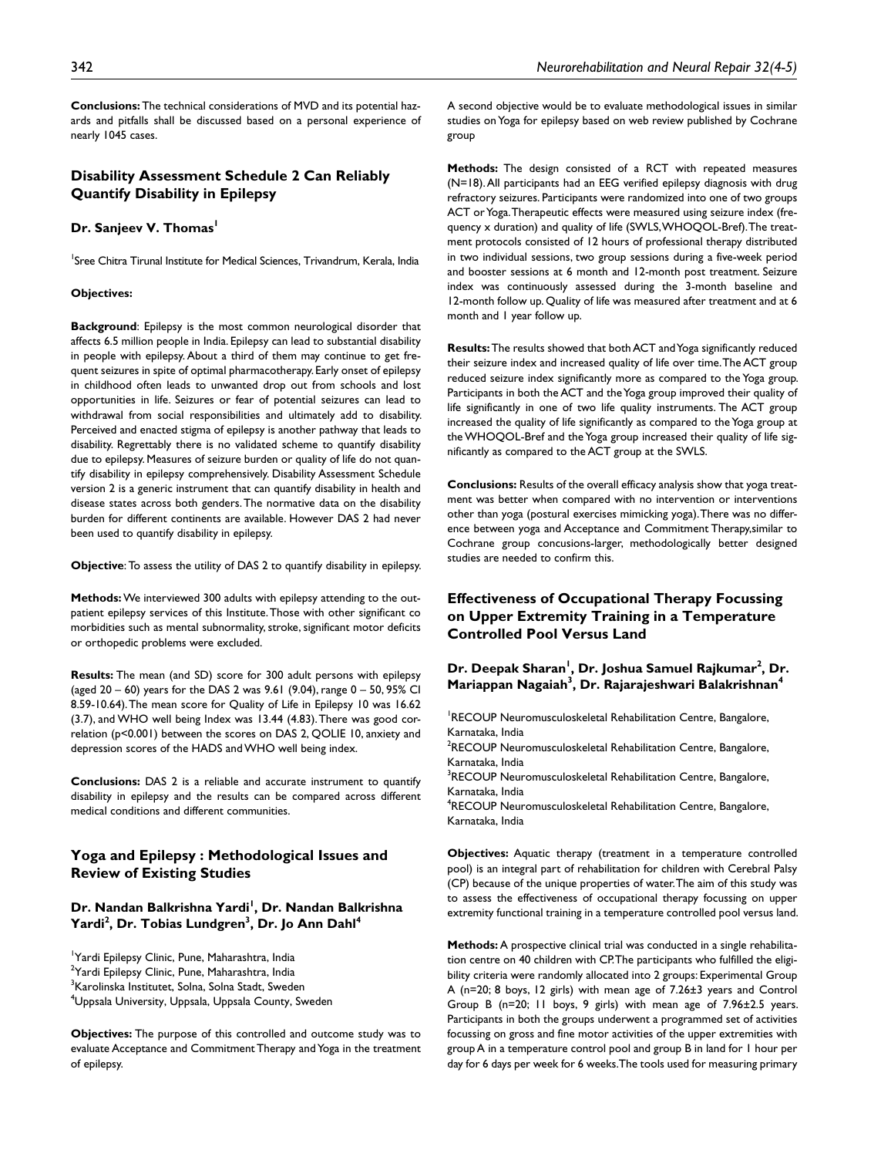**Conclusions:** The technical considerations of MVD and its potential hazards and pitfalls shall be discussed based on a personal experience of nearly 1045 cases.

### **Disability Assessment Schedule 2 Can Reliably Quantify Disability in Epilepsy**

#### **Dr. Sanjeev V. Thomas**

<sup>1</sup>Sree Chitra Tirunal Institute for Medical Sciences, Trivandrum, Kerala, India

#### **Objectives:**

**Background**: Epilepsy is the most common neurological disorder that affects 6.5 million people in India. Epilepsy can lead to substantial disability in people with epilepsy. About a third of them may continue to get frequent seizures in spite of optimal pharmacotherapy. Early onset of epilepsy in childhood often leads to unwanted drop out from schools and lost opportunities in life. Seizures or fear of potential seizures can lead to withdrawal from social responsibilities and ultimately add to disability. Perceived and enacted stigma of epilepsy is another pathway that leads to disability. Regrettably there is no validated scheme to quantify disability due to epilepsy. Measures of seizure burden or quality of life do not quantify disability in epilepsy comprehensively. Disability Assessment Schedule version 2 is a generic instrument that can quantify disability in health and disease states across both genders. The normative data on the disability burden for different continents are available. However DAS 2 had never been used to quantify disability in epilepsy.

**Objective**: To assess the utility of DAS 2 to quantify disability in epilepsy.

**Methods:** We interviewed 300 adults with epilepsy attending to the outpatient epilepsy services of this Institute. Those with other significant co morbidities such as mental subnormality, stroke, significant motor deficits or orthopedic problems were excluded.

**Results:** The mean (and SD) score for 300 adult persons with epilepsy (aged 20 – 60) years for the DAS 2 was 9.61 (9.04), range 0 – 50, 95% CI 8.59-10.64). The mean score for Quality of Life in Epilepsy 10 was 16.62 (3.7), and WHO well being Index was 13.44 (4.83). There was good correlation (p<0.001) between the scores on DAS 2, QOLIE 10, anxiety and depression scores of the HADS and WHO well being index.

**Conclusions:** DAS 2 is a reliable and accurate instrument to quantify disability in epilepsy and the results can be compared across different medical conditions and different communities.

### **Yoga and Epilepsy : Methodological Issues and Review of Existing Studies**

### Dr. Nandan Balkrishna Yardi<sup>!</sup>, Dr. Nandan Balkrishna **Yardi<sup>2</sup> , Dr. Tobias Lundgren3 , Dr. Jo Ann Dahl4**

1 Yardi Epilepsy Clinic, Pune, Maharashtra, India <sup>2</sup>Yardi Epilepsy Clinic, Pune, Maharashtra, India <sup>3</sup>Karolinska Institutet, Solna, Solna Stadt, Sweden 4 Uppsala University, Uppsala, Uppsala County, Sweden

**Objectives:** The purpose of this controlled and outcome study was to evaluate Acceptance and Commitment Therapy and Yoga in the treatment of epilepsy.

A second objective would be to evaluate methodological issues in similar studies on Yoga for epilepsy based on web review published by Cochrane group

**Methods:** The design consisted of a RCT with repeated measures (N=18). All participants had an EEG verified epilepsy diagnosis with drug refractory seizures. Participants were randomized into one of two groups ACT or Yoga. Therapeutic effects were measured using seizure index (frequency x duration) and quality of life (SWLS, WHOQOL-Bref). The treatment protocols consisted of 12 hours of professional therapy distributed in two individual sessions, two group sessions during a five-week period and booster sessions at 6 month and 12-month post treatment. Seizure index was continuously assessed during the 3-month baseline and 12-month follow up. Quality of life was measured after treatment and at 6 month and 1 year follow up.

**Results:** The results showed that both ACT and Yoga significantly reduced their seizure index and increased quality of life over time. The ACT group reduced seizure index significantly more as compared to the Yoga group. Participants in both the ACT and the Yoga group improved their quality of life significantly in one of two life quality instruments. The ACT group increased the quality of life significantly as compared to the Yoga group at the WHOQOL-Bref and the Yoga group increased their quality of life significantly as compared to the ACT group at the SWLS.

**Conclusions:** Results of the overall efficacy analysis show that yoga treatment was better when compared with no intervention or interventions other than yoga (postural exercises mimicking yoga). There was no difference between yoga and Acceptance and Commitment Therapy,similar to Cochrane group concusions-larger, methodologically better designed studies are needed to confirm this.

# **Effectiveness of Occupational Therapy Focussing on Upper Extremity Training in a Temperature Controlled Pool Versus Land**

Dr. Deepak Sharan<sup>i</sup>, Dr. Joshua Samuel Rajkumar<sup>2</sup>, Dr. **Mariappan Nagaiah3 , Dr. Rajarajeshwari Balakrishnan4**

<sup>1</sup>RECOUP Neuromusculoskeletal Rehabilitation Centre, Bangalore, Karnataka, India <sup>2</sup>RECOUP Neuromusculoskeletal Rehabilitation Centre, Bangalore, Karnataka, India <sup>3</sup>RECOUP Neuromusculoskeletal Rehabilitation Centre, Bangalore, Karnataka, India 4 RECOUP Neuromusculoskeletal Rehabilitation Centre, Bangalore, Karnataka, India

**Objectives:** Aquatic therapy (treatment in a temperature controlled pool) is an integral part of rehabilitation for children with Cerebral Palsy (CP) because of the unique properties of water. The aim of this study was to assess the effectiveness of occupational therapy focussing on upper extremity functional training in a temperature controlled pool versus land.

**Methods:** A prospective clinical trial was conducted in a single rehabilitation centre on 40 children with CP. The participants who fulfilled the eligibility criteria were randomly allocated into 2 groups: Experimental Group A (n=20; 8 boys, 12 girls) with mean age of 7.26±3 years and Control Group B (n=20; 11 boys, 9 girls) with mean age of 7.96±2.5 years. Participants in both the groups underwent a programmed set of activities focussing on gross and fine motor activities of the upper extremities with group A in a temperature control pool and group B in land for 1 hour per day for 6 days per week for 6 weeks. The tools used for measuring primary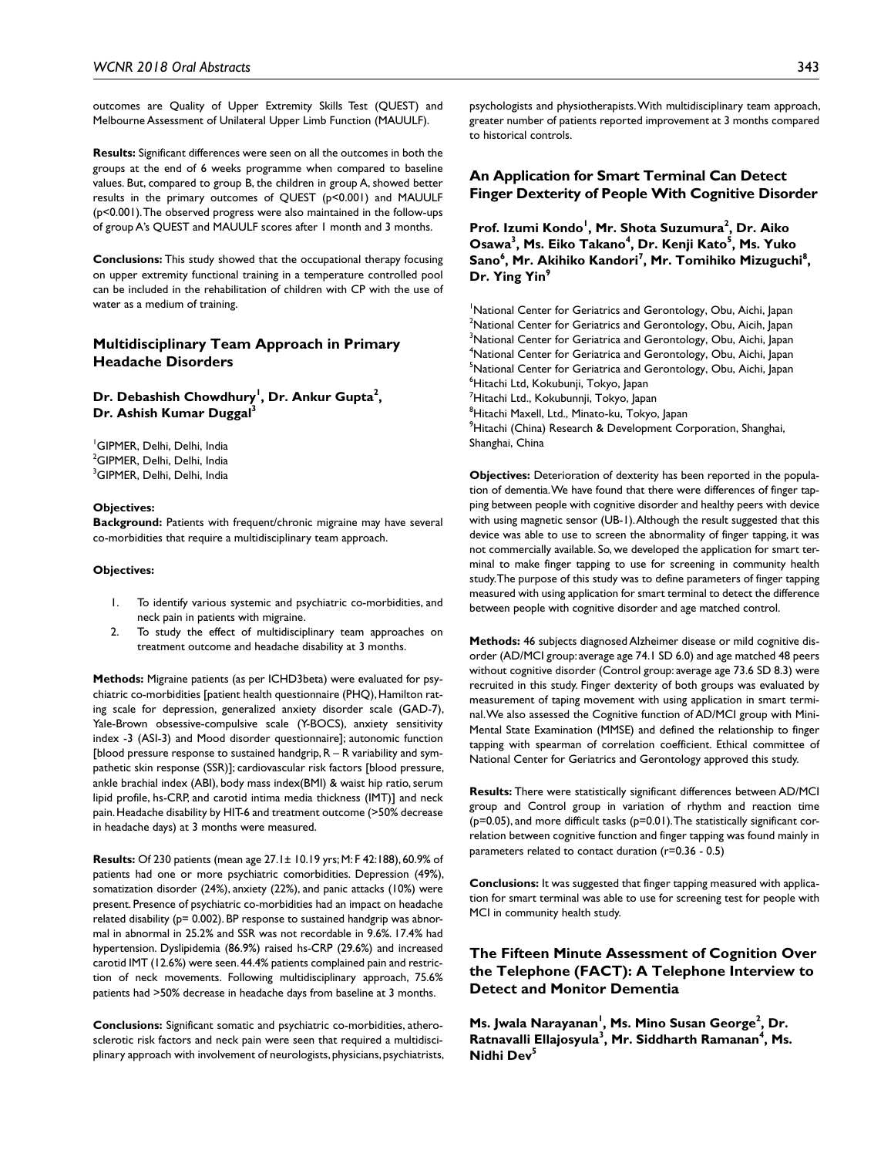outcomes are Quality of Upper Extremity Skills Test (QUEST) and Melbourne Assessment of Unilateral Upper Limb Function (MAUULF).

**Results:** Significant differences were seen on all the outcomes in both the groups at the end of 6 weeks programme when compared to baseline values. But, compared to group B, the children in group A, showed better results in the primary outcomes of QUEST (p<0.001) and MAUULF (p<0.001). The observed progress were also maintained in the follow-ups of group A's QUEST and MAUULF scores after 1 month and 3 months.

**Conclusions:** This study showed that the occupational therapy focusing on upper extremity functional training in a temperature controlled pool can be included in the rehabilitation of children with CP with the use of water as a medium of training.

### **Multidisciplinary Team Approach in Primary Headache Disorders**

### Dr. Debashish Chowdhury<sup>1</sup>, Dr. Ankur Gupta<sup>2</sup>, **Dr. Ashish Kumar Duggal**<sup>3</sup>

1 GIPMER, Delhi, Delhi, India <sup>2</sup>GIPMER, Delhi, Delhi, India 3 GIPMER, Delhi, Delhi, India

#### **Objectives:**

**Background:** Patients with frequent/chronic migraine may have several co-morbidities that require a multidisciplinary team approach.

#### **Objectives:**

- 1. To identify various systemic and psychiatric co-morbidities, and neck pain in patients with migraine.
- 2. To study the effect of multidisciplinary team approaches on treatment outcome and headache disability at 3 months.

**Methods:** Migraine patients (as per ICHD3beta) were evaluated for psychiatric co-morbidities [patient health questionnaire (PHQ), Hamilton rating scale for depression, generalized anxiety disorder scale (GAD-7), Yale-Brown obsessive-compulsive scale (Y-BOCS), anxiety sensitivity index -3 (ASI-3) and Mood disorder questionnaire]; autonomic function [blood pressure response to sustained handgrip, R – R variability and sympathetic skin response (SSR)]; cardiovascular risk factors [blood pressure, ankle brachial index (ABI), body mass index(BMI) & waist hip ratio, serum lipid profile, hs-CRP, and carotid intima media thickness (IMT)] and neck pain. Headache disability by HIT-6 and treatment outcome (>50% decrease in headache days) at 3 months were measured.

**Results:** Of 230 patients (mean age 27.1± 10.19 yrs; M: F 42:188), 60.9% of patients had one or more psychiatric comorbidities. Depression (49%), somatization disorder (24%), anxiety (22%), and panic attacks (10%) were present. Presence of psychiatric co-morbidities had an impact on headache related disability (p= 0.002). BP response to sustained handgrip was abnormal in abnormal in 25.2% and SSR was not recordable in 9.6%. 17.4% had hypertension. Dyslipidemia (86.9%) raised hs-CRP (29.6%) and increased carotid IMT (12.6%) were seen. 44.4% patients complained pain and restriction of neck movements. Following multidisciplinary approach, 75.6% patients had >50% decrease in headache days from baseline at 3 months.

**Conclusions:** Significant somatic and psychiatric co-morbidities, atherosclerotic risk factors and neck pain were seen that required a multidisciplinary approach with involvement of neurologists, physicians, psychiatrists, psychologists and physiotherapists. With multidisciplinary team approach, greater number of patients reported improvement at 3 months compared to historical controls.

### **An Application for Smart Terminal Can Detect Finger Dexterity of People With Cognitive Disorder**

Prof. Izumi Kondo<sup>l</sup>, Mr. Shota Suzumura<sup>2</sup>, Dr. Aiko **Osawa<sup>3</sup>, Ms. Eiko Takano<sup>4</sup>, Dr. Kenji Kato<sup>5</sup>, Ms. Yuko** Sano<sup>6</sup>, Mr. Akihiko Kandori<sup>7</sup>, Mr. Tomihiko Mizuguchi<sup>8</sup>, Dr. Ying Yin<sup>9</sup>

<sup>1</sup>National Center for Geriatrics and Gerontology, Obu, Aichi, Japan <sup>2</sup>National Center for Geriatrics and Gerontology, Obu, Aicih, Japan  $^3$ National Center for Geriatrica and Gerontology, Obu, Aichi, Japan 4 National Center for Geriatrica and Gerontology, Obu, Aichi, Japan <sup>5</sup>National Center for Geriatrica and Gerontology, Obu, Aichi, Japan 6 Hitachi Ltd, Kokubunji, Tokyo, Japan <sup>7</sup>Hitachi Ltd., Kokubunnji, Tokyo, Japan <sup>8</sup>Hitachi Maxell, Ltd., Minato-ku, Tokyo, Japan <sup>9</sup>Hitachi (China) Research & Development Corporation, Shanghai, Shanghai, China

**Objectives:** Deterioration of dexterity has been reported in the population of dementia. We have found that there were differences of finger tapping between people with cognitive disorder and healthy peers with device with using magnetic sensor (UB-1). Although the result suggested that this device was able to use to screen the abnormality of finger tapping, it was not commercially available. So, we developed the application for smart terminal to make finger tapping to use for screening in community health study. The purpose of this study was to define parameters of finger tapping measured with using application for smart terminal to detect the difference between people with cognitive disorder and age matched control.

**Methods:** 46 subjects diagnosed Alzheimer disease or mild cognitive disorder (AD/MCI group: average age 74.1 SD 6.0) and age matched 48 peers without cognitive disorder (Control group: average age 73.6 SD 8.3) were recruited in this study. Finger dexterity of both groups was evaluated by measurement of taping movement with using application in smart terminal. We also assessed the Cognitive function of AD/MCI group with Mini-Mental State Examination (MMSE) and defined the relationship to finger tapping with spearman of correlation coefficient. Ethical committee of National Center for Geriatrics and Gerontology approved this study.

**Results:** There were statistically significant differences between AD/MCI group and Control group in variation of rhythm and reaction time (p=0.05), and more difficult tasks (p=0.01). The statistically significant correlation between cognitive function and finger tapping was found mainly in parameters related to contact duration (r=0.36 - 0.5)

**Conclusions:** It was suggested that finger tapping measured with application for smart terminal was able to use for screening test for people with MCI in community health study.

# **The Fifteen Minute Assessment of Cognition Over the Telephone (FACT): A Telephone Interview to Detect and Monitor Dementia**

**Ms. Jwala Narayanan<sup>1</sup>, Ms. Mino Susan George<sup>2</sup>, Dr.** Ratnavalli Ellajosyula<sup>3</sup>, Mr. Siddharth Ramanan<sup>4</sup>, Ms. **Nidhi Dev5**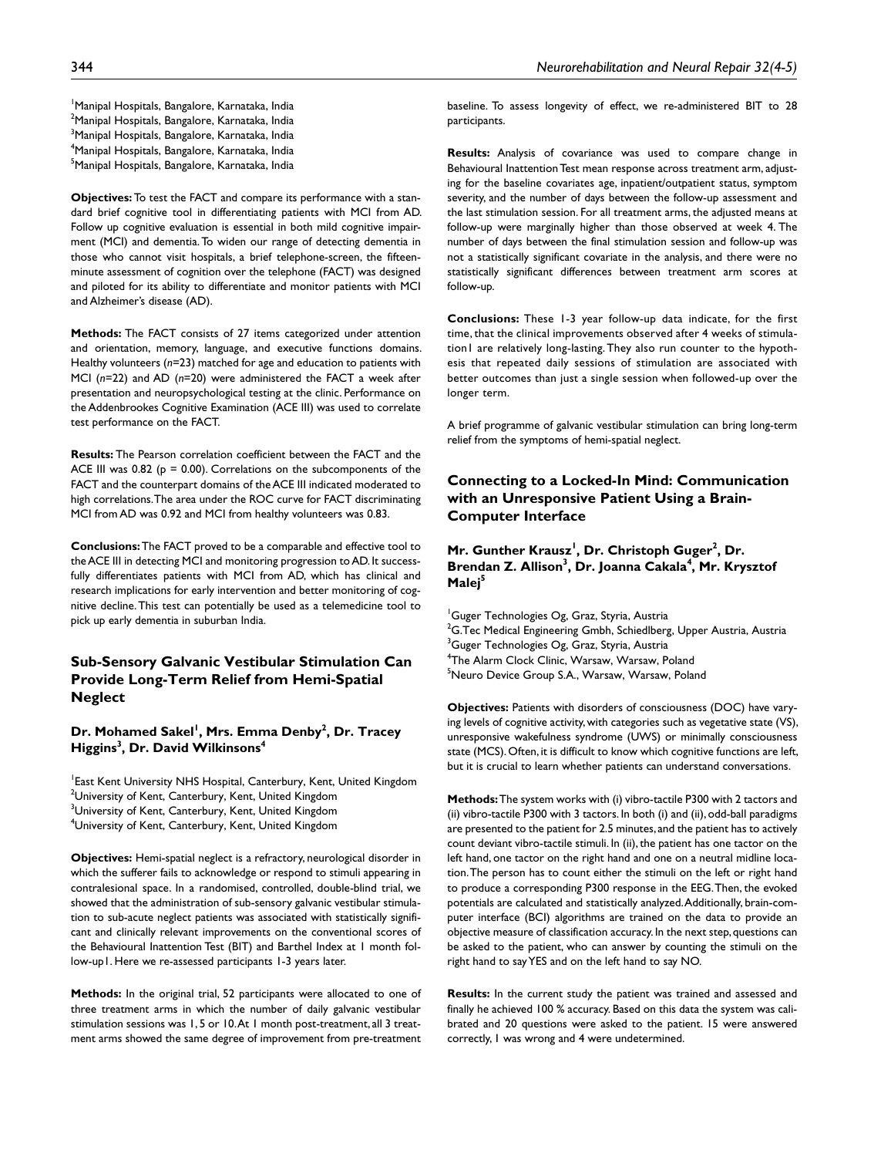1 Manipal Hospitals, Bangalore, Karnataka, India <sup>2</sup>Manipal Hospitals, Bangalore, Karnataka, India <sup>3</sup>Manipal Hospitals, Bangalore, Karnataka, India 4 Manipal Hospitals, Bangalore, Karnataka, India <sup>5</sup>Manipal Hospitals, Bangalore, Karnataka, India

**Objectives:** To test the FACT and compare its performance with a standard brief cognitive tool in differentiating patients with MCI from AD. Follow up cognitive evaluation is essential in both mild cognitive impairment (MCI) and dementia. To widen our range of detecting dementia in those who cannot visit hospitals, a brief telephone-screen, the fifteenminute assessment of cognition over the telephone (FACT) was designed and piloted for its ability to differentiate and monitor patients with MCI and Alzheimer's disease (AD).

**Methods:** The FACT consists of 27 items categorized under attention and orientation, memory, language, and executive functions domains. Healthy volunteers (*n*=23) matched for age and education to patients with MCI (*n*=22) and AD (*n*=20) were administered the FACT a week after presentation and neuropsychological testing at the clinic. Performance on the Addenbrookes Cognitive Examination (ACE III) was used to correlate test performance on the FACT.

**Results:** The Pearson correlation coefficient between the FACT and the ACE III was 0.82 ( $p = 0.00$ ). Correlations on the subcomponents of the FACT and the counterpart domains of the ACE III indicated moderated to high correlations. The area under the ROC curve for FACT discriminating MCI from AD was 0.92 and MCI from healthy volunteers was 0.83.

**Conclusions:** The FACT proved to be a comparable and effective tool to the ACE III in detecting MCI and monitoring progression to AD. It successfully differentiates patients with MCI from AD, which has clinical and research implications for early intervention and better monitoring of cognitive decline. This test can potentially be used as a telemedicine tool to pick up early dementia in suburban India.

# **Sub-Sensory Galvanic Vestibular Stimulation Can Provide Long-Term Relief from Hemi-Spatial Neglect**

# Dr. Mohamed Sakel<sup>I</sup>, Mrs. Emma Denby<sup>2</sup>, Dr. Tracey **Higgins3 , Dr. David Wilkinsons4**

1 East Kent University NHS Hospital, Canterbury, Kent, United Kingdom  $^2$ University of Kent, Canterbury, Kent, United Kingdom  $^3$ University of Kent, Canterbury, Kent, United Kingdom 4 University of Kent, Canterbury, Kent, United Kingdom

**Objectives:** Hemi-spatial neglect is a refractory, neurological disorder in which the sufferer fails to acknowledge or respond to stimuli appearing in contralesional space. In a randomised, controlled, double-blind trial, we showed that the administration of sub-sensory galvanic vestibular stimulation to sub-acute neglect patients was associated with statistically significant and clinically relevant improvements on the conventional scores of the Behavioural Inattention Test (BIT) and Barthel Index at 1 month follow-up1. Here we re-assessed participants 1-3 years later.

**Methods:** In the original trial, 52 participants were allocated to one of three treatment arms in which the number of daily galvanic vestibular stimulation sessions was 1, 5 or 10. At 1 month post-treatment, all 3 treatment arms showed the same degree of improvement from pre-treatment baseline. To assess longevity of effect, we re-administered BIT to 28 participants.

**Results:** Analysis of covariance was used to compare change in Behavioural Inattention Test mean response across treatment arm, adjusting for the baseline covariates age, inpatient/outpatient status, symptom severity, and the number of days between the follow-up assessment and the last stimulation session. For all treatment arms, the adjusted means at follow-up were marginally higher than those observed at week 4. The number of days between the final stimulation session and follow-up was not a statistically significant covariate in the analysis, and there were no statistically significant differences between treatment arm scores at follow-up.

**Conclusions:** These 1-3 year follow-up data indicate, for the first time, that the clinical improvements observed after 4 weeks of stimulation1 are relatively long-lasting. They also run counter to the hypothesis that repeated daily sessions of stimulation are associated with better outcomes than just a single session when followed-up over the longer term.

A brief programme of galvanic vestibular stimulation can bring long-term relief from the symptoms of hemi-spatial neglect.

# **Connecting to a Locked-In Mind: Communication with an Unresponsive Patient Using a Brain-Computer Interface**

# Mr. Gunther Krausz<sup>1</sup>, Dr. Christoph Guger<sup>2</sup>, Dr. Brendan Z. Allison<sup>3</sup>, Dr. Joanna Cakala<sup>4</sup>, Mr. Krysztof **Malej5**

1 Guger Technologies Og, Graz, Styria, Austria  $^2$ G.Tec Medical Engineering Gmbh, Schiedlberg, Upper Austria, Austria  $^3$ Guger Technologies Og, Graz, Styria, Austria 4 The Alarm Clock Clinic, Warsaw, Warsaw, Poland <sup>5</sup>Neuro Device Group S.A., Warsaw, Warsaw, Poland

**Objectives:** Patients with disorders of consciousness (DOC) have varying levels of cognitive activity, with categories such as vegetative state (VS), unresponsive wakefulness syndrome (UWS) or minimally consciousness state (MCS). Often, it is difficult to know which cognitive functions are left, but it is crucial to learn whether patients can understand conversations.

**Methods:** The system works with (i) vibro-tactile P300 with 2 tactors and (ii) vibro-tactile P300 with 3 tactors. In both (i) and (ii), odd-ball paradigms are presented to the patient for 2.5 minutes, and the patient has to actively count deviant vibro-tactile stimuli. In (ii), the patient has one tactor on the left hand, one tactor on the right hand and one on a neutral midline location. The person has to count either the stimuli on the left or right hand to produce a corresponding P300 response in the EEG. Then, the evoked potentials are calculated and statistically analyzed. Additionally, brain-computer interface (BCI) algorithms are trained on the data to provide an objective measure of classification accuracy. In the next step, questions can be asked to the patient, who can answer by counting the stimuli on the right hand to say YES and on the left hand to say NO.

**Results:** In the current study the patient was trained and assessed and finally he achieved 100 % accuracy. Based on this data the system was calibrated and 20 questions were asked to the patient. 15 were answered correctly, 1 was wrong and 4 were undetermined.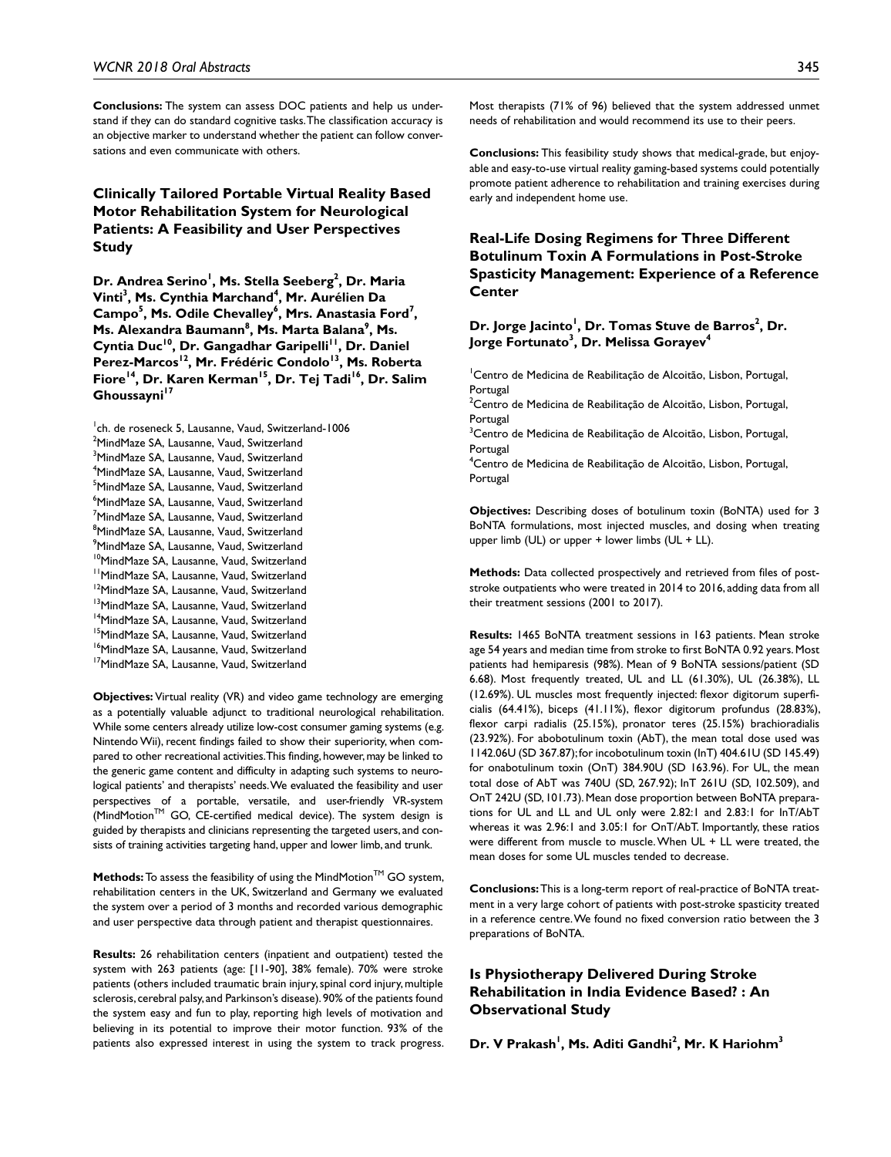**Conclusions:** The system can assess DOC patients and help us understand if they can do standard cognitive tasks. The classification accuracy is an objective marker to understand whether the patient can follow conversations and even communicate with others.

# **Clinically Tailored Portable Virtual Reality Based Motor Rehabilitation System for Neurological Patients: A Feasibility and User Perspectives Study**

Dr. Andrea Serino<sup>1</sup>, Ms. Stella Seeberg<sup>2</sup>, Dr. Maria **Vinti<sup>3</sup>, Ms. Cynthia Marchand<sup>4</sup>, Mr. Aurélien Da** Campo<sup>5</sup>, Ms. Odile Chevalley<sup>6</sup>, Mrs. Anastasia Ford<sup>7</sup>, Ms. Alexandra Baumann<sup>8</sup>, Ms. Marta Balana<sup>9</sup>, Ms. Cyntia Duc<sup>10</sup>, Dr. Gangadhar Garipelli<sup>11</sup>, Dr. Daniel Perez-Marcos<sup>12</sup>, Mr. Frédéric Condolo<sup>13</sup>, Ms. Roberta Fiore<sup>14</sup>, Dr. Karen Kerman<sup>15</sup>, Dr. Tej Tadi<sup>16</sup>, Dr. Salim **Ghoussayni<sup>17</sup>**

1 ch. de roseneck 5, Lausanne, Vaud, Switzerland-1006 <sup>2</sup>MindMaze SA, Lausanne, Vaud, Switzerland <sup>3</sup>MindMaze SA, Lausanne, Vaud, Switzerland 4 MindMaze SA, Lausanne, Vaud, Switzerland <sup>5</sup>MindMaze SA, Lausanne, Vaud, Switzerland 6 MindMaze SA, Lausanne, Vaud, Switzerland <sup>7</sup>MindMaze SA, Lausanne, Vaud, Switzerland <sup>8</sup>MindMaze SA, Lausanne, Vaud, Switzerland 9 MindMaze SA, Lausanne, Vaud, Switzerland <sup>10</sup>MindMaze SA, Lausanne, Vaud, Switzerland <sup>11</sup>MindMaze SA, Lausanne, Vaud, Switzerland <sup>12</sup>MindMaze SA, Lausanne, Vaud, Switzerland <sup>13</sup>MindMaze SA, Lausanne, Vaud, Switzerland <sup>14</sup>MindMaze SA, Lausanne, Vaud, Switzerland <sup>15</sup>MindMaze SA, Lausanne, Vaud, Switzerland <sup>16</sup>MindMaze SA, Lausanne, Vaud, Switzerland <sup>17</sup>MindMaze SA, Lausanne, Vaud, Switzerland

**Objectives:** Virtual reality (VR) and video game technology are emerging as a potentially valuable adjunct to traditional neurological rehabilitation. While some centers already utilize low-cost consumer gaming systems (e.g. Nintendo Wii), recent findings failed to show their superiority, when compared to other recreational activities. This finding, however, may be linked to the generic game content and difficulty in adapting such systems to neurological patients' and therapists' needs. We evaluated the feasibility and user perspectives of a portable, versatile, and user-friendly VR-system  $(MindMotion^{TM}$  GO, CE-certified medical device). The system design is guided by therapists and clinicians representing the targeted users, and consists of training activities targeting hand, upper and lower limb, and trunk.

Methods: To assess the feasibility of using the MindMotion™ GO system, rehabilitation centers in the UK, Switzerland and Germany we evaluated the system over a period of 3 months and recorded various demographic and user perspective data through patient and therapist questionnaires.

**Results:** 26 rehabilitation centers (inpatient and outpatient) tested the system with 263 patients (age: [11-90], 38% female). 70% were stroke patients (others included traumatic brain injury, spinal cord injury, multiple sclerosis, cerebral palsy, and Parkinson's disease). 90% of the patients found the system easy and fun to play, reporting high levels of motivation and believing in its potential to improve their motor function. 93% of the patients also expressed interest in using the system to track progress. **Conclusions:** This feasibility study shows that medical-grade, but enjoyable and easy-to-use virtual reality gaming-based systems could potentially promote patient adherence to rehabilitation and training exercises during early and independent home use.

# **Real-Life Dosing Regimens for Three Different Botulinum Toxin A Formulations in Post-Stroke Spasticity Management: Experience of a Reference Center**

### Dr. Jorge Jacinto<sup>1</sup>, Dr. Tomas Stuve de Barros<sup>2</sup>, Dr. **Jorge Fortunato3 , Dr. Melissa Gorayev4**

<sup>1</sup> Centro de Medicina de Reabilitação de Alcoitão, Lisbon, Portugal, Portugal

<sup>2</sup>Centro de Medicina de Reabilitação de Alcoitão, Lisbon, Portugal, Portugal

<sup>3</sup>Centro de Medicina de Reabilitação de Alcoitão, Lisbon, Portugal, Portugal

4 Centro de Medicina de Reabilitação de Alcoitão, Lisbon, Portugal, Portugal

**Objectives:** Describing doses of botulinum toxin (BoNTA) used for 3 BoNTA formulations, most injected muscles, and dosing when treating upper limb (UL) or upper + lower limbs (UL + LL).

**Methods:** Data collected prospectively and retrieved from files of poststroke outpatients who were treated in 2014 to 2016, adding data from all their treatment sessions (2001 to 2017).

**Results:** 1465 BoNTA treatment sessions in 163 patients. Mean stroke age 54 years and median time from stroke to first BoNTA 0.92 years. Most patients had hemiparesis (98%). Mean of 9 BoNTA sessions/patient (SD 6.68). Most frequently treated, UL and LL (61.30%), UL (26.38%), LL (12.69%). UL muscles most frequently injected: flexor digitorum superficialis (64.41%), biceps (41.11%), flexor digitorum profundus (28.83%), flexor carpi radialis (25.15%), pronator teres (25.15%) brachioradialis (23.92%). For abobotulinum toxin (AbT), the mean total dose used was 1142.06U (SD 367.87); for incobotulinum toxin (InT) 404.61U (SD 145.49) for onabotulinum toxin (OnT) 384.90U (SD 163.96). For UL, the mean total dose of AbT was 740U (SD, 267.92); InT 261U (SD, 102.509), and OnT 242U (SD, 101.73). Mean dose proportion between BoNTA preparations for UL and LL and UL only were 2.82:1 and 2.83:1 for InT/AbT whereas it was 2.96:1 and 3.05:1 for OnT/AbT. Importantly, these ratios were different from muscle to muscle. When UL + LL were treated, the mean doses for some UL muscles tended to decrease.

**Conclusions:** This is a long-term report of real-practice of BoNTA treatment in a very large cohort of patients with post-stroke spasticity treated in a reference centre. We found no fixed conversion ratio between the 3 preparations of BoNTA.

# **Is Physiotherapy Delivered During Stroke Rehabilitation in India Evidence Based? : An Observational Study**

Dr. V Prakash<sup>1</sup>, Ms. Aditi Gandhi<sup>2</sup>, Mr. K Hariohm<sup>3</sup>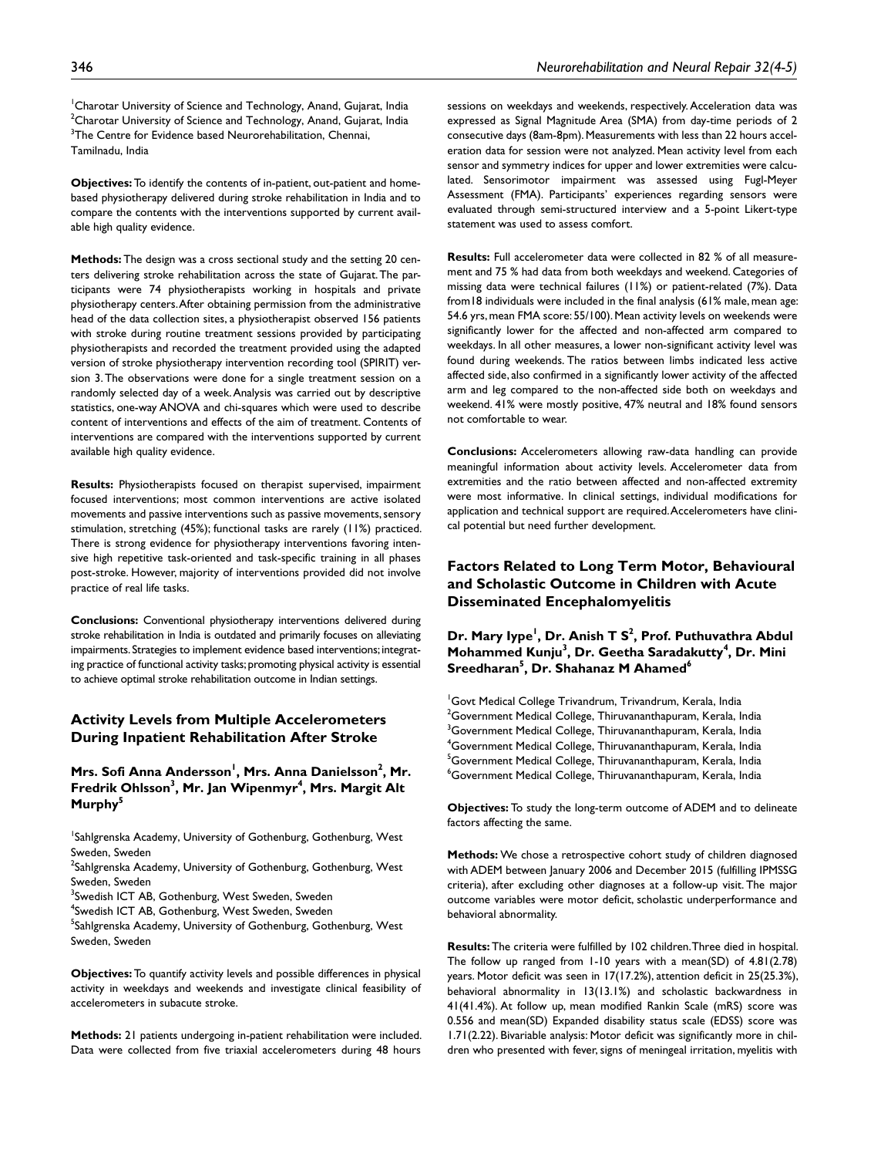**Objectives:** To identify the contents of in-patient, out-patient and homebased physiotherapy delivered during stroke rehabilitation in India and to compare the contents with the interventions supported by current available high quality evidence.

**Methods:** The design was a cross sectional study and the setting 20 centers delivering stroke rehabilitation across the state of Gujarat. The participants were 74 physiotherapists working in hospitals and private physiotherapy centers. After obtaining permission from the administrative head of the data collection sites, a physiotherapist observed 156 patients with stroke during routine treatment sessions provided by participating physiotherapists and recorded the treatment provided using the adapted version of stroke physiotherapy intervention recording tool (SPIRIT) version 3. The observations were done for a single treatment session on a randomly selected day of a week. Analysis was carried out by descriptive statistics, one-way ANOVA and chi-squares which were used to describe content of interventions and effects of the aim of treatment. Contents of interventions are compared with the interventions supported by current available high quality evidence.

**Results:** Physiotherapists focused on therapist supervised, impairment focused interventions; most common interventions are active isolated movements and passive interventions such as passive movements, sensory stimulation, stretching (45%); functional tasks are rarely (11%) practiced. There is strong evidence for physiotherapy interventions favoring intensive high repetitive task-oriented and task-specific training in all phases post-stroke. However, majority of interventions provided did not involve practice of real life tasks.

**Conclusions:** Conventional physiotherapy interventions delivered during stroke rehabilitation in India is outdated and primarily focuses on alleviating impairments. Strategies to implement evidence based interventions; integrating practice of functional activity tasks; promoting physical activity is essential to achieve optimal stroke rehabilitation outcome in Indian settings.

# **Activity Levels from Multiple Accelerometers During Inpatient Rehabilitation After Stroke**

### Mrs. Sofi Anna Andersson<sup>1</sup>, Mrs. Anna Danielsson<sup>2</sup>, Mr. **Fredrik Ohlsson3 , Mr. Jan Wipenmyr4 , Mrs. Margit Alt**  Murphy<sup>5</sup>

1 Sahlgrenska Academy, University of Gothenburg, Gothenburg, West Sweden, Sweden

<sup>2</sup>Sahlgrenska Academy, University of Gothenburg, Gothenburg, West Sweden, Sweden

- <sup>3</sup>Swedish ICT AB, Gothenburg, West Sweden, Sweden
- 4 Swedish ICT AB, Gothenburg, West Sweden, Sweden

<sup>5</sup>Sahlgrenska Academy, University of Gothenburg, Gothenburg, West Sweden, Sweden

**Objectives:** To quantify activity levels and possible differences in physical activity in weekdays and weekends and investigate clinical feasibility of accelerometers in subacute stroke.

**Methods:** 21 patients undergoing in-patient rehabilitation were included. Data were collected from five triaxial accelerometers during 48 hours

sessions on weekdays and weekends, respectively. Acceleration data was expressed as Signal Magnitude Area (SMA) from day-time periods of 2 consecutive days (8am-8pm). Measurements with less than 22 hours acceleration data for session were not analyzed. Mean activity level from each sensor and symmetry indices for upper and lower extremities were calculated. Sensorimotor impairment was assessed using Fugl-Meyer Assessment (FMA). Participants' experiences regarding sensors were evaluated through semi-structured interview and a 5-point Likert-type statement was used to assess comfort.

**Results:** Full accelerometer data were collected in 82 % of all measurement and 75 % had data from both weekdays and weekend. Categories of missing data were technical failures (11%) or patient-related (7%). Data from18 individuals were included in the final analysis (61% male, mean age: 54.6 yrs, mean FMA score: 55/100). Mean activity levels on weekends were significantly lower for the affected and non-affected arm compared to weekdays. In all other measures, a lower non-significant activity level was found during weekends. The ratios between limbs indicated less active affected side, also confirmed in a significantly lower activity of the affected arm and leg compared to the non-affected side both on weekdays and weekend. 41% were mostly positive, 47% neutral and 18% found sensors not comfortable to wear.

**Conclusions:** Accelerometers allowing raw-data handling can provide meaningful information about activity levels. Accelerometer data from extremities and the ratio between affected and non-affected extremity were most informative. In clinical settings, individual modifications for application and technical support are required. Accelerometers have clinical potential but need further development.

# **Factors Related to Long Term Motor, Behavioural and Scholastic Outcome in Children with Acute Disseminated Encephalomyelitis**

Dr. Mary Iype<sup>l</sup>, Dr. Anish T S<sup>2</sup>, Prof. Puthuvathra Abdul **Mohammed Kunju3 , Dr. Geetha Saradakutty4 , Dr. Mini**   $\mathsf{S}{\mathsf{reedharan}}^{\mathsf{5}}, \mathsf{Dr}.\ \mathsf{Shahanaz}\ \mathsf{M}\ \mathsf{Ahamed}^{\mathsf{6}}$ 

<sup>1</sup>Govt Medical College Trivandrum, Trivandrum, Kerala, India  $^2$ Government Medical College, Thiruvananthapuram, Kerala, India  $^3$ Government Medical College, Thiruvananthapuram, Kerala, India 4 Government Medical College, Thiruvananthapuram, Kerala, India <sup>5</sup>Government Medical College, Thiruvananthapuram, Kerala, India  $^6$ Government Medical College, Thiruvananthapuram, Kerala, India

**Objectives:** To study the long-term outcome of ADEM and to delineate factors affecting the same.

**Methods:** We chose a retrospective cohort study of children diagnosed with ADEM between January 2006 and December 2015 (fulfilling IPMSSG criteria), after excluding other diagnoses at a follow-up visit. The major outcome variables were motor deficit, scholastic underperformance and behavioral abnormality.

**Results:** The criteria were fulfilled by 102 children. Three died in hospital. The follow up ranged from 1-10 years with a mean(SD) of 4.81(2.78) years. Motor deficit was seen in 17(17.2%), attention deficit in 25(25.3%), behavioral abnormality in 13(13.1%) and scholastic backwardness in 41(41.4%). At follow up, mean modified Rankin Scale (mRS) score was 0.556 and mean(SD) Expanded disability status scale (EDSS) score was 1.71(2.22). Bivariable analysis: Motor deficit was significantly more in children who presented with fever, signs of meningeal irritation, myelitis with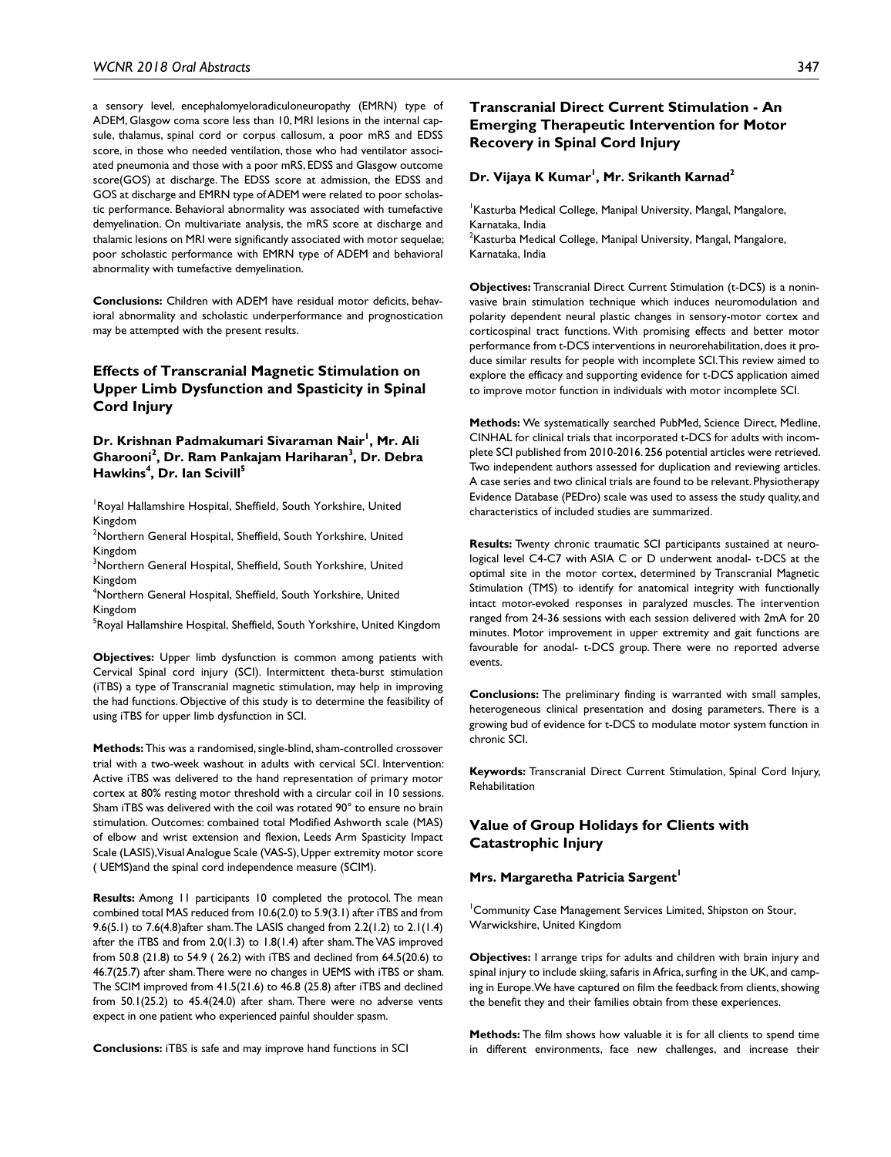a sensory level, encephalomyeloradiculoneuropathy (EMRN) type of ADEM, Glasgow coma score less than 10, MRI lesions in the internal capsule, thalamus, spinal cord or corpus callosum, a poor mRS and EDSS score, in those who needed ventilation, those who had ventilator associated pneumonia and those with a poor mRS, EDSS and Glasgow outcome score(GOS) at discharge. The EDSS score at admission, the EDSS and GOS at discharge and EMRN type of ADEM were related to poor scholastic performance. Behavioral abnormality was associated with tumefactive demyelination. On multivariate analysis, the mRS score at discharge and thalamic lesions on MRI were significantly associated with motor sequelae; poor scholastic performance with EMRN type of ADEM and behavioral abnormality with tumefactive demyelination.

**Conclusions:** Children with ADEM have residual motor deficits, behavioral abnormality and scholastic underperformance and prognostication may be attempted with the present results.

# **Effects of Transcranial Magnetic Stimulation on Upper Limb Dysfunction and Spasticity in Spinal Cord Injury**

### Dr. Krishnan Padmakumari Sivaraman Nair<sup>i</sup>, Mr. Ali **Gharooni<sup>2</sup> , Dr. Ram Pankajam Hariharan3 , Dr. Debra Hawkins4 , Dr. Ian Scivill5**

<sup>1</sup>Royal Hallamshire Hospital, Sheffield, South Yorkshire, United Kingdom

2 Northern General Hospital, Sheffield, South Yorkshire, United Kingdom

3 Northern General Hospital, Sheffield, South Yorkshire, United Kingdom

4 Northern General Hospital, Sheffield, South Yorkshire, United Kingdom

<sup>5</sup>Royal Hallamshire Hospital, Sheffield, South Yorkshire, United Kingdom

**Objectives:** Upper limb dysfunction is common among patients with Cervical Spinal cord injury (SCI). Intermittent theta-burst stimulation (iTBS) a type of Transcranial magnetic stimulation, may help in improving the had functions. Objective of this study is to determine the feasibility of using iTBS for upper limb dysfunction in SCI.

**Methods:** This was a randomised, single-blind, sham-controlled crossover trial with a two-week washout in adults with cervical SCI. Intervention: Active iTBS was delivered to the hand representation of primary motor cortex at 80% resting motor threshold with a circular coil in 10 sessions. Sham iTBS was delivered with the coil was rotated 90° to ensure no brain stimulation. Outcomes: combained total Modified Ashworth scale (MAS) of elbow and wrist extension and flexion, Leeds Arm Spasticity Impact Scale (LASIS), Visual Analogue Scale (VAS-S), Upper extremity motor score ( UEMS)and the spinal cord independence measure (SCIM).

**Results:** Among 11 participants 10 completed the protocol. The mean combined total MAS reduced from 10.6(2.0) to 5.9(3.1) after iTBS and from 9.6(5.1) to 7.6(4.8)after sham. The LASIS changed from 2.2(1.2) to 2.1(1.4) after the iTBS and from 2.0(1.3) to 1.8(1.4) after sham. The VAS improved from 50.8 (21.8) to 54.9 ( 26.2) with iTBS and declined from 64.5(20.6) to 46.7(25.7) after sham. There were no changes in UEMS with iTBS or sham. The SCIM improved from 41.5(21.6) to 46.8 (25.8) after iTBS and declined from 50.1(25.2) to 45.4(24.0) after sham. There were no adverse vents expect in one patient who experienced painful shoulder spasm.

**Conclusions:** iTBS is safe and may improve hand functions in SCI

# **Transcranial Direct Current Stimulation - An Emerging Therapeutic Intervention for Motor Recovery in Spinal Cord Injury**

### **Dr. Vijaya K Kumar1 , Mr. Srikanth Karnad2**

Kasturba Medical College, Manipal University, Mangal, Mangalore, Karnataka, India  $^{2}$ Kasturba Medical College, Manipal University, Mangal, Mangalore, Karnataka, India

**Objectives:** Transcranial Direct Current Stimulation (t-DCS) is a noninvasive brain stimulation technique which induces neuromodulation and polarity dependent neural plastic changes in sensory-motor cortex and corticospinal tract functions. With promising effects and better motor performance from t-DCS interventions in neurorehabilitation, does it produce similar results for people with incomplete SCI. This review aimed to explore the efficacy and supporting evidence for t-DCS application aimed to improve motor function in individuals with motor incomplete SCI.

**Methods:** We systematically searched PubMed, Science Direct, Medline, CINHAL for clinical trials that incorporated t-DCS for adults with incomplete SCI published from 2010-2016. 256 potential articles were retrieved. Two independent authors assessed for duplication and reviewing articles. A case series and two clinical trials are found to be relevant. Physiotherapy Evidence Database (PEDro) scale was used to assess the study quality, and characteristics of included studies are summarized.

**Results:** Twenty chronic traumatic SCI participants sustained at neurological level C4-C7 with ASIA C or D underwent anodal- t-DCS at the optimal site in the motor cortex, determined by Transcranial Magnetic Stimulation (TMS) to identify for anatomical integrity with functionally intact motor-evoked responses in paralyzed muscles. The intervention ranged from 24-36 sessions with each session delivered with 2mA for 20 minutes. Motor improvement in upper extremity and gait functions are favourable for anodal- t-DCS group. There were no reported adverse events.

**Conclusions:** The preliminary finding is warranted with small samples, heterogeneous clinical presentation and dosing parameters. There is a growing bud of evidence for t-DCS to modulate motor system function in chronic SCI.

**Keywords:** Transcranial Direct Current Stimulation, Spinal Cord Injury, Rehabilitation

# **Value of Group Holidays for Clients with Catastrophic Injury**

#### **Mrs. Margaretha Patricia Sargent**

<sup>1</sup> Community Case Management Services Limited, Shipston on Stour, Warwickshire, United Kingdom

**Objectives:** I arrange trips for adults and children with brain injury and spinal injury to include skiing, safaris in Africa, surfing in the UK, and camping in Europe. We have captured on film the feedback from clients, showing the benefit they and their families obtain from these experiences.

**Methods:** The film shows how valuable it is for all clients to spend time in different environments, face new challenges, and increase their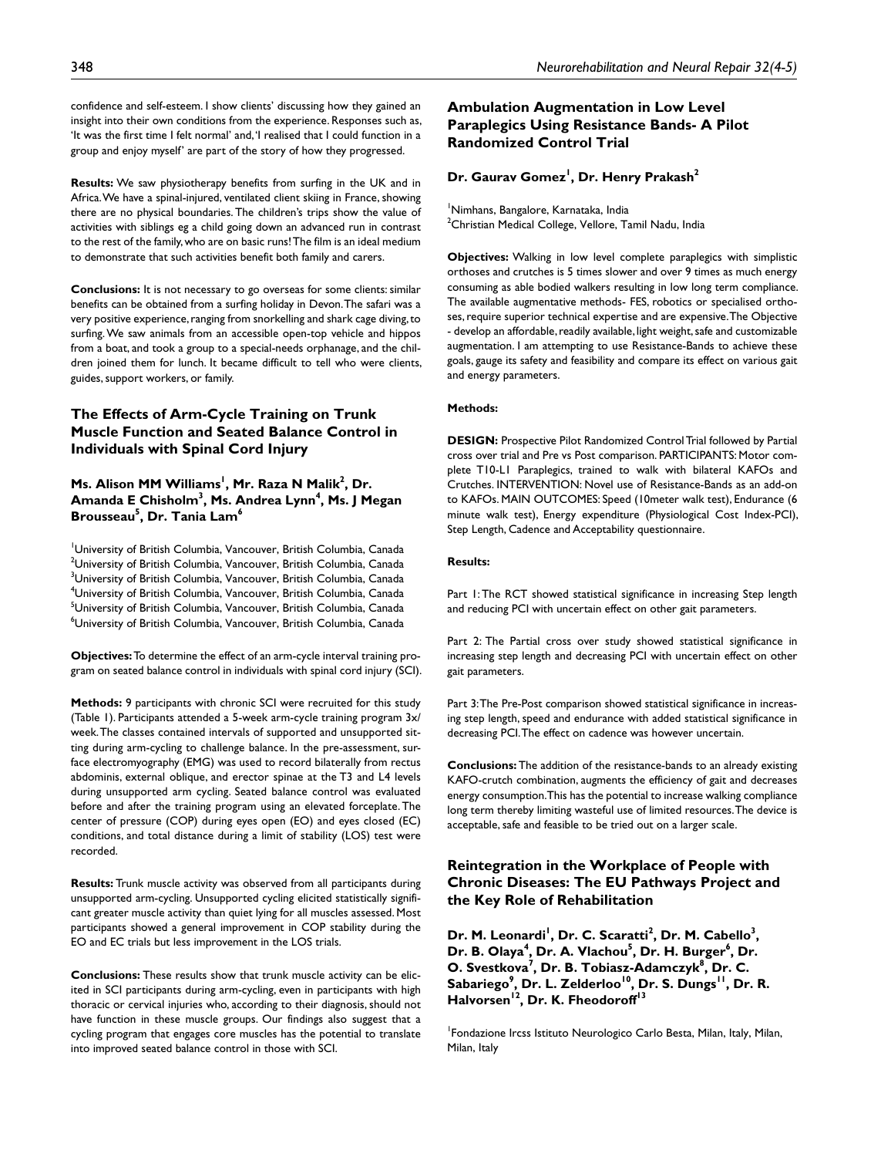confidence and self-esteem. I show clients' discussing how they gained an insight into their own conditions from the experience. Responses such as, 'It was the first time I felt normal' and, 'I realised that I could function in a group and enjoy myself' are part of the story of how they progressed.

**Results:** We saw physiotherapy benefits from surfing in the UK and in Africa. We have a spinal-injured, ventilated client skiing in France, showing there are no physical boundaries. The children's trips show the value of activities with siblings eg a child going down an advanced run in contrast to the rest of the family, who are on basic runs! The film is an ideal medium to demonstrate that such activities benefit both family and carers.

**Conclusions:** It is not necessary to go overseas for some clients: similar benefits can be obtained from a surfing holiday in Devon. The safari was a very positive experience, ranging from snorkelling and shark cage diving, to surfing. We saw animals from an accessible open-top vehicle and hippos from a boat, and took a group to a special-needs orphanage, and the children joined them for lunch. It became difficult to tell who were clients, guides, support workers, or family.

# **The Effects of Arm-Cycle Training on Trunk Muscle Function and Seated Balance Control in Individuals with Spinal Cord Injury**

# **Ms. Alison MM Williams<sup>1</sup>, Mr. Raza N Malik<sup>2</sup>, Dr.** Amanda E Chisholm<sup>3</sup>, Ms. Andrea Lynn<sup>4</sup>, Ms. J Megan **Brousseau5 , Dr. Tania Lam6**

1 University of British Columbia, Vancouver, British Columbia, Canada  $^{2}$ University of British Columbia, Vancouver, British Columbia, Canada  $^3$ University of British Columbia, Vancouver, British Columbia, Canada 4 University of British Columbia, Vancouver, British Columbia, Canada <sup>5</sup>University of British Columbia, Vancouver, British Columbia, Canada  $^6$ University of British Columbia, Vancouver, British Columbia, Canada

**Objectives:** To determine the effect of an arm-cycle interval training program on seated balance control in individuals with spinal cord injury (SCI).

**Methods:** 9 participants with chronic SCI were recruited for this study (Table 1). Participants attended a 5-week arm-cycle training program 3x/ week. The classes contained intervals of supported and unsupported sitting during arm-cycling to challenge balance. In the pre-assessment, surface electromyography (EMG) was used to record bilaterally from rectus abdominis, external oblique, and erector spinae at the T3 and L4 levels during unsupported arm cycling. Seated balance control was evaluated before and after the training program using an elevated forceplate. The center of pressure (COP) during eyes open (EO) and eyes closed (EC) conditions, and total distance during a limit of stability (LOS) test were recorded.

**Results:** Trunk muscle activity was observed from all participants during unsupported arm-cycling. Unsupported cycling elicited statistically significant greater muscle activity than quiet lying for all muscles assessed. Most participants showed a general improvement in COP stability during the EO and EC trials but less improvement in the LOS trials.

**Conclusions:** These results show that trunk muscle activity can be elicited in SCI participants during arm-cycling, even in participants with high thoracic or cervical injuries who, according to their diagnosis, should not have function in these muscle groups. Our findings also suggest that a cycling program that engages core muscles has the potential to translate into improved seated balance control in those with SCI.

# **Ambulation Augmentation in Low Level Paraplegics Using Resistance Bands- A Pilot Randomized Control Trial**

# **Dr. Gaurav Gomez1 , Dr. Henry Prakash2**

1 Nimhans, Bangalore, Karnataka, India  $^2$ Christian Medical College, Vellore, Tamil Nadu, India

**Objectives:** Walking in low level complete paraplegics with simplistic orthoses and crutches is 5 times slower and over 9 times as much energy consuming as able bodied walkers resulting in low long term compliance. The available augmentative methods- FES, robotics or specialised orthoses, require superior technical expertise and are expensive. The Objective - develop an affordable, readily available, light weight, safe and customizable augmentation. I am attempting to use Resistance-Bands to achieve these goals, gauge its safety and feasibility and compare its effect on various gait and energy parameters.

#### **Methods:**

**DESIGN:** Prospective Pilot Randomized Control Trial followed by Partial cross over trial and Pre vs Post comparison. PARTICIPANTS: Motor complete T10-L1 Paraplegics, trained to walk with bilateral KAFOs and Crutches. INTERVENTION: Novel use of Resistance-Bands as an add-on to KAFOs. MAIN OUTCOMES: Speed (10meter walk test), Endurance (6 minute walk test), Energy expenditure (Physiological Cost Index-PCI), Step Length, Cadence and Acceptability questionnaire.

#### **Results:**

Part 1: The RCT showed statistical significance in increasing Step length and reducing PCI with uncertain effect on other gait parameters.

Part 2: The Partial cross over study showed statistical significance in increasing step length and decreasing PCI with uncertain effect on other gait parameters.

Part 3: The Pre-Post comparison showed statistical significance in increasing step length, speed and endurance with added statistical significance in decreasing PCI. The effect on cadence was however uncertain.

**Conclusions:** The addition of the resistance-bands to an already existing KAFO-crutch combination, augments the efficiency of gait and decreases energy consumption. This has the potential to increase walking compliance long term thereby limiting wasteful use of limited resources. The device is acceptable, safe and feasible to be tried out on a larger scale.

# **Reintegration in the Workplace of People with Chronic Diseases: The EU Pathways Project and the Key Role of Rehabilitation**

Dr. M. Leonardi<sup>1</sup>, Dr. C. Scaratti<sup>2</sup>, Dr. M. Cabello<sup>3</sup>, Dr. B. Olaya<sup>4</sup>, Dr. A. Vlachou<sup>5</sup>, Dr. H. Burger<sup>6</sup>, Dr. **O. Svestkova<sup>7</sup>, Dr. B. Tobiasz-Adamczyk** $^{8}$ **, Dr. C.** Sabariego<sup>9</sup>, Dr. L. Zelderloo<sup>10</sup>, Dr. S. Dungs<sup>11</sup>, Dr. R. Halvorsen<sup>12</sup>, Dr. K. Fheodoroff<sup>13</sup>

1 Fondazione Ircss Istituto Neurologico Carlo Besta, Milan, Italy, Milan, Milan, Italy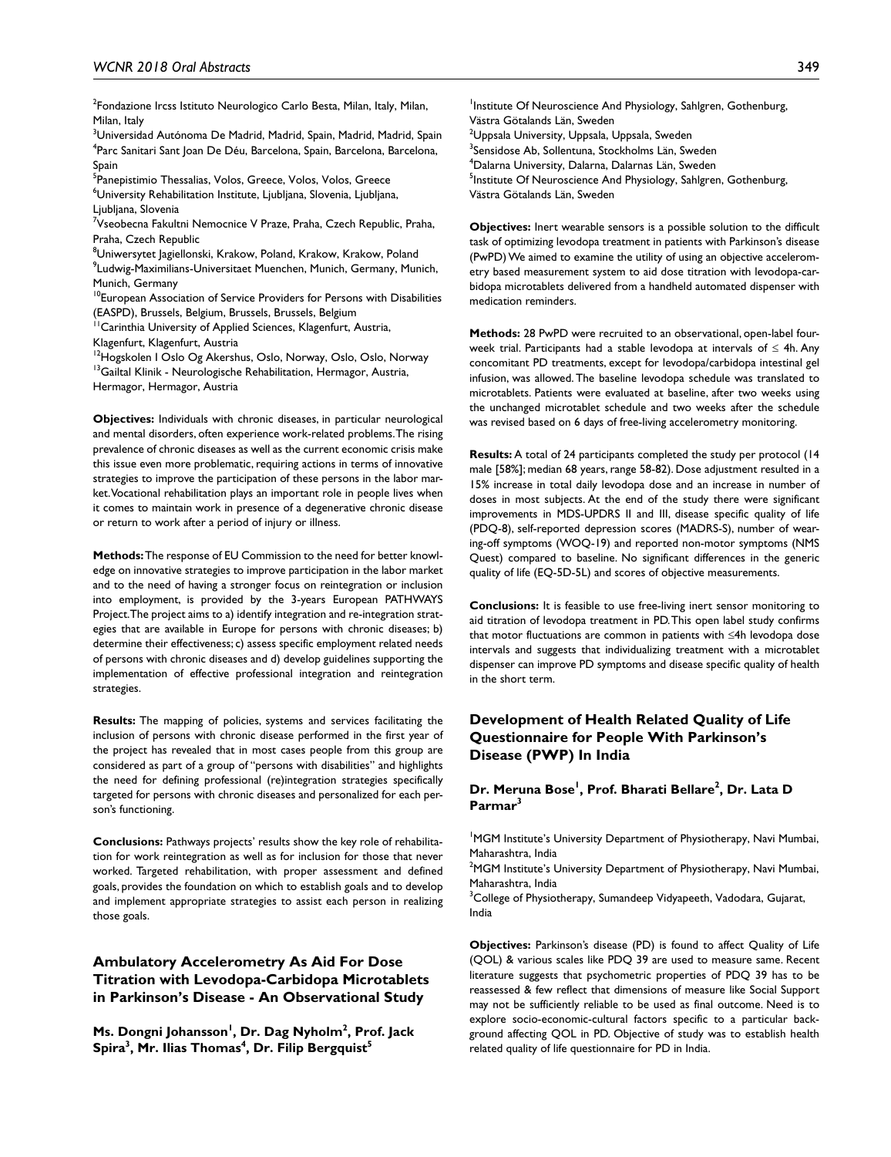<sup>2</sup>Fondazione Ircss Istituto Neurologico Carlo Besta, Milan, Italy, Milan, Milan, Italy

<sup>3</sup>Universidad Autónoma De Madrid, Madrid, Spain, Madrid, Madrid, Spain <sup>4</sup>Parc Sanitari Sant Joan De Déu, Barcelona, Spain, Barcelona, Barcelona, Spain

<sup>5</sup>Panepistimio Thessalias, Volos, Greece, Volos, Volos, Greece 6 University Rehabilitation Institute, Ljubljana, Slovenia, Ljubljana, Ljubljana, Slovenia

<sup>7</sup>Vseobecna Fakultni Nemocnice V Praze, Praha, Czech Republic, Praha, Praha, Czech Republic

 $^8$ Uniwersytet Jagiellonski, Krakow, Poland, Krakow, Krakow, Poland 9 Ludwig-Maximilians-Universitaet Muenchen, Munich, Germany, Munich, Munich, Germany

<sup>10</sup>European Association of Service Providers for Persons with Disabilities (EASPD), Brussels, Belgium, Brussels, Brussels, Belgium

<sup>11</sup> Carinthia University of Applied Sciences, Klagenfurt, Austria,

Klagenfurt, Klagenfurt, Austria

<sup>12</sup>Hogskolen I Oslo Og Akershus, Oslo, Norway, Oslo, Oslo, Norway <sup>13</sup>Gailtal Klinik - Neurologische Rehabilitation, Hermagor, Austria, Hermagor, Hermagor, Austria

**Objectives:** Individuals with chronic diseases, in particular neurological and mental disorders, often experience work-related problems. The rising prevalence of chronic diseases as well as the current economic crisis make this issue even more problematic, requiring actions in terms of innovative strategies to improve the participation of these persons in the labor market. Vocational rehabilitation plays an important role in people lives when it comes to maintain work in presence of a degenerative chronic disease

or return to work after a period of injury or illness.

**Methods:** The response of EU Commission to the need for better knowledge on innovative strategies to improve participation in the labor market and to the need of having a stronger focus on reintegration or inclusion into employment, is provided by the 3-years European PATHWAYS Project. The project aims to a) identify integration and re-integration strategies that are available in Europe for persons with chronic diseases; b) determine their effectiveness; c) assess specific employment related needs of persons with chronic diseases and d) develop guidelines supporting the implementation of effective professional integration and reintegration strategies.

**Results:** The mapping of policies, systems and services facilitating the inclusion of persons with chronic disease performed in the first year of the project has revealed that in most cases people from this group are considered as part of a group of "persons with disabilities" and highlights the need for defining professional (re)integration strategies specifically targeted for persons with chronic diseases and personalized for each person's functioning.

**Conclusions:** Pathways projects' results show the key role of rehabilitation for work reintegration as well as for inclusion for those that never worked. Targeted rehabilitation, with proper assessment and defined goals, provides the foundation on which to establish goals and to develop and implement appropriate strategies to assist each person in realizing those goals.

# **Ambulatory Accelerometry As Aid For Dose Titration with Levodopa-Carbidopa Microtablets in Parkinson's Disease - An Observational Study**

**Ms. Dongni Johansson<sup>1</sup>, Dr. Dag Nyholm<sup>2</sup>, Prof. Jack** Spira<sup>3</sup>, Mr. Ilias Thomas<sup>4</sup>, Dr. Filip Bergquist<sup>5</sup>

<sup>1</sup>Institute Of Neuroscience And Physiology, Sahlgren, Gothenburg, Västra Götalands Län, Sweden  $^{\rm 2}$ Uppsala University, Uppsala, Uppsala, Sweden <sup>3</sup>Sensidose Ab, Sollentuna, Stockholms Län, Sweden 4 Dalarna University, Dalarna, Dalarnas Län, Sweden <sup>5</sup>Institute Of Neuroscience And Physiology, Sahlgren, Gothenburg, Västra Götalands Län, Sweden

**Objectives:** Inert wearable sensors is a possible solution to the difficult task of optimizing levodopa treatment in patients with Parkinson's disease (PwPD) We aimed to examine the utility of using an objective accelerometry based measurement system to aid dose titration with levodopa-carbidopa microtablets delivered from a handheld automated dispenser with medication reminders.

**Methods:** 28 PwPD were recruited to an observational, open-label fourweek trial. Participants had a stable levodopa at intervals of  $\leq$  4h. Any concomitant PD treatments, except for levodopa/carbidopa intestinal gel infusion, was allowed. The baseline levodopa schedule was translated to microtablets. Patients were evaluated at baseline, after two weeks using the unchanged microtablet schedule and two weeks after the schedule was revised based on 6 days of free-living accelerometry monitoring.

**Results:** A total of 24 participants completed the study per protocol (14 male [58%]; median 68 years, range 58-82). Dose adjustment resulted in a 15% increase in total daily levodopa dose and an increase in number of doses in most subjects. At the end of the study there were significant improvements in MDS-UPDRS II and III, disease specific quality of life (PDQ-8), self-reported depression scores (MADRS-S), number of wearing-off symptoms (WOQ-19) and reported non-motor symptoms (NMS Quest) compared to baseline. No significant differences in the generic quality of life (EQ-5D-5L) and scores of objective measurements.

**Conclusions:** It is feasible to use free-living inert sensor monitoring to aid titration of levodopa treatment in PD. This open label study confirms that motor fluctuations are common in patients with ≤4h levodopa dose intervals and suggests that individualizing treatment with a microtablet dispenser can improve PD symptoms and disease specific quality of health in the short term.

# **Development of Health Related Quality of Life Questionnaire for People With Parkinson's Disease (PWP) In India**

### **Dr. Meruna Bose<sup>l</sup>, Prof. Bharati Bellare<sup>2</sup>, Dr. Lata D Parmar3**

<sup>1</sup>MGM Institute's University Department of Physiotherapy, Navi Mumbai, Maharashtra, India

 $2$ MGM Institute's University Department of Physiotherapy, Navi Mumbai, Maharashtra, India

 $\rm{^{3}C}$ ollege of Physiotherapy, Sumandeep Vidyapeeth, Vadodara, Gujarat, India

**Objectives:** Parkinson's disease (PD) is found to affect Quality of Life (QOL) & various scales like PDQ 39 are used to measure same. Recent literature suggests that psychometric properties of PDQ 39 has to be reassessed & few reflect that dimensions of measure like Social Support may not be sufficiently reliable to be used as final outcome. Need is to explore socio-economic-cultural factors specific to a particular background affecting QOL in PD. Objective of study was to establish health related quality of life questionnaire for PD in India.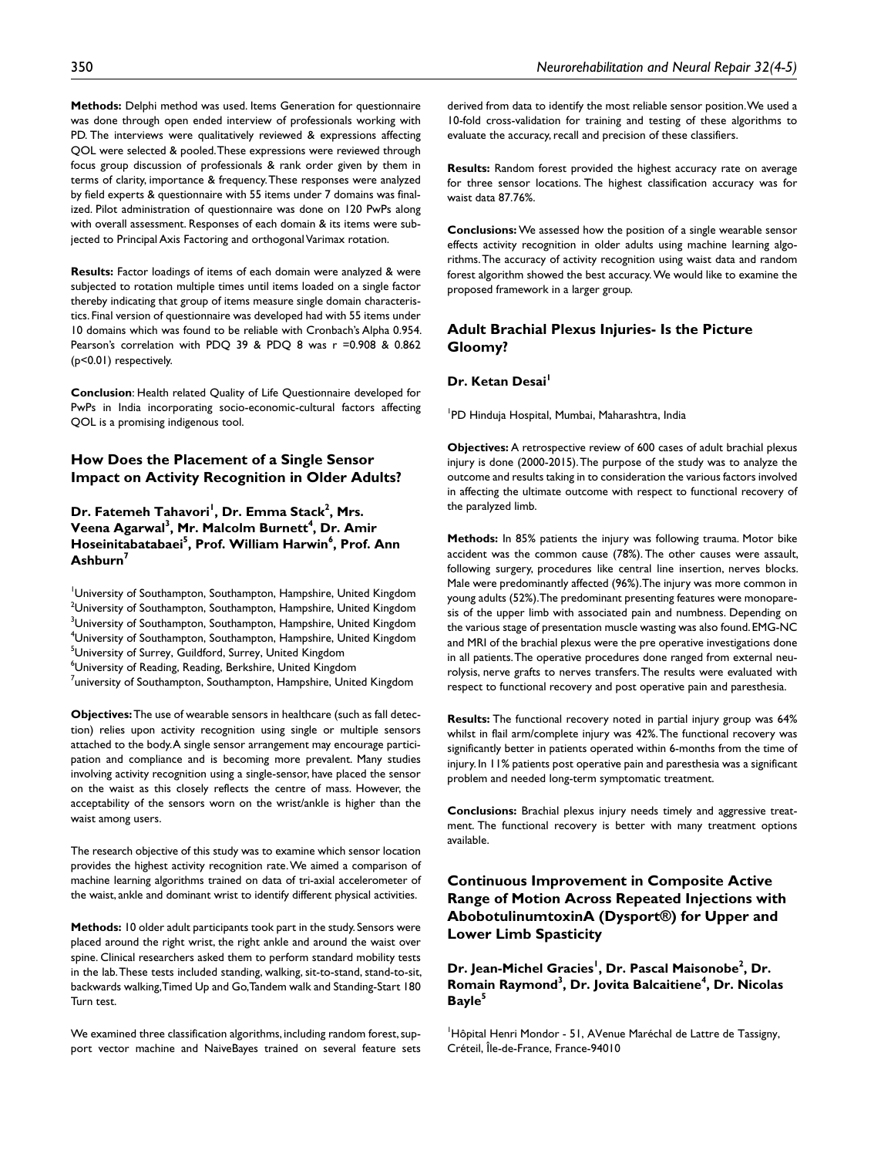**Methods:** Delphi method was used. Items Generation for questionnaire was done through open ended interview of professionals working with PD. The interviews were qualitatively reviewed & expressions affecting QOL were selected & pooled. These expressions were reviewed through focus group discussion of professionals & rank order given by them in terms of clarity, importance & frequency. These responses were analyzed by field experts & questionnaire with 55 items under 7 domains was finalized. Pilot administration of questionnaire was done on 120 PwPs along with overall assessment. Responses of each domain & its items were subjected to Principal Axis Factoring and orthogonal Varimax rotation.

**Results:** Factor loadings of items of each domain were analyzed & were subjected to rotation multiple times until items loaded on a single factor thereby indicating that group of items measure single domain characteristics. Final version of questionnaire was developed had with 55 items under 10 domains which was found to be reliable with Cronbach's Alpha 0.954. Pearson's correlation with PDQ 39 & PDQ 8 was r =0.908 & 0.862 (p<0.01) respectively.

**Conclusion**: Health related Quality of Life Questionnaire developed for PwPs in India incorporating socio-economic-cultural factors affecting QOL is a promising indigenous tool.

### **How Does the Placement of a Single Sensor Impact on Activity Recognition in Older Adults?**

### Dr. Fatemeh Tahavori<sup>I</sup>, Dr. Emma Stack<sup>2</sup>, Mrs. **V**eena Agarwal<sup>3</sup>, Mr. Malcolm Burnett<sup>4</sup>, Dr. Amir **Hoseinitabatabaei5 , Prof. William Harwin6 , Prof. Ann Ashburn7**

University of Southampton, Southampton, Hampshire, United Kingdom  $^{2}$ University of Southampton, Southampton, Hampshire, United Kingdom  $^3$ University of Southampton, Southampton, Hampshire, United Kingdom  $^4$ University of Southampton, Southampton, Hampshire, United Kingdom <sup>5</sup>University of Surrey, Guildford, Surrey, United Kingdom  $^6$ University of Reading, Reading, Berkshire, United Kingdom  $^7$ university of Southampton, Southampton, Hampshire, United Kingdom

**Objectives:** The use of wearable sensors in healthcare (such as fall detection) relies upon activity recognition using single or multiple sensors attached to the body. A single sensor arrangement may encourage participation and compliance and is becoming more prevalent. Many studies involving activity recognition using a single-sensor, have placed the sensor on the waist as this closely reflects the centre of mass. However, the acceptability of the sensors worn on the wrist/ankle is higher than the waist among users.

The research objective of this study was to examine which sensor location provides the highest activity recognition rate. We aimed a comparison of machine learning algorithms trained on data of tri-axial accelerometer of the waist, ankle and dominant wrist to identify different physical activities.

**Methods:** 10 older adult participants took part in the study. Sensors were placed around the right wrist, the right ankle and around the waist over spine. Clinical researchers asked them to perform standard mobility tests in the lab. These tests included standing, walking, sit-to-stand, stand-to-sit, backwards walking, Timed Up and Go, Tandem walk and Standing-Start 180 Turn test.

We examined three classification algorithms, including random forest, support vector machine and NaiveBayes trained on several feature sets derived from data to identify the most reliable sensor position. We used a 10-fold cross-validation for training and testing of these algorithms to evaluate the accuracy, recall and precision of these classifiers.

**Results:** Random forest provided the highest accuracy rate on average for three sensor locations. The highest classification accuracy was for waist data 87.76%.

**Conclusions:** We assessed how the position of a single wearable sensor effects activity recognition in older adults using machine learning algorithms. The accuracy of activity recognition using waist data and random forest algorithm showed the best accuracy. We would like to examine the proposed framework in a larger group.

#### **Adult Brachial Plexus Injuries- Is the Picture Gloomy?**

#### **Dr. Ketan Desai<sup>l</sup>**

1 PD Hinduja Hospital, Mumbai, Maharashtra, India

**Objectives:** A retrospective review of 600 cases of adult brachial plexus injury is done (2000-2015). The purpose of the study was to analyze the outcome and results taking in to consideration the various factors involved in affecting the ultimate outcome with respect to functional recovery of the paralyzed limb.

**Methods:** In 85% patients the injury was following trauma. Motor bike accident was the common cause (78%). The other causes were assault, following surgery, procedures like central line insertion, nerves blocks. Male were predominantly affected (96%). The injury was more common in young adults (52%). The predominant presenting features were monoparesis of the upper limb with associated pain and numbness. Depending on the various stage of presentation muscle wasting was also found. EMG-NC and MRI of the brachial plexus were the pre operative investigations done in all patients. The operative procedures done ranged from external neurolysis, nerve grafts to nerves transfers. The results were evaluated with respect to functional recovery and post operative pain and paresthesia.

**Results:** The functional recovery noted in partial injury group was 64% whilst in flail arm/complete injury was 42%. The functional recovery was significantly better in patients operated within 6-months from the time of injury. In 11% patients post operative pain and paresthesia was a significant problem and needed long-term symptomatic treatment.

**Conclusions:** Brachial plexus injury needs timely and aggressive treatment. The functional recovery is better with many treatment options available.

# **Continuous Improvement in Composite Active Range of Motion Across Repeated Injections with AbobotulinumtoxinA (Dysport®) for Upper and Lower Limb Spasticity**

Dr. Jean-Michel Gracies<sup>!</sup>, Dr. Pascal Maisonobe<sup>2</sup>, Dr. **Romain Raymond3 , Dr. Jovita Balcaitiene4 , Dr. Nicolas Bayle5**

<sup>1</sup>Hôpital Henri Mondor - 51, AVenue Maréchal de Lattre de Tassigny, Créteil, Île-de-France, France-94010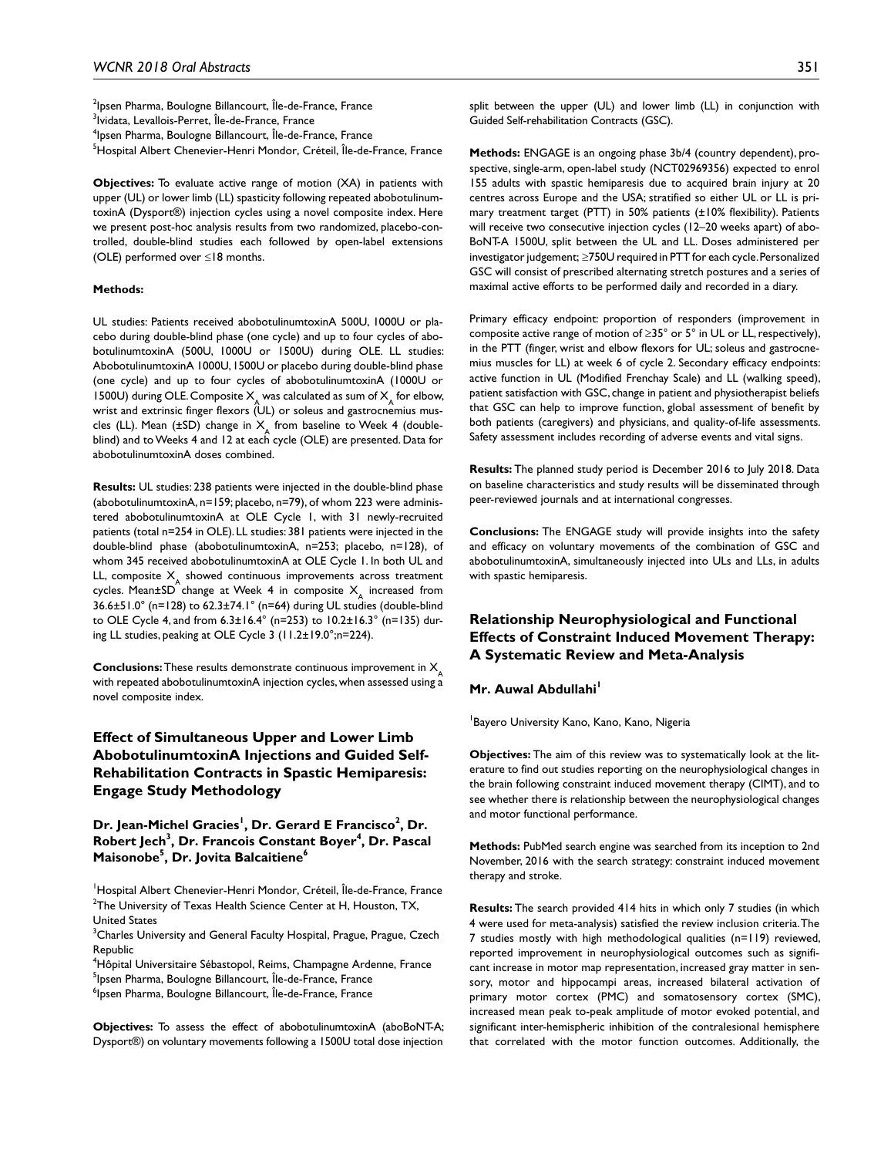<sup>2</sup>lpsen Pharma, Boulogne Billancourt, Île-de-France, France <sup>3</sup>lvidata, Levallois-Perret, Île-de-France, France 4 Ipsen Pharma, Boulogne Billancourt, Île-de-France, France <sup>5</sup>Hospital Albert Chenevier-Henri Mondor, Créteil, Île-de-France, France

**Objectives:** To evaluate active range of motion (XA) in patients with upper (UL) or lower limb (LL) spasticity following repeated abobotulinumtoxinA (Dysport®) injection cycles using a novel composite index. Here we present post-hoc analysis results from two randomized, placebo-controlled, double-blind studies each followed by open-label extensions (OLE) performed over ≤18 months.

#### **Methods:**

UL studies: Patients received abobotulinumtoxinA 500U, 1000U or placebo during double-blind phase (one cycle) and up to four cycles of abobotulinumtoxinA (500U, 1000U or 1500U) during OLE. LL studies: AbobotulinumtoxinA 1000U, 1500U or placebo during double-blind phase (one cycle) and up to four cycles of abobotulinumtoxinA (1000U or 1500U) during OLE. Composite  $X_{\mathcal{A}}$  was calculated as sum of  $X_{\mathcal{A}}$  for elbow, wrist and extrinsic finger flexors (UL) or soleus and gastrocnemius muscles (LL). Mean (±SD) change in  $X_{\mathsf{A}}$  from baseline to Week 4 (doubleblind) and to Weeks 4 and 12 at each cycle (OLE) are presented. Data for abobotulinumtoxinA doses combined.

**Results:** UL studies: 238 patients were injected in the double-blind phase (abobotulinumtoxinA, n=159; placebo, n=79), of whom 223 were administered abobotulinumtoxinA at OLE Cycle 1, with 31 newly-recruited patients (total n=254 in OLE). LL studies: 381 patients were injected in the double-blind phase (abobotulinumtoxinA, n=253; placebo, n=128), of whom 345 received abobotulinumtoxinA at OLE Cycle 1. In both UL and LL, composite  $X_A$  showed continuous improvements across treatment cycles. Mean±SD change at Week 4 in composite  $X_{\underline{A}}$  increased from 36.6±51.0° (n=128) to 62.3±74.1° (n=64) during UL studies (double-blind to OLE Cycle 4, and from 6.3±16.4° (n=253) to 10.2±16.3° (n=135) during LL studies, peaking at OLE Cycle 3 (11.2±19.0°;n=224).

**Conclusions:** These results demonstrate continuous improvement in  $X$ with repeated abobotulinumtoxinA injection cycles, when assessed using a novel composite index.

# **Effect of Simultaneous Upper and Lower Limb AbobotulinumtoxinA Injections and Guided Self-Rehabilitation Contracts in Spastic Hemiparesis: Engage Study Methodology**

Dr. Jean-Michel Gracies<sup>!</sup>, Dr. Gerard E Francisco<sup>2</sup>, Dr. **Robert Jech<sup>3</sup>, Dr. Francois Constant Boyer<sup>4</sup>, Dr. Pascal Maisonobe5 , Dr. Jovita Balcaitiene6**

<sup>1</sup>Hospital Albert Chenevier-Henri Mondor, Créteil, Île-de-France, France  $2$ The University of Texas Health Science Center at H, Houston, TX, United States

 $^3$ Charles University and General Faculty Hospital, Prague, Prague, Czech Republic

<sup>4</sup>Hôpital Universitaire Sébastopol, Reims, Champagne Ardenne, France <sup>5</sup>lpsen Pharma, Boulogne Billancourt, Île-de-France, France

<sup>6</sup>lpsen Pharma, Boulogne Billancourt, Île-de-France, France

**Objectives:** To assess the effect of abobotulinumtoxinA (aboBoNT-A; Dysport®) on voluntary movements following a 1500U total dose injection

split between the upper (UL) and lower limb (LL) in conjunction with Guided Self-rehabilitation Contracts (GSC).

**Methods:** ENGAGE is an ongoing phase 3b/4 (country dependent), prospective, single-arm, open-label study (NCT02969356) expected to enrol 155 adults with spastic hemiparesis due to acquired brain injury at 20 centres across Europe and the USA; stratified so either UL or LL is primary treatment target (PTT) in 50% patients (±10% flexibility). Patients will receive two consecutive injection cycles (12–20 weeks apart) of abo-BoNT-A 1500U, split between the UL and LL. Doses administered per investigator judgement; ≥750U required in PTT for each cycle. Personalized GSC will consist of prescribed alternating stretch postures and a series of maximal active efforts to be performed daily and recorded in a diary.

Primary efficacy endpoint: proportion of responders (improvement in composite active range of motion of  $\geq$ 35° or 5° in UL or LL, respectively), in the PTT (finger, wrist and elbow flexors for UL; soleus and gastrocnemius muscles for LL) at week 6 of cycle 2. Secondary efficacy endpoints: active function in UL (Modified Frenchay Scale) and LL (walking speed), patient satisfaction with GSC, change in patient and physiotherapist beliefs that GSC can help to improve function, global assessment of benefit by both patients (caregivers) and physicians, and quality-of-life assessments. Safety assessment includes recording of adverse events and vital signs.

**Results:** The planned study period is December 2016 to July 2018. Data on baseline characteristics and study results will be disseminated through peer-reviewed journals and at international congresses.

**Conclusions:** The ENGAGE study will provide insights into the safety and efficacy on voluntary movements of the combination of GSC and abobotulinumtoxinA, simultaneously injected into ULs and LLs, in adults with spastic hemiparesis.

# **Relationship Neurophysiological and Functional Effects of Constraint Induced Movement Therapy: A Systematic Review and Meta-Analysis**

#### **Mr. Auwal Abdullahi**<sup>1</sup>

1 Bayero University Kano, Kano, Kano, Nigeria

**Objectives:** The aim of this review was to systematically look at the literature to find out studies reporting on the neurophysiological changes in the brain following constraint induced movement therapy (CIMT), and to see whether there is relationship between the neurophysiological changes and motor functional performance.

**Methods:** PubMed search engine was searched from its inception to 2nd November, 2016 with the search strategy: constraint induced movement therapy and stroke.

**Results:** The search provided 414 hits in which only 7 studies (in which 4 were used for meta-analysis) satisfied the review inclusion criteria. The 7 studies mostly with high methodological qualities (n=119) reviewed, reported improvement in neurophysiological outcomes such as significant increase in motor map representation, increased gray matter in sensory, motor and hippocampi areas, increased bilateral activation of primary motor cortex (PMC) and somatosensory cortex (SMC), increased mean peak to-peak amplitude of motor evoked potential, and significant inter-hemispheric inhibition of the contralesional hemisphere that correlated with the motor function outcomes. Additionally, the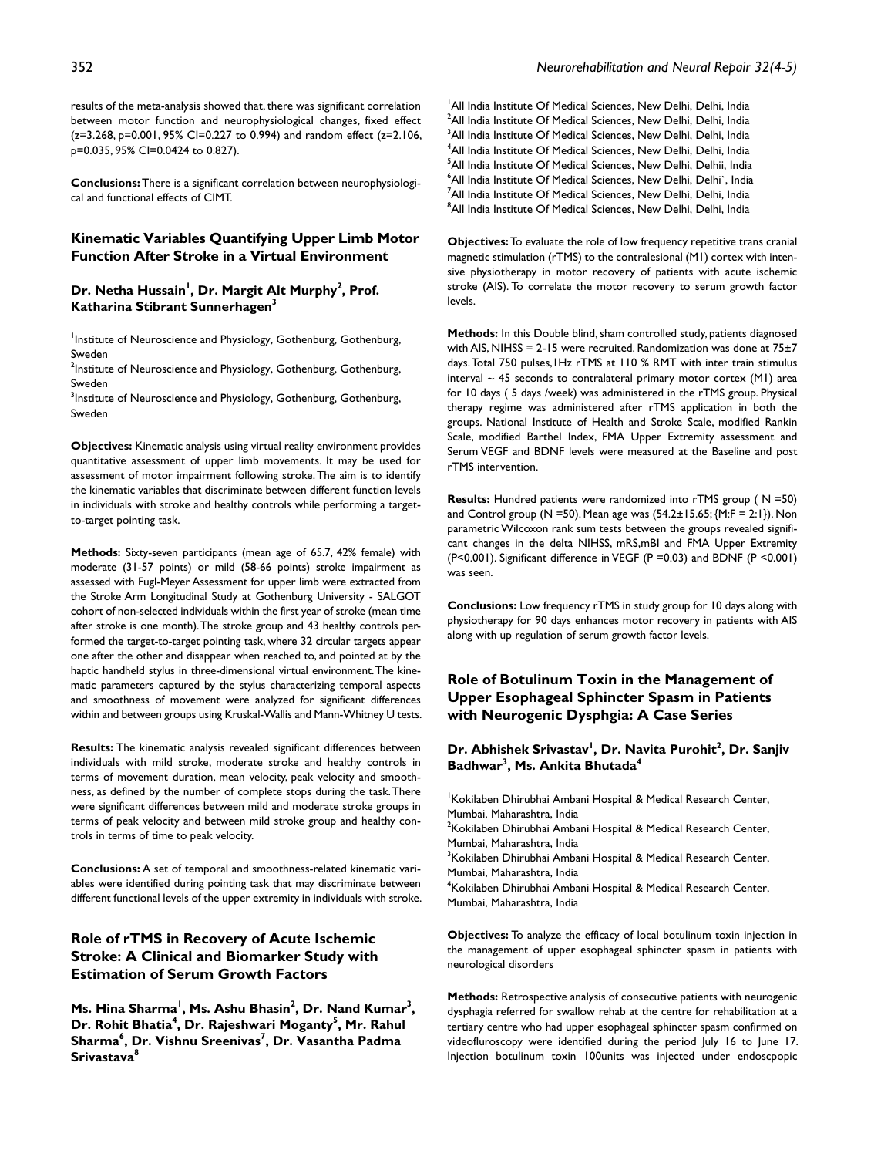results of the meta-analysis showed that, there was significant correlation between motor function and neurophysiological changes, fixed effect  $(z=3.268, p=0.001, 95\%$  CI=0.227 to 0.994) and random effect  $(z=2.106, p=0.001)$ p=0.035, 95% CI=0.0424 to 0.827).

**Conclusions:** There is a significant correlation between neurophysiological and functional effects of CIMT.

# **Kinematic Variables Quantifying Upper Limb Motor Function After Stroke in a Virtual Environment**

### Dr. Netha Hussain<sup>1</sup>, Dr. Margit Alt Murphy<sup>2</sup>, Prof. **Katharina Stibrant Sunnerhagen3**

Institute of Neuroscience and Physiology, Gothenburg, Gothenburg, Sweden

<sup>2</sup>Institute of Neuroscience and Physiology, Gothenburg, Gothenburg, Sweden

 $3$ Institute of Neuroscience and Physiology, Gothenburg, Gothenburg, Sweden

**Objectives:** Kinematic analysis using virtual reality environment provides quantitative assessment of upper limb movements. It may be used for assessment of motor impairment following stroke. The aim is to identify the kinematic variables that discriminate between different function levels in individuals with stroke and healthy controls while performing a targetto-target pointing task.

**Methods:** Sixty-seven participants (mean age of 65.7, 42% female) with moderate (31-57 points) or mild (58-66 points) stroke impairment as assessed with Fugl-Meyer Assessment for upper limb were extracted from the Stroke Arm Longitudinal Study at Gothenburg University - SALGOT cohort of non-selected individuals within the first year of stroke (mean time after stroke is one month). The stroke group and 43 healthy controls performed the target-to-target pointing task, where 32 circular targets appear one after the other and disappear when reached to, and pointed at by the haptic handheld stylus in three-dimensional virtual environment. The kinematic parameters captured by the stylus characterizing temporal aspects and smoothness of movement were analyzed for significant differences within and between groups using Kruskal-Wallis and Mann-Whitney U tests.

**Results:** The kinematic analysis revealed significant differences between individuals with mild stroke, moderate stroke and healthy controls in terms of movement duration, mean velocity, peak velocity and smoothness, as defined by the number of complete stops during the task. There were significant differences between mild and moderate stroke groups in terms of peak velocity and between mild stroke group and healthy controls in terms of time to peak velocity.

**Conclusions:** A set of temporal and smoothness-related kinematic variables were identified during pointing task that may discriminate between different functional levels of the upper extremity in individuals with stroke.

# **Role of rTMS in Recovery of Acute Ischemic Stroke: A Clinical and Biomarker Study with Estimation of Serum Growth Factors**

**Ms.** Hina Sharma<sup>1</sup>, Ms. Ashu Bhasin<sup>2</sup>, Dr. Nand Kumar<sup>3</sup>, Dr. Rohit Bhatia<sup>4</sup>, Dr. Rajeshwari Moganty<sup>5</sup>, Mr. Rahul  $\mathsf{Sharma}^6$ , Dr. Vishnu Sreenivas<sup>7</sup>, Dr. Vasantha Padma **Srivastava8**

<sup>1</sup> All India Institute Of Medical Sciences, New Delhi, Delhi, India  $^2$ All India Institute Of Medical Sciences, New Delhi, Delhi, India  $^3$ All India Institute Of Medical Sciences, New Delhi, Delhi, India 4 All India Institute Of Medical Sciences, New Delhi, Delhi, India 5 All India Institute Of Medical Sciences, New Delhi, Delhii, India  $^6$ All India Institute Of Medical Sciences, New Delhi, Delhi`, India  $^7$ All India Institute Of Medical Sciences, New Delhi, Delhi, India 8 All India Institute Of Medical Sciences, New Delhi, Delhi, India

**Objectives:** To evaluate the role of low frequency repetitive trans cranial magnetic stimulation (rTMS) to the contralesional (M1) cortex with intensive physiotherapy in motor recovery of patients with acute ischemic stroke (AIS). To correlate the motor recovery to serum growth factor levels.

**Methods:** In this Double blind, sham controlled study, patients diagnosed with AIS, NIHSS = 2-15 were recruited. Randomization was done at 75±7 days. Total 750 pulses,1Hz rTMS at 110 % RMT with inter train stimulus interval  $\sim$  45 seconds to contralateral primary motor cortex (M1) area for 10 days ( 5 days /week) was administered in the rTMS group. Physical therapy regime was administered after rTMS application in both the groups. National Institute of Health and Stroke Scale, modified Rankin Scale, modified Barthel Index, FMA Upper Extremity assessment and Serum VEGF and BDNF levels were measured at the Baseline and post rTMS intervention.

**Results:** Hundred patients were randomized into rTMS group ( N =50) and Control group (N = 50). Mean age was  $(54.2 \pm 15.65; \{M: F = 2:1\})$ . Non parametric Wilcoxon rank sum tests between the groups revealed significant changes in the delta NIHSS, mRS,mBI and FMA Upper Extremity (P<0.001). Significant difference in VEGF (P =0.03) and BDNF (P <0.001) was seen.

**Conclusions:** Low frequency rTMS in study group for 10 days along with physiotherapy for 90 days enhances motor recovery in patients with AIS along with up regulation of serum growth factor levels.

# **Role of Botulinum Toxin in the Management of Upper Esophageal Sphincter Spasm in Patients with Neurogenic Dysphgia: A Case Series**

### Dr. Abhishek Srivastav<sup>I</sup>, Dr. Navita Purohit<sup>2</sup>, Dr. Sanjiv **Badhwar3 , Ms. Ankita Bhutada4**

1 Kokilaben Dhirubhai Ambani Hospital & Medical Research Center, Mumbai, Maharashtra, India  $2$ Kokilaben Dhirubhai Ambani Hospital & Medical Research Center,

Mumbai, Maharashtra, India

<sup>3</sup>Kokilaben Dhirubhai Ambani Hospital & Medical Research Center, Mumbai, Maharashtra, India

4 Kokilaben Dhirubhai Ambani Hospital & Medical Research Center, Mumbai, Maharashtra, India

**Objectives:** To analyze the efficacy of local botulinum toxin injection in the management of upper esophageal sphincter spasm in patients with neurological disorders

**Methods:** Retrospective analysis of consecutive patients with neurogenic dysphagia referred for swallow rehab at the centre for rehabilitation at a tertiary centre who had upper esophageal sphincter spasm confirmed on videofluroscopy were identified during the period July 16 to June 17. Injection botulinum toxin 100units was injected under endoscpopic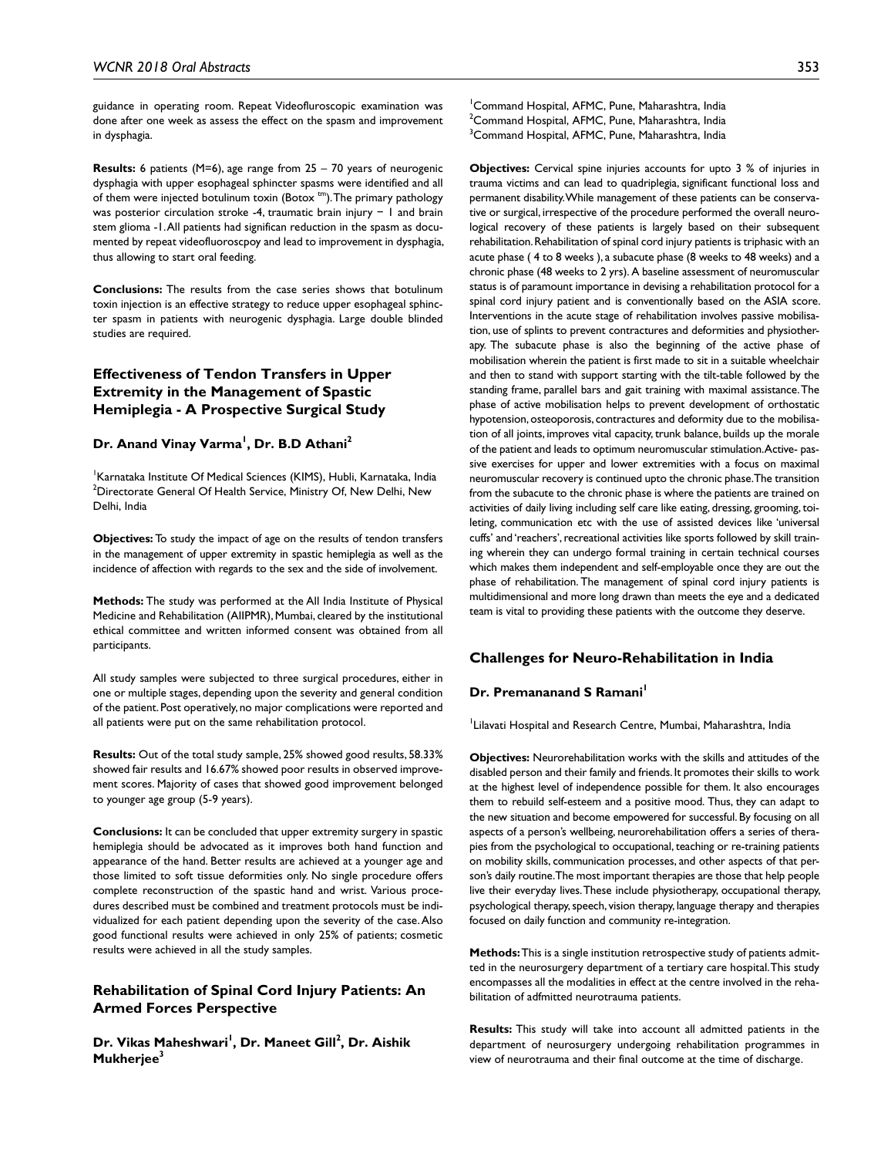guidance in operating room. Repeat Videofluroscopic examination was done after one week as assess the effect on the spasm and improvement in dysphagia.

**Results:** 6 patients (M=6), age range from 25 – 70 years of neurogenic dysphagia with upper esophageal sphincter spasms were identified and all of them were injected botulinum toxin (Botox <sup>tm</sup>). The primary pathology was posterior circulation stroke -4, traumatic brain injury − 1 and brain stem glioma -1. All patients had significan reduction in the spasm as documented by repeat videofluoroscpoy and lead to improvement in dysphagia, thus allowing to start oral feeding.

**Conclusions:** The results from the case series shows that botulinum toxin injection is an effective strategy to reduce upper esophageal sphincter spasm in patients with neurogenic dysphagia. Large double blinded studies are required.

# **Effectiveness of Tendon Transfers in Upper Extremity in the Management of Spastic Hemiplegia - A Prospective Surgical Study**

# **Dr. Anand Vinay Varma1 , Dr. B.D Athani2**

1 Karnataka Institute Of Medical Sciences (KIMS), Hubli, Karnataka, India  $^2$ Directorate General Of Health Service, Ministry Of, New Delhi, New Delhi, India

**Objectives:** To study the impact of age on the results of tendon transfers in the management of upper extremity in spastic hemiplegia as well as the incidence of affection with regards to the sex and the side of involvement.

**Methods:** The study was performed at the All India Institute of Physical Medicine and Rehabilitation (AIIPMR), Mumbai, cleared by the institutional ethical committee and written informed consent was obtained from all participants.

All study samples were subjected to three surgical procedures, either in one or multiple stages, depending upon the severity and general condition of the patient. Post operatively, no major complications were reported and all patients were put on the same rehabilitation protocol.

**Results:** Out of the total study sample, 25% showed good results, 58.33% showed fair results and 16.67% showed poor results in observed improvement scores. Majority of cases that showed good improvement belonged to younger age group (5-9 years).

**Conclusions:** It can be concluded that upper extremity surgery in spastic hemiplegia should be advocated as it improves both hand function and appearance of the hand. Better results are achieved at a younger age and those limited to soft tissue deformities only. No single procedure offers complete reconstruction of the spastic hand and wrist. Various procedures described must be combined and treatment protocols must be individualized for each patient depending upon the severity of the case. Also good functional results were achieved in only 25% of patients; cosmetic results were achieved in all the study samples.

### **Rehabilitation of Spinal Cord Injury Patients: An Armed Forces Perspective**

Dr. Vikas Maheshwari<sup>'</sup>, Dr. Maneet Gill<sup>2</sup>, Dr. Aishik **Mukherjee3**

1 Command Hospital, AFMC, Pune, Maharashtra, India  $^{2}$ Command Hospital, AFMC, Pune, Maharashtra, India  $^3$ Command Hospital, AFMC, Pune, Maharashtra, India

**Objectives:** Cervical spine injuries accounts for upto 3 % of injuries in trauma victims and can lead to quadriplegia, significant functional loss and permanent disability. While management of these patients can be conservative or surgical, irrespective of the procedure performed the overall neurological recovery of these patients is largely based on their subsequent rehabilitation. Rehabilitation of spinal cord injury patients is triphasic with an acute phase ( 4 to 8 weeks ), a subacute phase (8 weeks to 48 weeks) and a chronic phase (48 weeks to 2 yrs). A baseline assessment of neuromuscular status is of paramount importance in devising a rehabilitation protocol for a spinal cord injury patient and is conventionally based on the ASIA score. Interventions in the acute stage of rehabilitation involves passive mobilisation, use of splints to prevent contractures and deformities and physiotherapy. The subacute phase is also the beginning of the active phase of mobilisation wherein the patient is first made to sit in a suitable wheelchair and then to stand with support starting with the tilt-table followed by the standing frame, parallel bars and gait training with maximal assistance. The phase of active mobilisation helps to prevent development of orthostatic hypotension, osteoporosis, contractures and deformity due to the mobilisation of all joints, improves vital capacity, trunk balance, builds up the morale of the patient and leads to optimum neuromuscular stimulation. Active- passive exercises for upper and lower extremities with a focus on maximal neuromuscular recovery is continued upto the chronic phase. The transition from the subacute to the chronic phase is where the patients are trained on activities of daily living including self care like eating, dressing, grooming, toileting, communication etc with the use of assisted devices like 'universal cuffs' and 'reachers', recreational activities like sports followed by skill training wherein they can undergo formal training in certain technical courses which makes them independent and self-employable once they are out the phase of rehabilitation. The management of spinal cord injury patients is multidimensional and more long drawn than meets the eye and a dedicated team is vital to providing these patients with the outcome they deserve.

#### **Challenges for Neuro-Rehabilitation in India**

# **Dr. Premananand S Ramani**

1 Lilavati Hospital and Research Centre, Mumbai, Maharashtra, India

**Objectives:** Neurorehabilitation works with the skills and attitudes of the disabled person and their family and friends. It promotes their skills to work at the highest level of independence possible for them. It also encourages them to rebuild self-esteem and a positive mood. Thus, they can adapt to the new situation and become empowered for successful. By focusing on all aspects of a person's wellbeing, neurorehabilitation offers a series of therapies from the psychological to occupational, teaching or re-training patients on mobility skills, communication processes, and other aspects of that person's daily routine. The most important therapies are those that help people live their everyday lives. These include physiotherapy, occupational therapy, psychological therapy, speech, vision therapy, language therapy and therapies focused on daily function and community re-integration.

**Methods:** This is a single institution retrospective study of patients admitted in the neurosurgery department of a tertiary care hospital. This study encompasses all the modalities in effect at the centre involved in the rehabilitation of adfmitted neurotrauma patients.

**Results:** This study will take into account all admitted patients in the department of neurosurgery undergoing rehabilitation programmes in view of neurotrauma and their final outcome at the time of discharge.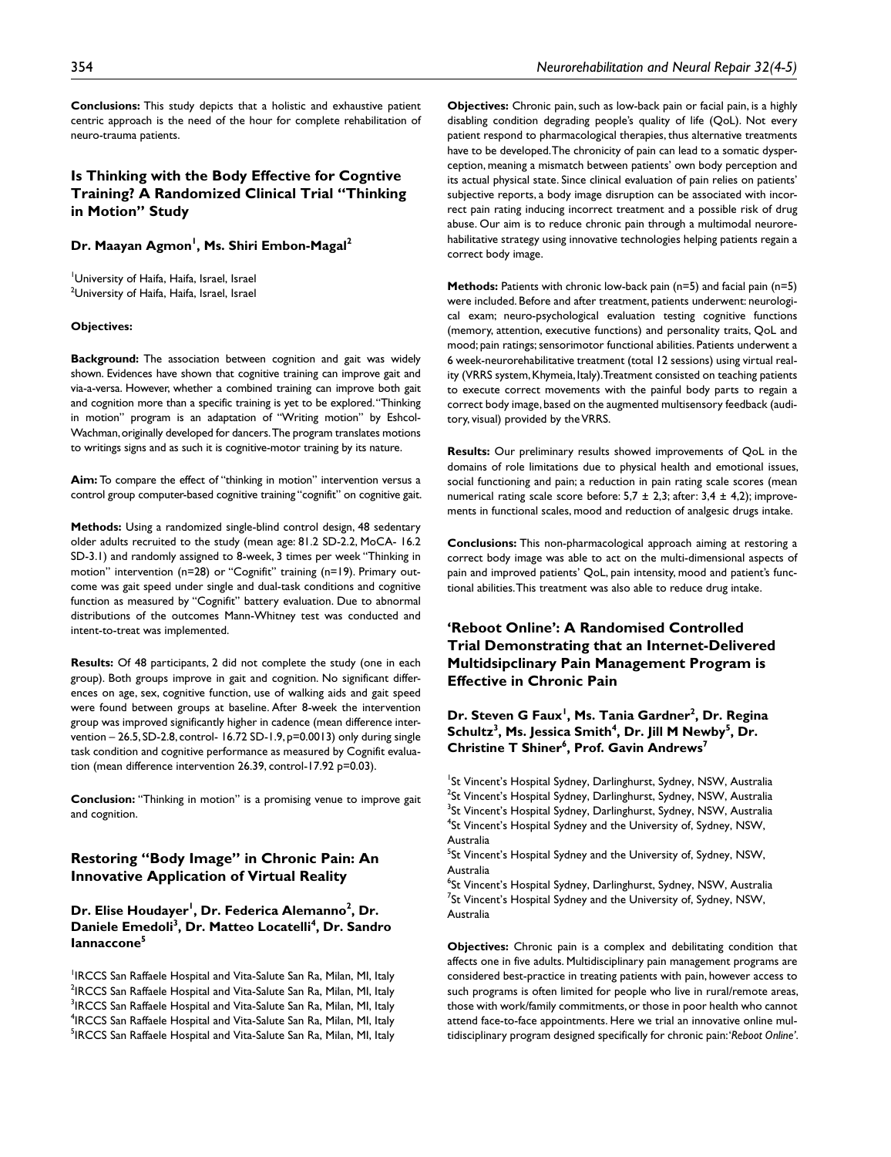**Conclusions:** This study depicts that a holistic and exhaustive patient centric approach is the need of the hour for complete rehabilitation of neuro-trauma patients.

# **Is Thinking with the Body Effective for Cogntive Training? A Randomized Clinical Trial "Thinking in Motion" Study**

### Dr. Maayan Agmon<sup>1</sup>, Ms. Shiri Embon-Magal<sup>2</sup>

1 University of Haifa, Haifa, Israel, Israel <sup>2</sup>University of Haifa, Haifa, Israel, Israel

#### **Objectives:**

**Background:** The association between cognition and gait was widely shown. Evidences have shown that cognitive training can improve gait and via-a-versa. However, whether a combined training can improve both gait and cognition more than a specific training is yet to be explored. "Thinking in motion" program is an adaptation of "Writing motion" by Eshcol-Wachman, originally developed for dancers. The program translates motions to writings signs and as such it is cognitive-motor training by its nature.

**Aim:** To compare the effect of "thinking in motion" intervention versus a control group computer-based cognitive training "cognifit" on cognitive gait.

**Methods:** Using a randomized single-blind control design, 48 sedentary older adults recruited to the study (mean age: 81.2 SD-2.2, MoCA- 16.2 SD-3.1) and randomly assigned to 8-week, 3 times per week "Thinking in motion" intervention (n=28) or "Cognifit" training (n=19). Primary outcome was gait speed under single and dual-task conditions and cognitive function as measured by "Cognifit" battery evaluation. Due to abnormal distributions of the outcomes Mann-Whitney test was conducted and intent-to-treat was implemented.

**Results:** Of 48 participants, 2 did not complete the study (one in each group). Both groups improve in gait and cognition. No significant differences on age, sex, cognitive function, use of walking aids and gait speed were found between groups at baseline. After 8-week the intervention group was improved significantly higher in cadence (mean difference intervention – 26.5, SD-2.8, control- 16.72 SD-1.9, p=0.0013) only during single task condition and cognitive performance as measured by Cognifit evaluation (mean difference intervention 26.39, control-17.92 p=0.03).

**Conclusion:** "Thinking in motion" is a promising venue to improve gait and cognition.

### **Restoring "Body Image" in Chronic Pain: An Innovative Application of Virtual Reality**

Dr. Elise Houdayer<sup>ı</sup>, Dr. Federica Alemanno<sup>2</sup>, Dr. **Daniele Emedoli3 , Dr. Matteo Locatelli4 , Dr. Sandro Iannaccone5**

<sup>1</sup>IRCCS San Raffaele Hospital and Vita-Salute San Ra, Milan, MI, Italy <sup>2</sup>IRCCS San Raffaele Hospital and Vita-Salute San Ra, Milan, MI, Italy <sup>3</sup>IRCCS San Raffaele Hospital and Vita-Salute San Ra, Milan, MI, Italy <sup>4</sup>IRCCS San Raffaele Hospital and Vita-Salute San Ra, Milan, MI, Italy <sup>5</sup>IRCCS San Raffaele Hospital and Vita-Salute San Ra, Milan, MI, Italy

**Objectives:** Chronic pain, such as low-back pain or facial pain, is a highly disabling condition degrading people's quality of life (QoL). Not every patient respond to pharmacological therapies, thus alternative treatments have to be developed. The chronicity of pain can lead to a somatic dysperception, meaning a mismatch between patients' own body perception and its actual physical state. Since clinical evaluation of pain relies on patients' subjective reports, a body image disruption can be associated with incorrect pain rating inducing incorrect treatment and a possible risk of drug abuse. Our aim is to reduce chronic pain through a multimodal neurorehabilitative strategy using innovative technologies helping patients regain a correct body image.

**Methods:** Patients with chronic low-back pain (n=5) and facial pain (n=5) were included. Before and after treatment, patients underwent: neurological exam; neuro-psychological evaluation testing cognitive functions (memory, attention, executive functions) and personality traits, QoL and mood; pain ratings; sensorimotor functional abilities. Patients underwent a 6 week-neurorehabilitative treatment (total 12 sessions) using virtual reality (VRRS system, Khymeia, Italy). Treatment consisted on teaching patients to execute correct movements with the painful body parts to regain a correct body image, based on the augmented multisensory feedback (auditory, visual) provided by the VRRS.

**Results:** Our preliminary results showed improvements of QoL in the domains of role limitations due to physical health and emotional issues, social functioning and pain; a reduction in pain rating scale scores (mean numerical rating scale score before:  $5.7 \pm 2.3$ ; after:  $3.4 \pm 4.2$ ); improvements in functional scales, mood and reduction of analgesic drugs intake.

**Conclusions:** This non-pharmacological approach aiming at restoring a correct body image was able to act on the multi-dimensional aspects of pain and improved patients' QoL, pain intensity, mood and patient's functional abilities. This treatment was also able to reduce drug intake.

**'Reboot Online': A Randomised Controlled Trial Demonstrating that an Internet-Delivered Multidsipclinary Pain Management Program is Effective in Chronic Pain**

Dr. Steven G Faux<sup>1</sup>, Ms. Tania Gardner<sup>2</sup>, Dr. Regina  $Schultz<sup>3</sup>$ , Ms. Jessica Smith<sup>4</sup>, Dr. Jill M Newby<sup>5</sup>, Dr.  $Christine T **Shiner**<sup>6</sup>, **Prof. Gavin Andrews**<sup>7</sup>$ 

<sup>1</sup>St Vincent's Hospital Sydney, Darlinghurst, Sydney, NSW, Australia  $^{2}$ St Vincent's Hospital Sydney, Darlinghurst, Sydney, NSW, Australia <sup>3</sup>St Vincent's Hospital Sydney, Darlinghurst, Sydney, NSW, Australia 4 St Vincent's Hospital Sydney and the University of, Sydney, NSW, Australia

<sup>5</sup>St Vincent's Hospital Sydney and the University of, Sydney, NSW, Australia

6 St Vincent's Hospital Sydney, Darlinghurst, Sydney, NSW, Australia  $^7$ St Vincent's Hospital Sydney and the University of, Sydney, NSW, Australia

**Objectives:** Chronic pain is a complex and debilitating condition that affects one in five adults. Multidisciplinary pain management programs are considered best-practice in treating patients with pain, however access to such programs is often limited for people who live in rural/remote areas, those with work/family commitments, or those in poor health who cannot attend face-to-face appointments. Here we trial an innovative online multidisciplinary program designed specifically for chronic pain: '*Reboot Online'*.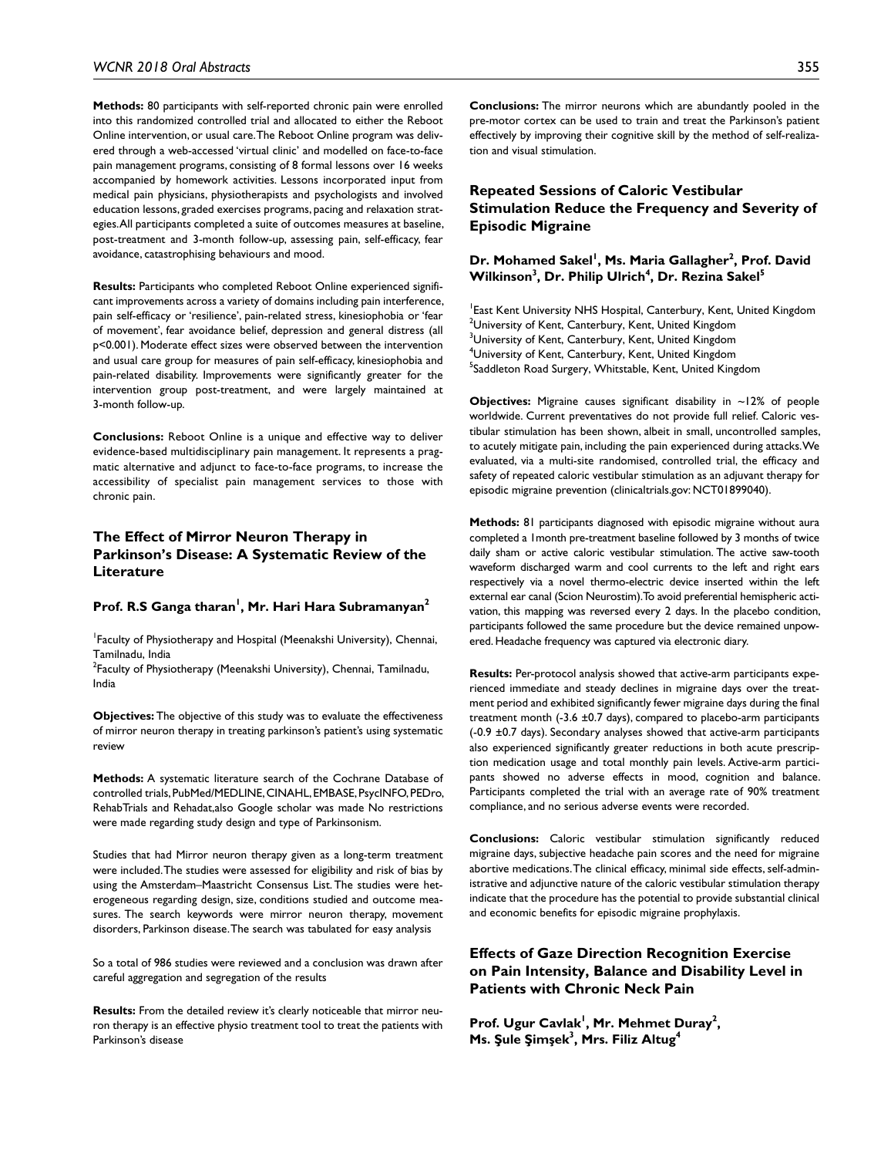**Methods:** 80 participants with self-reported chronic pain were enrolled into this randomized controlled trial and allocated to either the Reboot Online intervention, or usual care. The Reboot Online program was delivered through a web-accessed 'virtual clinic' and modelled on face-to-face pain management programs, consisting of 8 formal lessons over 16 weeks accompanied by homework activities. Lessons incorporated input from medical pain physicians, physiotherapists and psychologists and involved education lessons, graded exercises programs, pacing and relaxation strategies. All participants completed a suite of outcomes measures at baseline, post-treatment and 3-month follow-up, assessing pain, self-efficacy, fear avoidance, catastrophising behaviours and mood.

**Results:** Participants who completed Reboot Online experienced significant improvements across a variety of domains including pain interference, pain self-efficacy or 'resilience', pain-related stress, kinesiophobia or 'fear of movement', fear avoidance belief, depression and general distress (all p<0.001). Moderate effect sizes were observed between the intervention and usual care group for measures of pain self-efficacy, kinesiophobia and pain-related disability. Improvements were significantly greater for the intervention group post-treatment, and were largely maintained at 3-month follow-up.

**Conclusions:** Reboot Online is a unique and effective way to deliver evidence-based multidisciplinary pain management. It represents a pragmatic alternative and adjunct to face-to-face programs, to increase the accessibility of specialist pain management services to those with chronic pain.

# **The Effect of Mirror Neuron Therapy in Parkinson's Disease: A Systematic Review of the Literature**

#### Prof. R.S Ganga tharan<sup>1</sup>, Mr. Hari Hara Subramanyan<sup>2</sup>

1 Faculty of Physiotherapy and Hospital (Meenakshi University), Chennai, Tamilnadu, India

<sup>2</sup>Faculty of Physiotherapy (Meenakshi University), Chennai, Tamilnadu, India

**Objectives:** The objective of this study was to evaluate the effectiveness of mirror neuron therapy in treating parkinson's patient's using systematic review

**Methods:** A systematic literature search of the Cochrane Database of controlled trials, PubMed/MEDLINE, CINAHL, EMBASE, PsycINFO, PEDro, RehabTrials and Rehadat,also Google scholar was made No restrictions were made regarding study design and type of Parkinsonism.

Studies that had Mirror neuron therapy given as a long-term treatment were included. The studies were assessed for eligibility and risk of bias by using the Amsterdam–Maastricht Consensus List. The studies were heterogeneous regarding design, size, conditions studied and outcome measures. The search keywords were mirror neuron therapy, movement disorders, Parkinson disease. The search was tabulated for easy analysis

So a total of 986 studies were reviewed and a conclusion was drawn after careful aggregation and segregation of the results

**Results:** From the detailed review it's clearly noticeable that mirror neuron therapy is an effective physio treatment tool to treat the patients with Parkinson's disease

**Conclusions:** The mirror neurons which are abundantly pooled in the pre-motor cortex can be used to train and treat the Parkinson's patient effectively by improving their cognitive skill by the method of self-realization and visual stimulation.

# **Repeated Sessions of Caloric Vestibular Stimulation Reduce the Frequency and Severity of Episodic Migraine**

### Dr. Mohamed Sakel<sup>I</sup>, Ms. Maria Gallagher<sup>2</sup>, Prof. David  $\mathsf{Williamson}^3, \mathsf{Dr}.\mathsf{ Philip}\ \mathsf{Ulrich}^4,\mathsf{Dr}.\ \mathsf{Rezina}\ \mathsf{Sakel}^5$

<sup>1</sup> East Kent University NHS Hospital, Canterbury, Kent, United Kingdom  $^{2}$ University of Kent, Canterbury, Kent, United Kingdom  $^3$ University of Kent, Canterbury, Kent, United Kingdom 4 University of Kent, Canterbury, Kent, United Kingdom <sup>5</sup>Saddleton Road Surgery, Whitstable, Kent, United Kingdom

**Objectives:** Migraine causes significant disability in ~12% of people worldwide. Current preventatives do not provide full relief. Caloric vestibular stimulation has been shown, albeit in small, uncontrolled samples, to acutely mitigate pain, including the pain experienced during attacks. We evaluated, via a multi-site randomised, controlled trial, the efficacy and safety of repeated caloric vestibular stimulation as an adjuvant therapy for episodic migraine prevention (clinicaltrials.gov: NCT01899040).

**Methods:** 81 participants diagnosed with episodic migraine without aura completed a 1month pre-treatment baseline followed by 3 months of twice daily sham or active caloric vestibular stimulation. The active saw-tooth waveform discharged warm and cool currents to the left and right ears respectively via a novel thermo-electric device inserted within the left external ear canal (Scion Neurostim). To avoid preferential hemispheric activation, this mapping was reversed every 2 days. In the placebo condition, participants followed the same procedure but the device remained unpowered. Headache frequency was captured via electronic diary.

**Results:** Per-protocol analysis showed that active-arm participants experienced immediate and steady declines in migraine days over the treatment period and exhibited significantly fewer migraine days during the final treatment month (-3.6 ±0.7 days), compared to placebo-arm participants (-0.9 ±0.7 days). Secondary analyses showed that active-arm participants also experienced significantly greater reductions in both acute prescription medication usage and total monthly pain levels. Active-arm participants showed no adverse effects in mood, cognition and balance. Participants completed the trial with an average rate of 90% treatment compliance, and no serious adverse events were recorded.

**Conclusions:** Caloric vestibular stimulation significantly reduced migraine days, subjective headache pain scores and the need for migraine abortive medications. The clinical efficacy, minimal side effects, self-administrative and adjunctive nature of the caloric vestibular stimulation therapy indicate that the procedure has the potential to provide substantial clinical and economic benefits for episodic migraine prophylaxis.

# **Effects of Gaze Direction Recognition Exercise on Pain Intensity, Balance and Disability Level in Patients with Chronic Neck Pain**

Prof. Ugur Cavlak<sup>1</sup>, Mr. Mehmet Duray<sup>2</sup>, **Ms. Şule Şimşek3 , Mrs. Filiz Altug4**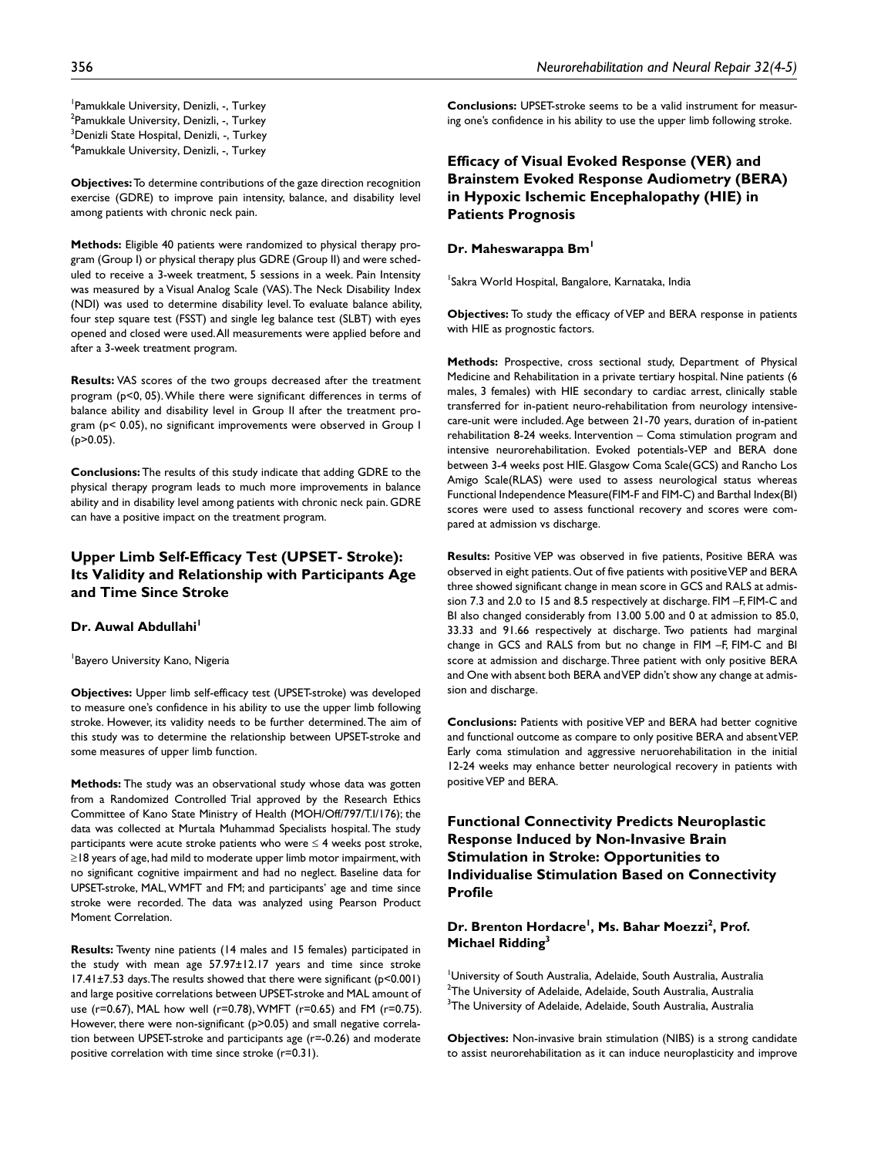**Objectives:** To determine contributions of the gaze direction recognition exercise (GDRE) to improve pain intensity, balance, and disability level among patients with chronic neck pain.

**Methods:** Eligible 40 patients were randomized to physical therapy program (Group I) or physical therapy plus GDRE (Group II) and were scheduled to receive a 3-week treatment, 5 sessions in a week. Pain Intensity was measured by a Visual Analog Scale (VAS). The Neck Disability Index (NDI) was used to determine disability level. To evaluate balance ability, four step square test (FSST) and single leg balance test (SLBT) with eyes opened and closed were used. All measurements were applied before and after a 3-week treatment program.

**Results:** VAS scores of the two groups decreased after the treatment program (p<0, 05). While there were significant differences in terms of balance ability and disability level in Group II after the treatment program (p< 0.05), no significant improvements were observed in Group I (p>0.05).

**Conclusions:** The results of this study indicate that adding GDRE to the physical therapy program leads to much more improvements in balance ability and in disability level among patients with chronic neck pain. GDRE can have a positive impact on the treatment program.

# **Upper Limb Self-Efficacy Test (UPSET- Stroke): Its Validity and Relationship with Participants Age and Time Since Stroke**

#### **Dr. Auwal Abdullahi**<sup>1</sup>

1 Bayero University Kano, Nigeria

**Objectives:** Upper limb self-efficacy test (UPSET-stroke) was developed to measure one's confidence in his ability to use the upper limb following stroke. However, its validity needs to be further determined. The aim of this study was to determine the relationship between UPSET-stroke and some measures of upper limb function.

**Methods:** The study was an observational study whose data was gotten from a Randomized Controlled Trial approved by the Research Ethics Committee of Kano State Ministry of Health (MOH/Off/797/T.I/176); the data was collected at Murtala Muhammad Specialists hospital. The study participants were acute stroke patients who were  $\leq 4$  weeks post stroke, ≥18 years of age, had mild to moderate upper limb motor impairment, with no significant cognitive impairment and had no neglect. Baseline data for UPSET-stroke, MAL, WMFT and FM; and participants' age and time since stroke were recorded. The data was analyzed using Pearson Product Moment Correlation.

**Results:** Twenty nine patients (14 males and 15 females) participated in the study with mean age 57.97±12.17 years and time since stroke 17.41±7.53 days. The results showed that there were significant (p<0.001) and large positive correlations between UPSET-stroke and MAL amount of use (r=0.67), MAL how well (r=0.78), WMFT (r=0.65) and FM (r=0.75). However, there were non-significant (p>0.05) and small negative correlation between UPSET-stroke and participants age (r=-0.26) and moderate positive correlation with time since stroke (r=0.31).

**Conclusions:** UPSET-stroke seems to be a valid instrument for measuring one's confidence in his ability to use the upper limb following stroke.

# **Efficacy of Visual Evoked Response (VER) and Brainstem Evoked Response Audiometry (BERA) in Hypoxic Ischemic Encephalopathy (HIE) in Patients Prognosis**

#### **Dr. Maheswarappa Bm1**

<sup>1</sup>Sakra World Hospital, Bangalore, Karnataka, India

**Objectives:** To study the efficacy of VEP and BERA response in patients with HIE as prognostic factors.

**Methods:** Prospective, cross sectional study, Department of Physical Medicine and Rehabilitation in a private tertiary hospital. Nine patients (6 males, 3 females) with HIE secondary to cardiac arrest, clinically stable transferred for in-patient neuro-rehabilitation from neurology intensivecare-unit were included. Age between 21-70 years, duration of in-patient rehabilitation 8-24 weeks. Intervention – Coma stimulation program and intensive neurorehabilitation. Evoked potentials-VEP and BERA done between 3-4 weeks post HIE. Glasgow Coma Scale(GCS) and Rancho Los Amigo Scale(RLAS) were used to assess neurological status whereas Functional Independence Measure(FIM-F and FIM-C) and Barthal Index(BI) scores were used to assess functional recovery and scores were compared at admission vs discharge.

**Results:** Positive VEP was observed in five patients, Positive BERA was observed in eight patients. Out of five patients with positive VEP and BERA three showed significant change in mean score in GCS and RALS at admission 7.3 and 2.0 to 15 and 8.5 respectively at discharge. FIM –F, FIM-C and BI also changed considerably from 13.00 5.00 and 0 at admission to 85.0, 33.33 and 91.66 respectively at discharge. Two patients had marginal change in GCS and RALS from but no change in FIM –F, FIM-C and BI score at admission and discharge. Three patient with only positive BERA and One with absent both BERA and VEP didn't show any change at admission and discharge.

**Conclusions:** Patients with positive VEP and BERA had better cognitive and functional outcome as compare to only positive BERA and absent VEP. Early coma stimulation and aggressive neruorehabilitation in the initial 12-24 weeks may enhance better neurological recovery in patients with positive VEP and BERA.

**Functional Connectivity Predicts Neuroplastic Response Induced by Non-Invasive Brain Stimulation in Stroke: Opportunities to Individualise Stimulation Based on Connectivity Profile**

# Dr. Brenton Hordacre<sup>l</sup>, Ms. Bahar Moezzi<sup>2</sup>, Prof. **Michael Ridding3**

1 University of South Australia, Adelaide, South Australia, Australia  $^{\rm 2}$ The University of Adelaide, Adelaide, South Australia, Australia  $^3$ The University of Adelaide, Adelaide, South Australia, Australia

**Objectives:** Non-invasive brain stimulation (NIBS) is a strong candidate to assist neurorehabilitation as it can induce neuroplasticity and improve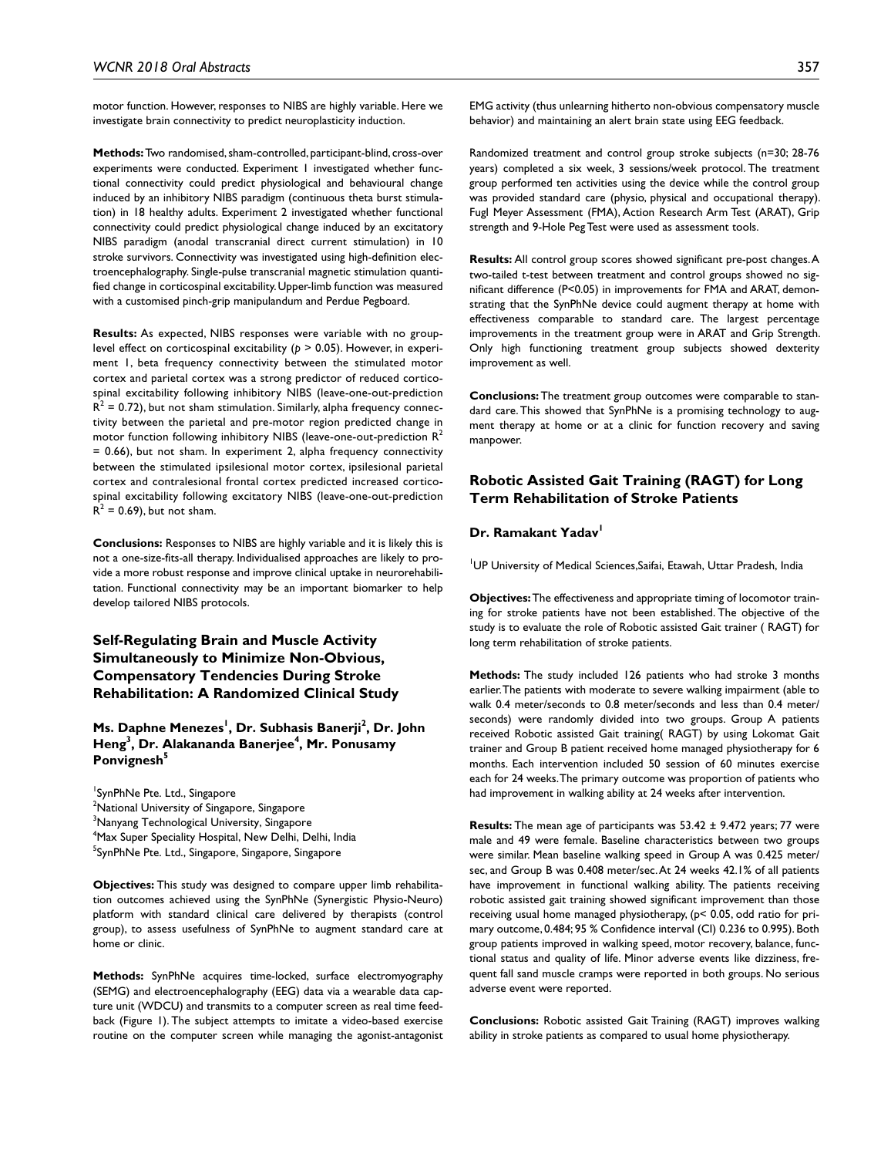motor function. However, responses to NIBS are highly variable. Here we investigate brain connectivity to predict neuroplasticity induction.

**Methods:** Two randomised, sham-controlled, participant-blind, cross-over experiments were conducted. Experiment 1 investigated whether functional connectivity could predict physiological and behavioural change induced by an inhibitory NIBS paradigm (continuous theta burst stimulation) in 18 healthy adults. Experiment 2 investigated whether functional connectivity could predict physiological change induced by an excitatory NIBS paradigm (anodal transcranial direct current stimulation) in 10 stroke survivors. Connectivity was investigated using high-definition electroencephalography. Single-pulse transcranial magnetic stimulation quantified change in corticospinal excitability. Upper-limb function was measured with a customised pinch-grip manipulandum and Perdue Pegboard.

**Results:** As expected, NIBS responses were variable with no grouplevel effect on corticospinal excitability (*p* > 0.05). However, in experiment 1, beta frequency connectivity between the stimulated motor cortex and parietal cortex was a strong predictor of reduced corticospinal excitability following inhibitory NIBS (leave-one-out-prediction  $R^2$  = 0.72), but not sham stimulation. Similarly, alpha frequency connectivity between the parietal and pre-motor region predicted change in motor function following inhibitory NIBS (leave-one-out-prediction  $R^2$ = 0.66), but not sham. In experiment 2, alpha frequency connectivity between the stimulated ipsilesional motor cortex, ipsilesional parietal cortex and contralesional frontal cortex predicted increased corticospinal excitability following excitatory NIBS (leave-one-out-prediction  $R^2$  = 0.69), but not sham.

**Conclusions:** Responses to NIBS are highly variable and it is likely this is not a one-size-fits-all therapy. Individualised approaches are likely to provide a more robust response and improve clinical uptake in neurorehabilitation. Functional connectivity may be an important biomarker to help develop tailored NIBS protocols.

# **Self-Regulating Brain and Muscle Activity Simultaneously to Minimize Non-Obvious, Compensatory Tendencies During Stroke Rehabilitation: A Randomized Clinical Study**

### **Ms. Daphne Menezes<sup>I</sup>, Dr. Subhasis Banerji<sup>2</sup>, Dr. John Heng3 , Dr. Alakananda Banerjee4 , Mr. Ponusamy**  Ponvignesh<sup>5</sup>

<sup>1</sup>SynPhNe Pte. Ltd., Singapore <sup>2</sup>National University of Singapore, Singapore  $^3$ Nanyang Technological University, Singapore 4 Max Super Speciality Hospital, New Delhi, Delhi, India <sup>5</sup>SynPhNe Pte. Ltd., Singapore, Singapore, Singapore

**Objectives:** This study was designed to compare upper limb rehabilitation outcomes achieved using the SynPhNe (Synergistic Physio-Neuro) platform with standard clinical care delivered by therapists (control group), to assess usefulness of SynPhNe to augment standard care at home or clinic.

**Methods:** SynPhNe acquires time-locked, surface electromyography (SEMG) and electroencephalography (EEG) data via a wearable data capture unit (WDCU) and transmits to a computer screen as real time feedback (Figure 1). The subject attempts to imitate a video-based exercise routine on the computer screen while managing the agonist-antagonist EMG activity (thus unlearning hitherto non-obvious compensatory muscle behavior) and maintaining an alert brain state using EEG feedback.

Randomized treatment and control group stroke subjects (n=30; 28-76 years) completed a six week, 3 sessions/week protocol. The treatment group performed ten activities using the device while the control group was provided standard care (physio, physical and occupational therapy). Fugl Meyer Assessment (FMA), Action Research Arm Test (ARAT), Grip strength and 9-Hole Peg Test were used as assessment tools.

**Results:** All control group scores showed significant pre-post changes. A two-tailed t-test between treatment and control groups showed no significant difference (P<0.05) in improvements for FMA and ARAT, demonstrating that the SynPhNe device could augment therapy at home with effectiveness comparable to standard care. The largest percentage improvements in the treatment group were in ARAT and Grip Strength. Only high functioning treatment group subjects showed dexterity improvement as well.

**Conclusions:** The treatment group outcomes were comparable to standard care. This showed that SynPhNe is a promising technology to augment therapy at home or at a clinic for function recovery and saving manpower.

### **Robotic Assisted Gait Training (RAGT) for Long Term Rehabilitation of Stroke Patients**

#### **Dr. Ramakant Yadav**

1 UP University of Medical Sciences,Saifai, Etawah, Uttar Pradesh, India

**Objectives:** The effectiveness and appropriate timing of locomotor training for stroke patients have not been established. The objective of the study is to evaluate the role of Robotic assisted Gait trainer ( RAGT) for long term rehabilitation of stroke patients.

**Methods:** The study included 126 patients who had stroke 3 months earlier. The patients with moderate to severe walking impairment (able to walk 0.4 meter/seconds to 0.8 meter/seconds and less than 0.4 meter/ seconds) were randomly divided into two groups. Group A patients received Robotic assisted Gait training( RAGT) by using Lokomat Gait trainer and Group B patient received home managed physiotherapy for 6 months. Each intervention included 50 session of 60 minutes exercise each for 24 weeks. The primary outcome was proportion of patients who had improvement in walking ability at 24 weeks after intervention.

**Results:** The mean age of participants was 53.42 ± 9.472 years; 77 were male and 49 were female. Baseline characteristics between two groups were similar. Mean baseline walking speed in Group A was 0.425 meter/ sec, and Group B was 0.408 meter/sec. At 24 weeks 42.1% of all patients have improvement in functional walking ability. The patients receiving robotic assisted gait training showed significant improvement than those receiving usual home managed physiotherapy, (p< 0.05, odd ratio for primary outcome, 0.484; 95 % Confidence interval (CI) 0.236 to 0.995). Both group patients improved in walking speed, motor recovery, balance, functional status and quality of life. Minor adverse events like dizziness, frequent fall sand muscle cramps were reported in both groups. No serious adverse event were reported.

**Conclusions:** Robotic assisted Gait Training (RAGT) improves walking ability in stroke patients as compared to usual home physiotherapy.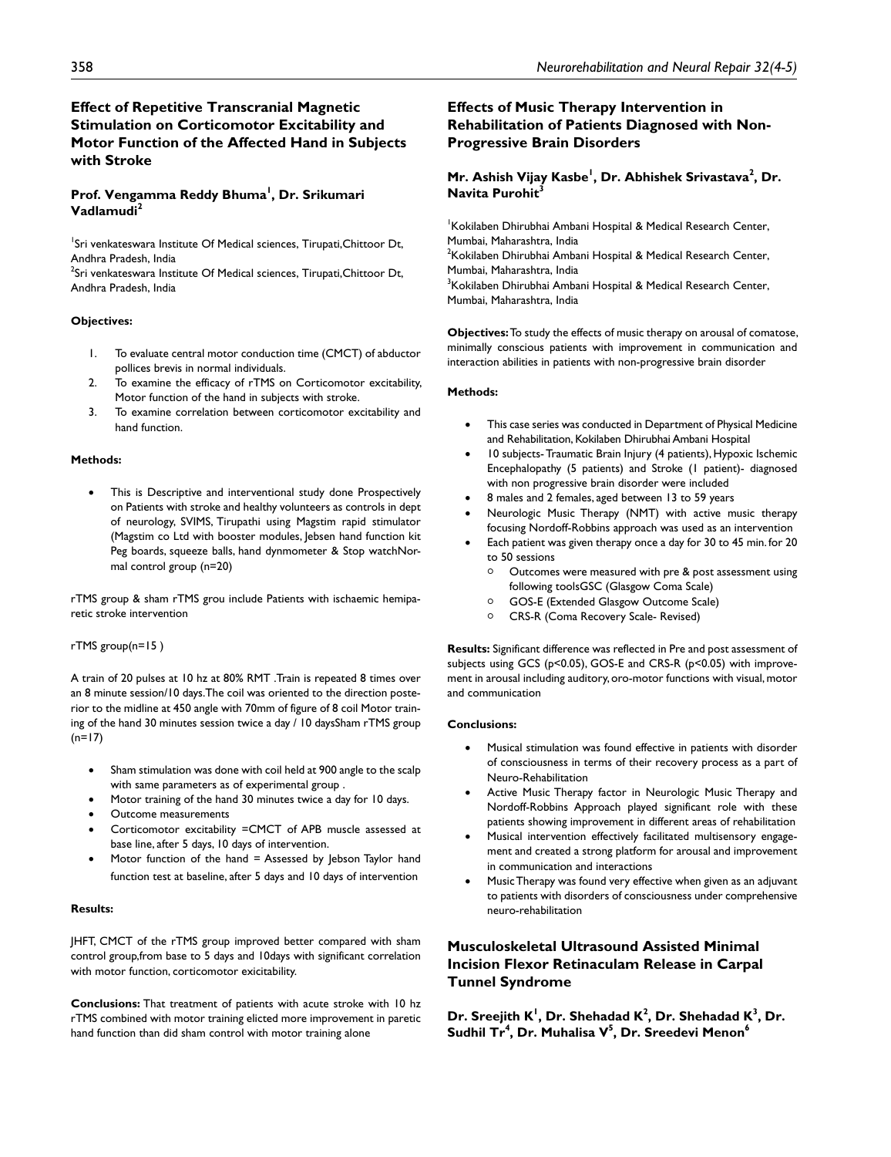# **Effect of Repetitive Transcranial Magnetic Stimulation on Corticomotor Excitability and Motor Function of the Affected Hand in Subjects with Stroke**

#### **Prof. Vengamma Reddy Bhuma1 , Dr. Srikumari Vadlamudi<sup>2</sup>**

<sup>1</sup>Sri venkateswara Institute Of Medical sciences, Tirupati, Chittoor Dt, Andhra Pradesh, India

 $^2$ Sri venkateswara Institute Of Medical sciences, Tirupati,Chittoor Dt, Andhra Pradesh, India

#### **Objectives:**

- 1. To evaluate central motor conduction time (CMCT) of abductor pollices brevis in normal individuals.
- 2. To examine the efficacy of rTMS on Corticomotor excitability, Motor function of the hand in subjects with stroke.
- 3. To examine correlation between corticomotor excitability and hand function.

#### **Methods:**

This is Descriptive and interventional study done Prospectively on Patients with stroke and healthy volunteers as controls in dept of neurology, SVIMS, Tirupathi using Magstim rapid stimulator (Magstim co Ltd with booster modules, Jebsen hand function kit Peg boards, squeeze balls, hand dynmometer & Stop watchNormal control group (n=20)

rTMS group & sham rTMS grou include Patients with ischaemic hemiparetic stroke intervention

#### rTMS group(n=15 )

A train of 20 pulses at 10 hz at 80% RMT .Train is repeated 8 times over an 8 minute session/10 days.The coil was oriented to the direction posterior to the midline at 450 angle with 70mm of figure of 8 coil Motor training of the hand 30 minutes session twice a day / 10 daysSham rTMS group  $(n=17)$ 

- Sham stimulation was done with coil held at 900 angle to the scalp with same parameters as of experimental group .
- Motor training of the hand 30 minutes twice a day for 10 days.
- Outcome measurements
- Corticomotor excitability =CMCT of APB muscle assessed at base line, after 5 days, 10 days of intervention.
- Motor function of the hand = Assessed by Jebson Taylor hand function test at baseline, after 5 days and 10 days of intervention

#### **Results:**

JHFT, CMCT of the rTMS group improved better compared with sham control group,from base to 5 days and 10days with significant correlation with motor function, corticomotor exicitability.

**Conclusions:** That treatment of patients with acute stroke with 10 hz rTMS combined with motor training elicted more improvement in paretic hand function than did sham control with motor training alone

# **Effects of Music Therapy Intervention in Rehabilitation of Patients Diagnosed with Non-Progressive Brain Disorders**

### **Mr. Ashish Vijay Kasbe<sup>l</sup>, Dr. Abhishek Srivastava<sup>2</sup>, Dr. Navita Purohit3**

1 Kokilaben Dhirubhai Ambani Hospital & Medical Research Center, Mumbai, Maharashtra, India  $2$ Kokilaben Dhirubhai Ambani Hospital & Medical Research Center, Mumbai, Maharashtra, India <sup>3</sup>Kokilaben Dhirubhai Ambani Hospital & Medical Research Center, Mumbai, Maharashtra, India

**Objectives:** To study the effects of music therapy on arousal of comatose, minimally conscious patients with improvement in communication and interaction abilities in patients with non-progressive brain disorder

#### **Methods:**

- This case series was conducted in Department of Physical Medicine and Rehabilitation, Kokilaben Dhirubhai Ambani Hospital
- 10 subjects- Traumatic Brain Injury (4 patients), Hypoxic Ischemic Encephalopathy (5 patients) and Stroke (1 patient)- diagnosed with non progressive brain disorder were included
- 8 males and 2 females, aged between 13 to 59 years
- Neurologic Music Therapy (NMT) with active music therapy focusing Nordoff-Robbins approach was used as an intervention
- Each patient was given therapy once a day for 30 to 45 min. for 20 to 50 sessions
	- Outcomes were measured with pre & post assessment using following toolsGSC (Glasgow Coma Scale)
	- <sup>|</sup> GOS-E (Extended Glasgow Outcome Scale)
	- <sup>|</sup> CRS-R (Coma Recovery Scale- Revised)

**Results:** Significant difference was reflected in Pre and post assessment of subjects using GCS (p<0.05), GOS-E and CRS-R (p<0.05) with improvement in arousal including auditory, oro-motor functions with visual, motor and communication

#### **Conclusions:**

- Musical stimulation was found effective in patients with disorder of consciousness in terms of their recovery process as a part of Neuro-Rehabilitation
- Active Music Therapy factor in Neurologic Music Therapy and Nordoff-Robbins Approach played significant role with these patients showing improvement in different areas of rehabilitation
- Musical intervention effectively facilitated multisensory engagement and created a strong platform for arousal and improvement in communication and interactions
- Music Therapy was found very effective when given as an adjuvant to patients with disorders of consciousness under comprehensive neuro-rehabilitation

# **Musculoskeletal Ultrasound Assisted Minimal Incision Flexor Retinaculam Release in Carpal Tunnel Syndrome**

Dr. Sreejith K<sup>1</sup>, Dr. Shehadad K<sup>2</sup>, Dr. Shehadad K<sup>3</sup>, Dr. **Sudhil Tr4 , Dr. Muhalisa V5 , Dr. Sreedevi Menon6**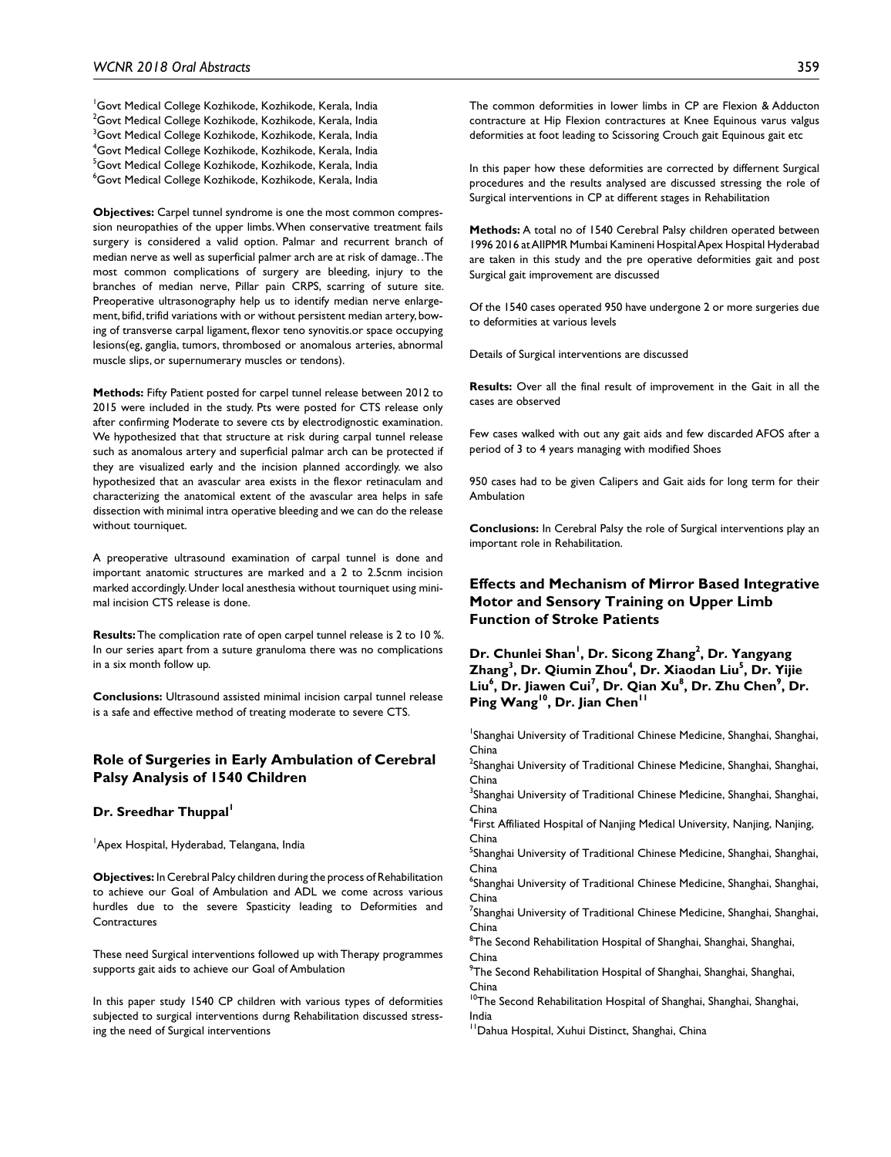<sup>1</sup>Govt Medical College Kozhikode, Kozhikode, Kerala, India  $^{2}$ Govt Medical College Kozhikode, Kozhikode, Kerala, India  $^3$ Govt Medical College Kozhikode, Kozhikode, Kerala, India 4 Govt Medical College Kozhikode, Kozhikode, Kerala, India <sup>5</sup>Govt Medical College Kozhikode, Kozhikode, Kerala, India  $\mathrm{^6}$ Govt Medical College Kozhikode, Kozhikode, Kerala, India

**Objectives:** Carpel tunnel syndrome is one the most common compression neuropathies of the upper limbs. When conservative treatment fails surgery is considered a valid option. Palmar and recurrent branch of median nerve as well as superficial palmer arch are at risk of damage. . The most common complications of surgery are bleeding, injury to the branches of median nerve, Pillar pain CRPS, scarring of suture site. Preoperative ultrasonography help us to identify median nerve enlargement, bifid, trifid variations with or without persistent median artery, bowing of transverse carpal ligament, flexor teno synovitis.or space occupying lesions(eg, ganglia, tumors, thrombosed or anomalous arteries, abnormal muscle slips, or supernumerary muscles or tendons).

**Methods:** Fifty Patient posted for carpel tunnel release between 2012 to 2015 were included in the study. Pts were posted for CTS release only after confirming Moderate to severe cts by electrodignostic examination. We hypothesized that that structure at risk during carpal tunnel release such as anomalous artery and superficial palmar arch can be protected if they are visualized early and the incision planned accordingly. we also hypothesized that an avascular area exists in the flexor retinaculam and characterizing the anatomical extent of the avascular area helps in safe dissection with minimal intra operative bleeding and we can do the release without tourniquet.

A preoperative ultrasound examination of carpal tunnel is done and important anatomic structures are marked and a 2 to 2.5cnm incision marked accordingly. Under local anesthesia without tourniquet using minimal incision CTS release is done.

**Results:** The complication rate of open carpel tunnel release is 2 to 10 %. In our series apart from a suture granuloma there was no complications in a six month follow up.

**Conclusions:** Ultrasound assisted minimal incision carpal tunnel release is a safe and effective method of treating moderate to severe CTS.

#### **Role of Surgeries in Early Ambulation of Cerebral Palsy Analysis of 1540 Children**

#### **Dr. Sreedhar Thuppal**

<sup>1</sup>Apex Hospital, Hyderabad, Telangana, India

**Objectives:** In Cerebral Palcy children during the process of Rehabilitation to achieve our Goal of Ambulation and ADL we come across various hurdles due to the severe Spasticity leading to Deformities and **Contractures** 

These need Surgical interventions followed up with Therapy programmes supports gait aids to achieve our Goal of Ambulation

In this paper study 1540 CP children with various types of deformities subjected to surgical interventions durng Rehabilitation discussed stressing the need of Surgical interventions

The common deformities in lower limbs in CP are Flexion & Adducton contracture at Hip Flexion contractures at Knee Equinous varus valgus deformities at foot leading to Scissoring Crouch gait Equinous gait etc

In this paper how these deformities are corrected by differnent Surgical procedures and the results analysed are discussed stressing the role of Surgical interventions in CP at different stages in Rehabilitation

**Methods:** A total no of 1540 Cerebral Palsy children operated between 1996 2016 at AIIPMR Mumbai Kamineni Hospital Apex Hospital Hyderabad are taken in this study and the pre operative deformities gait and post Surgical gait improvement are discussed

Of the 1540 cases operated 950 have undergone 2 or more surgeries due to deformities at various levels

Details of Surgical interventions are discussed

**Results:** Over all the final result of improvement in the Gait in all the cases are observed

Few cases walked with out any gait aids and few discarded AFOS after a period of 3 to 4 years managing with modified Shoes

950 cases had to be given Calipers and Gait aids for long term for their Ambulation

**Conclusions:** In Cerebral Palsy the role of Surgical interventions play an important role in Rehabilitation.

### **Effects and Mechanism of Mirror Based Integrative Motor and Sensory Training on Upper Limb Function of Stroke Patients**

Dr. Chunlei Shan<sup>1</sup>, Dr. Sicong Zhang<sup>2</sup>, Dr. Yangyang **Z**hang<sup>3</sup>, Dr. Qiumin Zhou<sup>4</sup>, Dr. Xiaodan Liu<sup>5</sup>, Dr. Yijie Liu<sup>6</sup>, Dr. Jiawen Cui<sup>7</sup>, Dr. Qian Xu<sup>8</sup>, Dr. Zhu Chen<sup>9</sup>, Dr. Ping Wang<sup>10</sup>, Dr. Jian Chen<sup>11</sup>

<sup>1</sup>Shanghai University of Traditional Chinese Medicine, Shanghai, Shanghai, China

<sup>2</sup>Shanghai University of Traditional Chinese Medicine, Shanghai, Shanghai, China

<sup>3</sup>Shanghai University of Traditional Chinese Medicine, Shanghai, Shanghai, China

4 First Affiliated Hospital of Nanjing Medical University, Nanjing, Nanjing, China

<sup>5</sup>Shanghai University of Traditional Chinese Medicine, Shanghai, Shanghai, China

6 Shanghai University of Traditional Chinese Medicine, Shanghai, Shanghai, China

<sup>7</sup>Shanghai University of Traditional Chinese Medicine, Shanghai, Shanghai, China

<sup>8</sup>The Second Rehabilitation Hospital of Shanghai, Shanghai, Shanghai, China

<sup>9</sup>The Second Rehabilitation Hospital of Shanghai, Shanghai, Shanghai, China

 $10$ The Second Rehabilitation Hospital of Shanghai, Shanghai, Shanghai, India

<sup>11</sup>Dahua Hospital, Xuhui Distinct, Shanghai, China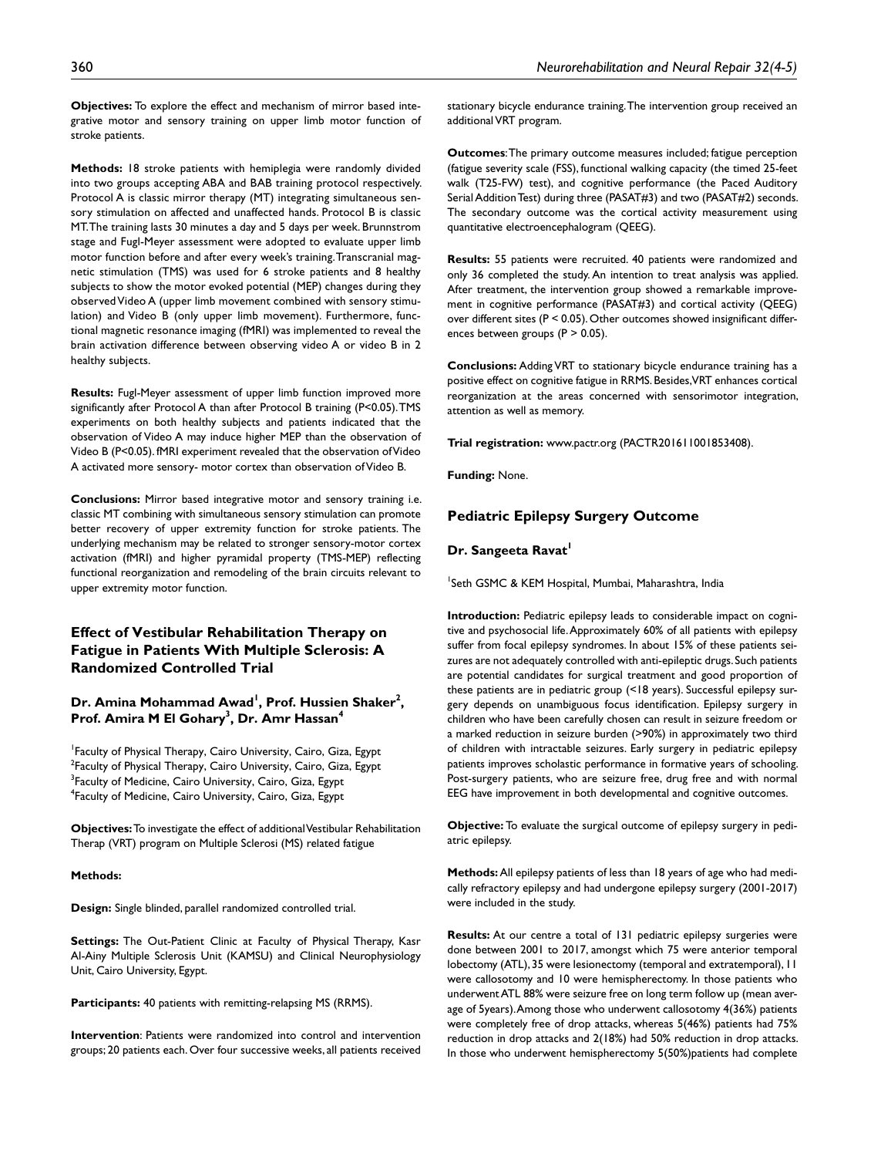**Objectives:** To explore the effect and mechanism of mirror based integrative motor and sensory training on upper limb motor function of stroke patients.

**Methods:** 18 stroke patients with hemiplegia were randomly divided into two groups accepting ABA and BAB training protocol respectively. Protocol A is classic mirror therapy (MT) integrating simultaneous sensory stimulation on affected and unaffected hands. Protocol B is classic MT. The training lasts 30 minutes a day and 5 days per week. Brunnstrom stage and Fugl-Meyer assessment were adopted to evaluate upper limb motor function before and after every week's training. Transcranial magnetic stimulation (TMS) was used for 6 stroke patients and 8 healthy subjects to show the motor evoked potential (MEP) changes during they observed Video A (upper limb movement combined with sensory stimulation) and Video B (only upper limb movement). Furthermore, functional magnetic resonance imaging (fMRI) was implemented to reveal the brain activation difference between observing video A or video B in 2 healthy subjects.

**Results:** Fugl-Meyer assessment of upper limb function improved more significantly after Protocol A than after Protocol B training (P<0.05). TMS experiments on both healthy subjects and patients indicated that the observation of Video A may induce higher MEP than the observation of Video B (P<0.05). fMRI experiment revealed that the observation of Video A activated more sensory- motor cortex than observation of Video B.

**Conclusions:** Mirror based integrative motor and sensory training i.e. classic MT combining with simultaneous sensory stimulation can promote better recovery of upper extremity function for stroke patients. The underlying mechanism may be related to stronger sensory-motor cortex activation (fMRI) and higher pyramidal property (TMS-MEP) reflecting functional reorganization and remodeling of the brain circuits relevant to upper extremity motor function.

# **Effect of Vestibular Rehabilitation Therapy on Fatigue in Patients With Multiple Sclerosis: A Randomized Controlled Trial**

Dr. Amina Mohammad Awad<sup>1</sup>, Prof. Hussien Shaker<sup>2</sup>, **Prof. Amira M El Gohary3 , Dr. Amr Hassan4**

1 Faculty of Physical Therapy, Cairo University, Cairo, Giza, Egypt  $^{2}$ Faculty of Physical Therapy, Cairo University, Cairo, Giza, Egypt <sup>3</sup>Faculty of Medicine, Cairo University, Cairo, Giza, Egypt 4 Faculty of Medicine, Cairo University, Cairo, Giza, Egypt

**Objectives:** To investigate the effect of additional Vestibular Rehabilitation Therap (VRT) program on Multiple Sclerosi (MS) related fatigue

#### **Methods:**

**Design:** Single blinded, parallel randomized controlled trial.

**Settings:** The Out-Patient Clinic at Faculty of Physical Therapy, Kasr Al-Ainy Multiple Sclerosis Unit (KAMSU) and Clinical Neurophysiology Unit, Cairo University, Egypt.

**Participants:** 40 patients with remitting-relapsing MS (RRMS).

**Intervention**: Patients were randomized into control and intervention groups; 20 patients each. Over four successive weeks, all patients received

stationary bicycle endurance training. The intervention group received an additional VRT program.

**Outcomes**: The primary outcome measures included; fatigue perception (fatigue severity scale (FSS), functional walking capacity (the timed 25-feet walk (T25-FW) test), and cognitive performance (the Paced Auditory Serial Addition Test) during three (PASAT#3) and two (PASAT#2) seconds. The secondary outcome was the cortical activity measurement using quantitative electroencephalogram (QEEG).

**Results:** 55 patients were recruited. 40 patients were randomized and only 36 completed the study. An intention to treat analysis was applied. After treatment, the intervention group showed a remarkable improvement in cognitive performance (PASAT#3) and cortical activity (QEEG) over different sites (P < 0.05). Other outcomes showed insignificant differences between groups (P > 0.05).

**Conclusions:** Adding VRT to stationary bicycle endurance training has a positive effect on cognitive fatigue in RRMS. Besides, VRT enhances cortical reorganization at the areas concerned with sensorimotor integration, attention as well as memory.

**Trial registration:**<www.pactr.org> (PACTR201611001853408).

**Funding:** None.

### **Pediatric Epilepsy Surgery Outcome**

#### **Dr. Sangeeta Ravat'**

<sup>1</sup>Seth GSMC & KEM Hospital, Mumbai, Maharashtra, India

**Introduction:** Pediatric epilepsy leads to considerable impact on cognitive and psychosocial life. Approximately 60% of all patients with epilepsy suffer from focal epilepsy syndromes. In about 15% of these patients seizures are not adequately controlled with anti-epileptic drugs. Such patients are potential candidates for surgical treatment and good proportion of these patients are in pediatric group (<18 years). Successful epilepsy surgery depends on unambiguous focus identification. Epilepsy surgery in children who have been carefully chosen can result in seizure freedom or a marked reduction in seizure burden (>90%) in approximately two third of children with intractable seizures. Early surgery in pediatric epilepsy patients improves scholastic performance in formative years of schooling. Post-surgery patients, who are seizure free, drug free and with normal EEG have improvement in both developmental and cognitive outcomes.

**Objective:** To evaluate the surgical outcome of epilepsy surgery in pediatric epilepsy.

**Methods:** All epilepsy patients of less than 18 years of age who had medically refractory epilepsy and had undergone epilepsy surgery (2001-2017) were included in the study.

**Results:** At our centre a total of 131 pediatric epilepsy surgeries were done between 2001 to 2017, amongst which 75 were anterior temporal lobectomy (ATL), 35 were lesionectomy (temporal and extratemporal), 11 were callosotomy and 10 were hemispherectomy. In those patients who underwent ATL 88% were seizure free on long term follow up (mean average of 5years). Among those who underwent callosotomy 4(36%) patients were completely free of drop attacks, whereas 5(46%) patients had 75% reduction in drop attacks and 2(18%) had 50% reduction in drop attacks. In those who underwent hemispherectomy 5(50%)patients had complete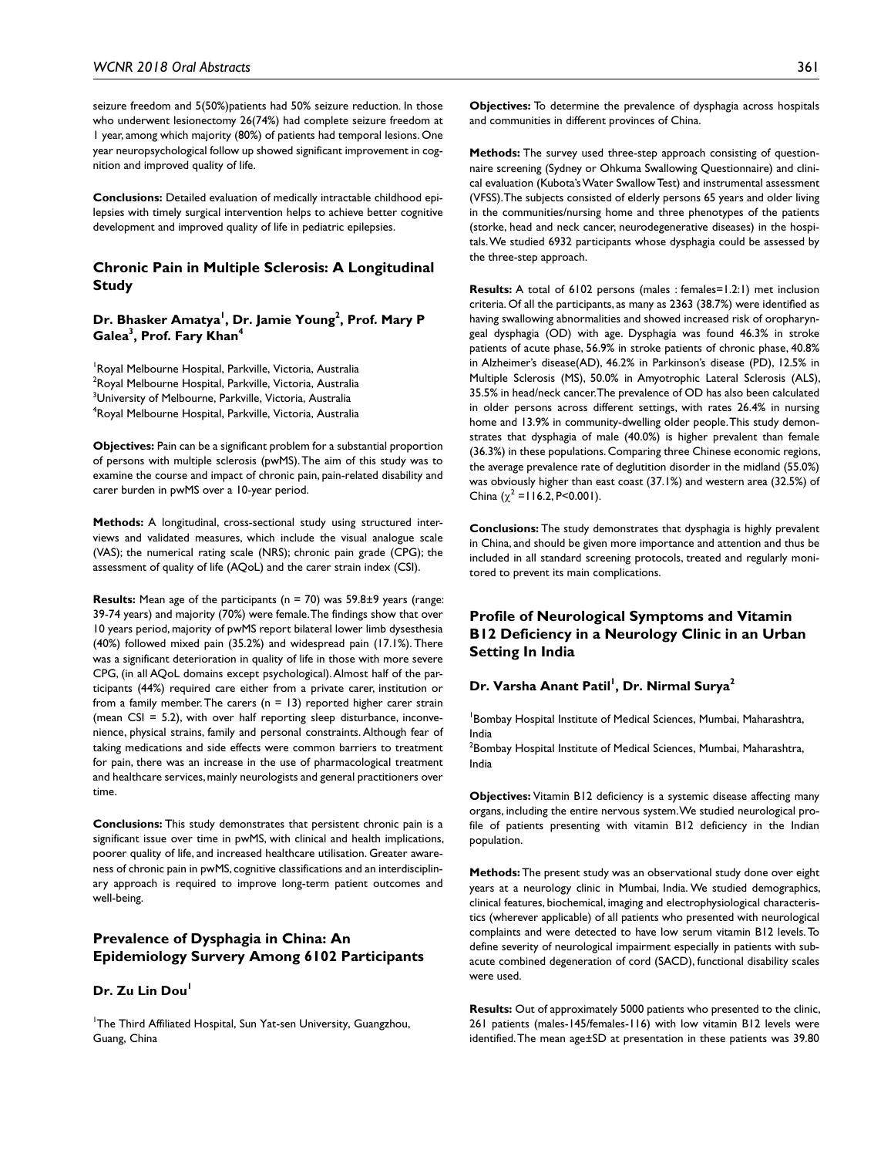seizure freedom and 5(50%)patients had 50% seizure reduction. In those who underwent lesionectomy 26(74%) had complete seizure freedom at 1 year, among which majority (80%) of patients had temporal lesions. One year neuropsychological follow up showed significant improvement in cognition and improved quality of life.

**Conclusions:** Detailed evaluation of medically intractable childhood epilepsies with timely surgical intervention helps to achieve better cognitive development and improved quality of life in pediatric epilepsies.

### **Chronic Pain in Multiple Sclerosis: A Longitudinal Study**

### Dr. Bhasker Amatya<sup>l</sup>, Dr. Jamie Young<sup>2</sup>, Prof. Mary P **Galea3 , Prof. Fary Khan4**

<sup>1</sup> Royal Melbourne Hospital, Parkville, Victoria, Australia <sup>2</sup>Royal Melbourne Hospital, Parkville, Victoria, Australia  $^3$ University of Melbourne, Parkville, Victoria, Australia 4 Royal Melbourne Hospital, Parkville, Victoria, Australia

**Objectives:** Pain can be a significant problem for a substantial proportion of persons with multiple sclerosis (pwMS). The aim of this study was to examine the course and impact of chronic pain, pain-related disability and carer burden in pwMS over a 10-year period.

**Methods:** A longitudinal, cross-sectional study using structured interviews and validated measures, which include the visual analogue scale (VAS); the numerical rating scale (NRS); chronic pain grade (CPG); the assessment of quality of life (AQoL) and the carer strain index (CSI).

**Results:** Mean age of the participants (n = 70) was 59.8±9 years (range: 39-74 years) and majority (70%) were female. The findings show that over 10 years period, majority of pwMS report bilateral lower limb dysesthesia (40%) followed mixed pain (35.2%) and widespread pain (17.1%). There was a significant deterioration in quality of life in those with more severe CPG, (in all AQoL domains except psychological). Almost half of the participants (44%) required care either from a private carer, institution or from a family member. The carers  $(n = 13)$  reported higher carer strain (mean  $CSI = 5.2$ ), with over half reporting sleep disturbance, inconvenience, physical strains, family and personal constraints. Although fear of taking medications and side effects were common barriers to treatment for pain, there was an increase in the use of pharmacological treatment and healthcare services, mainly neurologists and general practitioners over time.

**Conclusions:** This study demonstrates that persistent chronic pain is a significant issue over time in pwMS, with clinical and health implications, poorer quality of life, and increased healthcare utilisation. Greater awareness of chronic pain in pwMS, cognitive classifications and an interdisciplinary approach is required to improve long-term patient outcomes and well-being.

# **Prevalence of Dysphagia in China: An Epidemiology Survery Among 6102 Participants**

#### **Dr. Zu Lin Dou**

<sup>1</sup>The Third Affiliated Hospital, Sun Yat-sen University, Guangzhou, Guang, China

**Objectives:** To determine the prevalence of dysphagia across hospitals and communities in different provinces of China.

**Methods:** The survey used three-step approach consisting of questionnaire screening (Sydney or Ohkuma Swallowing Questionnaire) and clinical evaluation (Kubota's Water Swallow Test) and instrumental assessment (VFSS). The subjects consisted of elderly persons 65 years and older living in the communities/nursing home and three phenotypes of the patients (storke, head and neck cancer, neurodegenerative diseases) in the hospitals. We studied 6932 participants whose dysphagia could be assessed by the three-step approach.

**Results:** A total of 6102 persons (males : females=1.2:1) met inclusion criteria. Of all the participants, as many as 2363 (38.7%) were identified as having swallowing abnormalities and showed increased risk of oropharyngeal dysphagia (OD) with age. Dysphagia was found 46.3% in stroke patients of acute phase, 56.9% in stroke patients of chronic phase, 40.8% in Alzheimer's disease(AD), 46.2% in Parkinson's disease (PD), 12.5% in Multiple Sclerosis (MS), 50.0% in Amyotrophic Lateral Sclerosis (ALS), 35.5% in head/neck cancer. The prevalence of OD has also been calculated in older persons across different settings, with rates 26.4% in nursing home and 13.9% in community-dwelling older people. This study demonstrates that dysphagia of male (40.0%) is higher prevalent than female (36.3%) in these populations. Comparing three Chinese economic regions, the average prevalence rate of deglutition disorder in the midland (55.0%) was obviously higher than east coast (37.1%) and western area (32.5%) of China  $(\chi^2 = 116.2, P < 0.001)$ .

**Conclusions:** The study demonstrates that dysphagia is highly prevalent in China, and should be given more importance and attention and thus be included in all standard screening protocols, treated and regularly monitored to prevent its main complications.

# **Profile of Neurological Symptoms and Vitamin B12 Deficiency in a Neurology Clinic in an Urban Setting In India**

### **Dr. Varsha Anant Patil1 , Dr. Nirmal Surya2**

1 Bombay Hospital Institute of Medical Sciences, Mumbai, Maharashtra, India

 $^2$ Bombay Hospital Institute of Medical Sciences, Mumbai, Maharashtra, India

**Objectives:** Vitamin B12 deficiency is a systemic disease affecting many organs, including the entire nervous system. We studied neurological profile of patients presenting with vitamin B12 deficiency in the Indian population.

**Methods:** The present study was an observational study done over eight years at a neurology clinic in Mumbai, India. We studied demographics, clinical features, biochemical, imaging and electrophysiological characteristics (wherever applicable) of all patients who presented with neurological complaints and were detected to have low serum vitamin B12 levels. To define severity of neurological impairment especially in patients with subacute combined degeneration of cord (SACD), functional disability scales were used.

**Results:** Out of approximately 5000 patients who presented to the clinic, 261 patients (males-145/females-116) with low vitamin B12 levels were identified. The mean age±SD at presentation in these patients was 39.80